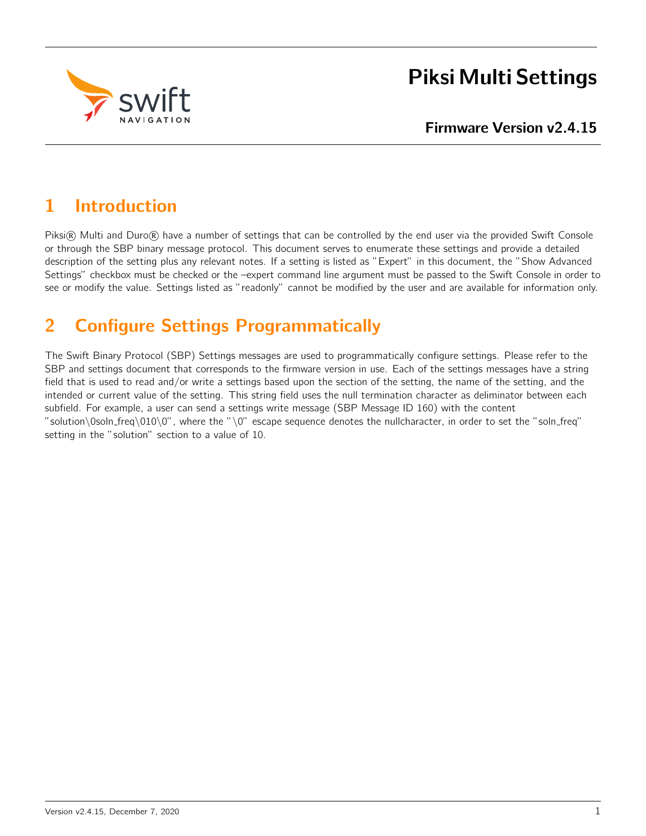

# Piksi Multi Settings

# 1 Introduction

Piksi® Multi and Duro® have a number of settings that can be controlled by the end user via the provided Swift Console or through the SBP binary message protocol. This document serves to enumerate these settings and provide a detailed description of the setting plus any relevant notes. If a setting is listed as "Expert" in this document, the "Show Advanced Settings" checkbox must be checked or the –expert command line argument must be passed to the Swift Console in order to see or modify the value. Settings listed as "readonly" cannot be modified by the user and are available for information only.

# 2 Configure Settings Programmatically

The Swift Binary Protocol (SBP) Settings messages are used to programmatically configure settings. Please refer to the SBP and settings document that corresponds to the firmware version in use. Each of the settings messages have a string field that is used to read and/or write a settings based upon the section of the setting, the name of the setting, and the intended or current value of the setting. This string field uses the null termination character as deliminator between each subfield. For example, a user can send a settings write message (SBP Message ID 160) with the content "solution\0soln\_freq\010\0", where the "\0" escape sequence denotes the nullcharacter, in order to set the "soln\_freq" setting in the "solution" section to a value of 10.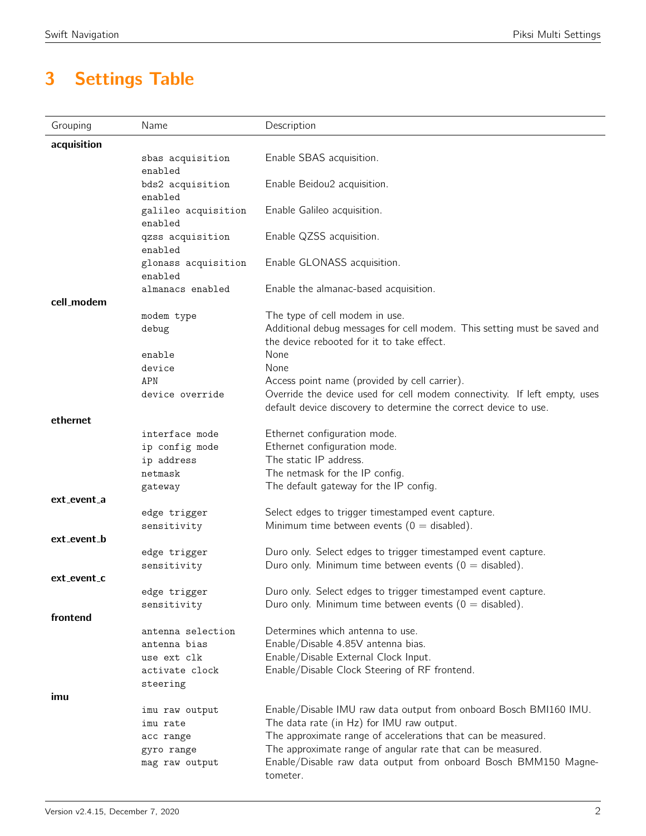# 3 Settings Table

| Grouping    | Name                        | Description                                                                                               |  |
|-------------|-----------------------------|-----------------------------------------------------------------------------------------------------------|--|
| acquisition |                             |                                                                                                           |  |
|             | sbas acquisition            | Enable SBAS acquisition.                                                                                  |  |
|             | enabled                     |                                                                                                           |  |
|             | bds2 acquisition<br>enabled | Enable Beidou2 acquisition.                                                                               |  |
|             | galileo acquisition         | Enable Galileo acquisition.                                                                               |  |
|             | enabled                     |                                                                                                           |  |
|             | qzss acquisition            | Enable QZSS acquisition.                                                                                  |  |
|             | enabled                     |                                                                                                           |  |
|             | glonass acquisition         | Enable GLONASS acquisition.                                                                               |  |
|             | enabled                     |                                                                                                           |  |
| cell modem  | almanacs enabled            | Enable the almanac-based acquisition.                                                                     |  |
|             | modem type                  | The type of cell modem in use.                                                                            |  |
|             | debug                       | Additional debug messages for cell modem. This setting must be saved and                                  |  |
|             |                             | the device rebooted for it to take effect.                                                                |  |
|             | enable                      | None                                                                                                      |  |
|             | device                      | None                                                                                                      |  |
|             | APN                         | Access point name (provided by cell carrier).                                                             |  |
|             | device override             | Override the device used for cell modem connectivity. If left empty, uses                                 |  |
| ethernet    |                             | default device discovery to determine the correct device to use.                                          |  |
|             | interface mode              | Ethernet configuration mode.                                                                              |  |
|             | ip config mode              | Ethernet configuration mode.                                                                              |  |
|             | ip address                  | The static IP address.                                                                                    |  |
|             | netmask                     | The netmask for the IP config.                                                                            |  |
|             | gateway                     | The default gateway for the IP config.                                                                    |  |
| ext_event_a |                             |                                                                                                           |  |
|             | edge trigger                | Select edges to trigger timestamped event capture.<br>Minimum time between events ( $0 =$ disabled).      |  |
| ext_event_b | sensitivity                 |                                                                                                           |  |
|             | edge trigger                | Duro only. Select edges to trigger timestamped event capture.                                             |  |
|             | sensitivity                 | Duro only. Minimum time between events ( $0 =$ disabled).                                                 |  |
| ext_event_c |                             |                                                                                                           |  |
|             | edge trigger                | Duro only. Select edges to trigger timestamped event capture.                                             |  |
|             | sensitivity                 | Duro only. Minimum time between events ( $0 =$ disabled).                                                 |  |
| frontend    | antenna selection           | Determines which antenna to use.                                                                          |  |
|             | antenna bias                | Enable/Disable 4.85V antenna bias.                                                                        |  |
|             | use ext clk                 | Enable/Disable External Clock Input.                                                                      |  |
|             | activate clock              | Enable/Disable Clock Steering of RF frontend.                                                             |  |
|             | steering                    |                                                                                                           |  |
| imu         |                             |                                                                                                           |  |
|             | imu raw output              | Enable/Disable IMU raw data output from onboard Bosch BMI160 IMU.                                         |  |
|             | imu rate                    | The data rate (in Hz) for IMU raw output.<br>The approximate range of accelerations that can be measured. |  |
|             | acc range<br>gyro range     | The approximate range of angular rate that can be measured.                                               |  |
|             | mag raw output              | Enable/Disable raw data output from onboard Bosch BMM150 Magne-                                           |  |
|             |                             | tometer.                                                                                                  |  |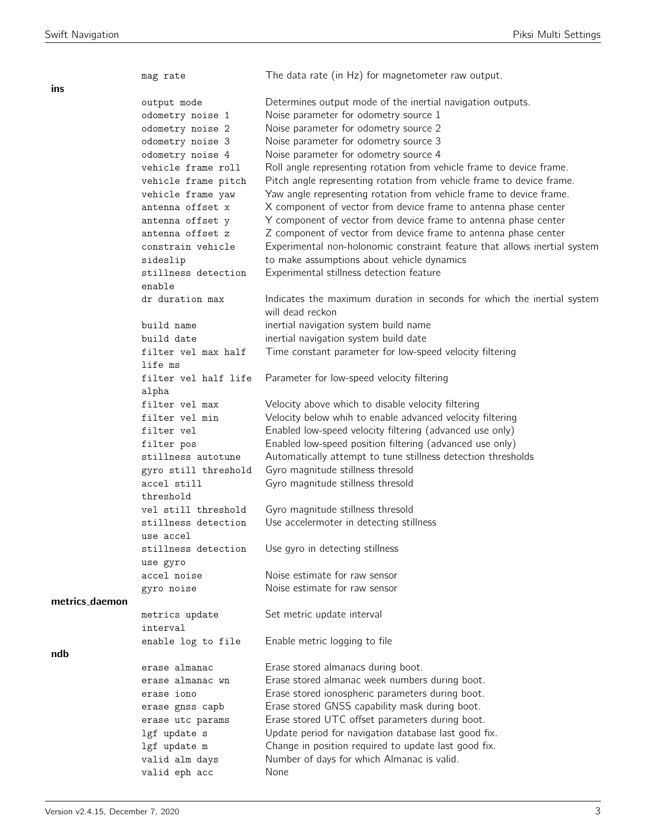|                | mag rate             | The data rate (in Hz) for magnetometer raw output.                        |
|----------------|----------------------|---------------------------------------------------------------------------|
| ins            |                      |                                                                           |
|                | output mode          | Determines output mode of the inertial navigation outputs.                |
|                | odometry noise 1     | Noise parameter for odometry source 1                                     |
|                | odometry noise 2     | Noise parameter for odometry source 2                                     |
|                | odometry noise 3     | Noise parameter for odometry source 3                                     |
|                | odometry noise 4     | Noise parameter for odometry source 4                                     |
|                | vehicle frame roll   | Roll angle representing rotation from vehicle frame to device frame.      |
|                | vehicle frame pitch  | Pitch angle representing rotation from vehicle frame to device frame.     |
|                | vehicle frame yaw    | Yaw angle representing rotation from vehicle frame to device frame.       |
|                | antenna offset x     | X component of vector from device frame to antenna phase center           |
|                | antenna offset y     | Y component of vector from device frame to antenna phase center           |
|                | antenna offset z     | Z component of vector from device frame to antenna phase center           |
|                | constrain vehicle    | Experimental non-holonomic constraint feature that allows inertial system |
|                | sideslip             | to make assumptions about vehicle dynamics                                |
|                | stillness detection  | Experimental stillness detection feature                                  |
|                | enable               |                                                                           |
|                | dr duration max      | Indicates the maximum duration in seconds for which the inertial system   |
|                |                      | will dead reckon                                                          |
|                | build name           | inertial navigation system build name                                     |
|                | build date           | inertial navigation system build date                                     |
|                | filter vel max half  | Time constant parameter for low-speed velocity filtering                  |
|                | life ms              |                                                                           |
|                | filter vel half life | Parameter for low-speed velocity filtering                                |
|                | alpha                |                                                                           |
|                | filter vel max       | Velocity above which to disable velocity filtering                        |
|                | filter vel min       | Velocity below whih to enable advanced velocity filtering                 |
|                | filter vel           | Enabled low-speed velocity filtering (advanced use only)                  |
|                | filter pos           | Enabled low-speed position filtering (advanced use only)                  |
|                | stillness autotune   | Automatically attempt to tune stillness detection thresholds              |
|                | gyro still threshold | Gyro magnitude stillness thresold                                         |
|                | accel still          | Gyro magnitude stillness thresold                                         |
|                | threshold            |                                                                           |
|                | vel still threshold  | Gyro magnitude stillness thresold                                         |
|                | stillness detection  | Use accelermoter in detecting stillness                                   |
|                | use accel            |                                                                           |
|                | stillness detection  | Use gyro in detecting stillness                                           |
|                | use gyro             |                                                                           |
|                | accel noise          | Noise estimate for raw sensor                                             |
|                | gyro noise           | Noise estimate for raw sensor                                             |
| metrics_daemon |                      |                                                                           |
|                | metrics update       | Set metric update interval                                                |
|                | interval             |                                                                           |
|                | enable log to file   | Enable metric logging to file                                             |
| ndb            |                      |                                                                           |
|                | erase almanac        | Erase stored almanacs during boot.                                        |
|                | erase almanac wn     | Erase stored almanac week numbers during boot.                            |
|                | erase iono           | Erase stored ionospheric parameters during boot.                          |
|                | erase gnss capb      | Erase stored GNSS capability mask during boot.                            |
|                | erase utc params     | Erase stored UTC offset parameters during boot.                           |
|                | lgf update s         | Update period for navigation database last good fix.                      |
|                | lgf update m         | Change in position required to update last good fix.                      |
|                | valid alm days       | Number of days for which Almanac is valid.                                |
|                | valid eph acc        | None                                                                      |
|                |                      |                                                                           |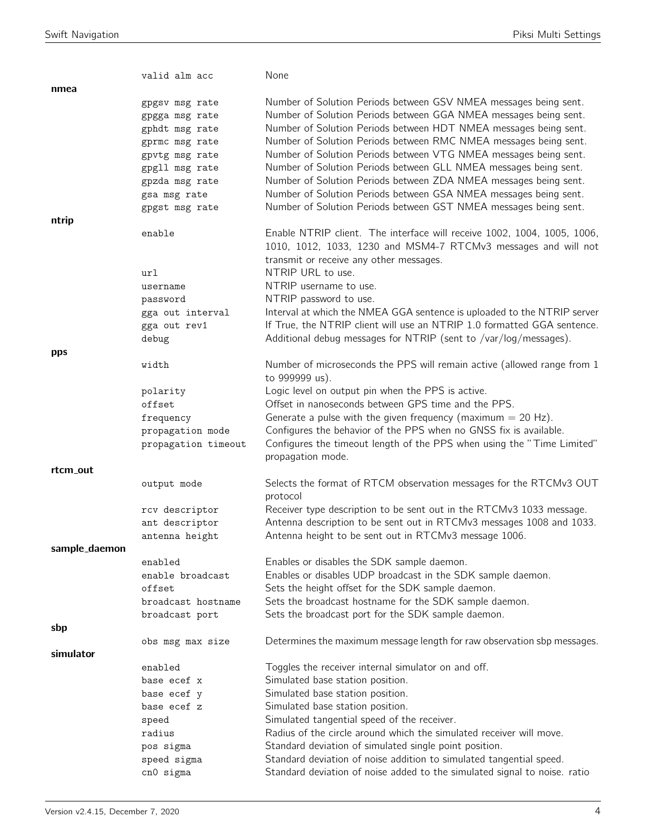|               | valid alm acc          | None                                                                                    |
|---------------|------------------------|-----------------------------------------------------------------------------------------|
| nmea          |                        |                                                                                         |
|               | gpgsv msg rate         | Number of Solution Periods between GSV NMEA messages being sent.                        |
|               | gpgga msg rate         | Number of Solution Periods between GGA NMEA messages being sent.                        |
|               | gphdt msg rate         | Number of Solution Periods between HDT NMEA messages being sent.                        |
|               | gprmc msg rate         | Number of Solution Periods between RMC NMEA messages being sent.                        |
|               | gpvtg msg rate         | Number of Solution Periods between VTG NMEA messages being sent.                        |
|               | gpgll msg rate         | Number of Solution Periods between GLL NMEA messages being sent.                        |
|               | gpzda msg rate         | Number of Solution Periods between ZDA NMEA messages being sent.                        |
|               | gsa msg rate           | Number of Solution Periods between GSA NMEA messages being sent.                        |
|               | gpgst msg rate         | Number of Solution Periods between GST NMEA messages being sent.                        |
| ntrip         |                        |                                                                                         |
|               | enable                 | Enable NTRIP client. The interface will receive 1002, 1004, 1005, 1006,                 |
|               |                        | 1010, 1012, 1033, 1230 and MSM4-7 RTCMv3 messages and will not                          |
|               |                        | transmit or receive any other messages.                                                 |
|               | url                    | NTRIP URL to use.                                                                       |
|               | username               | NTRIP username to use.                                                                  |
|               | password               | NTRIP password to use.                                                                  |
|               | gga out interval       | Interval at which the NMEA GGA sentence is uploaded to the NTRIP server                 |
|               | gga out rev1           | If True, the NTRIP client will use an NTRIP 1.0 formatted GGA sentence.                 |
|               | debug                  | Additional debug messages for NTRIP (sent to /var/log/messages).                        |
| pps           |                        |                                                                                         |
|               | width                  | Number of microseconds the PPS will remain active (allowed range from 1                 |
|               |                        | to 999999 us).                                                                          |
|               | polarity               | Logic level on output pin when the PPS is active.                                       |
|               | offset                 | Offset in nanoseconds between GPS time and the PPS.                                     |
|               | frequency              | Generate a pulse with the given frequency (maximum $= 20$ Hz).                          |
|               | propagation mode       | Configures the behavior of the PPS when no GNSS fix is available.                       |
|               | propagation timeout    | Configures the timeout length of the PPS when using the "Time Limited"                  |
|               |                        | propagation mode.                                                                       |
| rtcm_out      |                        |                                                                                         |
|               | output mode            | Selects the format of RTCM observation messages for the RTCMv3 OUT                      |
|               |                        | protocol                                                                                |
|               | rcv descriptor         | Receiver type description to be sent out in the RTCMv3 1033 message.                    |
|               | ant descriptor         | Antenna description to be sent out in RTCMv3 messages 1008 and 1033.                    |
|               | antenna height         | Antenna height to be sent out in RTCMv3 message 1006.                                   |
| sample_daemon |                        |                                                                                         |
|               | enabled                | Enables or disables the SDK sample daemon.                                              |
|               | enable broadcast       | Enables or disables UDP broadcast in the SDK sample daemon.                             |
|               | offset                 | Sets the height offset for the SDK sample daemon.                                       |
|               | broadcast hostname     | Sets the broadcast hostname for the SDK sample daemon.                                  |
|               | broadcast port         | Sets the broadcast port for the SDK sample daemon.                                      |
| sbp           |                        |                                                                                         |
|               |                        | Determines the maximum message length for raw observation sbp messages.                 |
| simulator     | obs msg max size       |                                                                                         |
|               |                        |                                                                                         |
|               | enabled<br>base ecef x | Toggles the receiver internal simulator on and off.<br>Simulated base station position. |
|               |                        |                                                                                         |
|               | base ecef y            | Simulated base station position.                                                        |
|               | base ecef z            | Simulated base station position.                                                        |
|               | speed                  | Simulated tangential speed of the receiver.                                             |
|               | radius                 | Radius of the circle around which the simulated receiver will move.                     |
|               | pos sigma              | Standard deviation of simulated single point position.                                  |
|               | speed sigma            | Standard deviation of noise addition to simulated tangential speed.                     |
|               | cn0 sigma              | Standard deviation of noise added to the simulated signal to noise. ratio               |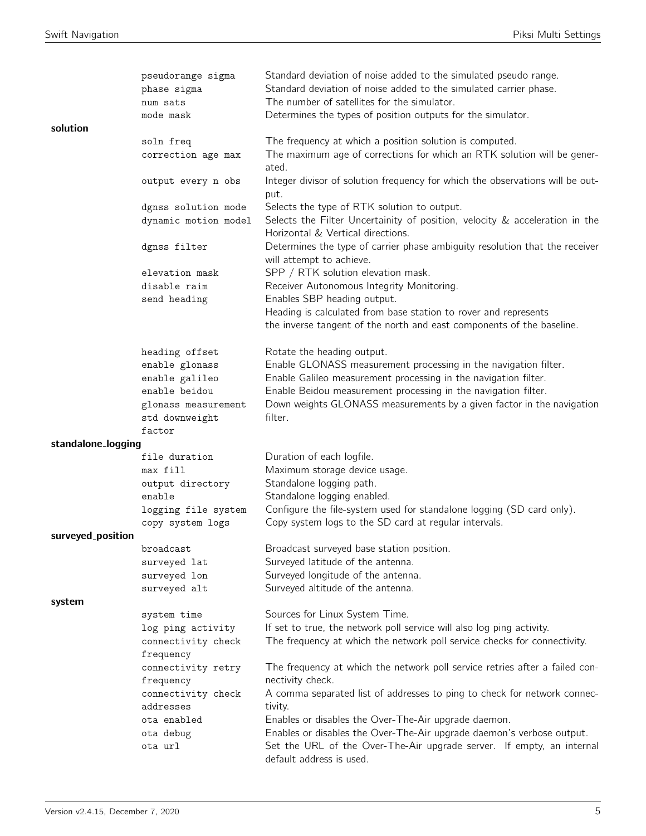|                    | pseudorange sigma<br>phase sigma<br>num sats | Standard deviation of noise added to the simulated pseudo range.<br>Standard deviation of noise added to the simulated carrier phase.<br>The number of satellites for the simulator.<br>Determines the types of position outputs for the simulator. |  |  |
|--------------------|----------------------------------------------|-----------------------------------------------------------------------------------------------------------------------------------------------------------------------------------------------------------------------------------------------------|--|--|
| solution           | mode mask                                    |                                                                                                                                                                                                                                                     |  |  |
|                    | soln freq                                    | The frequency at which a position solution is computed.                                                                                                                                                                                             |  |  |
|                    | correction age max                           | The maximum age of corrections for which an RTK solution will be gener-<br>ated.                                                                                                                                                                    |  |  |
|                    | output every n obs                           | Integer divisor of solution frequency for which the observations will be out-<br>put.                                                                                                                                                               |  |  |
|                    | dgnss solution mode<br>dynamic motion model  | Selects the type of RTK solution to output.<br>Selects the Filter Uncertainity of position, velocity & acceleration in the<br>Horizontal & Vertical directions.                                                                                     |  |  |
|                    | dgnss filter                                 | Determines the type of carrier phase ambiguity resolution that the receiver<br>will attempt to achieve.                                                                                                                                             |  |  |
|                    | elevation mask                               | SPP / RTK solution elevation mask.                                                                                                                                                                                                                  |  |  |
|                    | disable raim                                 | Receiver Autonomous Integrity Monitoring.                                                                                                                                                                                                           |  |  |
|                    | send heading                                 | Enables SBP heading output.                                                                                                                                                                                                                         |  |  |
|                    |                                              | Heading is calculated from base station to rover and represents<br>the inverse tangent of the north and east components of the baseline.                                                                                                            |  |  |
|                    | heading offset                               | Rotate the heading output.                                                                                                                                                                                                                          |  |  |
|                    | enable glonass                               | Enable GLONASS measurement processing in the navigation filter.                                                                                                                                                                                     |  |  |
|                    | enable galileo                               | Enable Galileo measurement processing in the navigation filter.                                                                                                                                                                                     |  |  |
|                    | enable beidou                                | Enable Beidou measurement processing in the navigation filter.                                                                                                                                                                                      |  |  |
|                    | glonass measurement                          | Down weights GLONASS measurements by a given factor in the navigation                                                                                                                                                                               |  |  |
|                    | std downweight<br>factor                     | filter.                                                                                                                                                                                                                                             |  |  |
| standalone_logging |                                              |                                                                                                                                                                                                                                                     |  |  |
|                    | file duration                                | Duration of each logfile.                                                                                                                                                                                                                           |  |  |
|                    | max fill                                     | Maximum storage device usage.                                                                                                                                                                                                                       |  |  |
|                    | output directory                             | Standalone logging path.                                                                                                                                                                                                                            |  |  |
|                    | enable                                       | Standalone logging enabled.                                                                                                                                                                                                                         |  |  |
|                    | logging file system                          | Configure the file-system used for standalone logging (SD card only).                                                                                                                                                                               |  |  |
| surveyed_position  | copy system logs                             | Copy system logs to the SD card at regular intervals.                                                                                                                                                                                               |  |  |
|                    | broadcast                                    | Broadcast surveyed base station position.                                                                                                                                                                                                           |  |  |
|                    | surveyed lat                                 | Surveyed latitude of the antenna.                                                                                                                                                                                                                   |  |  |
|                    | surveyed lon                                 | Surveyed longitude of the antenna.                                                                                                                                                                                                                  |  |  |
|                    | surveyed alt                                 | Surveyed altitude of the antenna.                                                                                                                                                                                                                   |  |  |
| system             |                                              |                                                                                                                                                                                                                                                     |  |  |
|                    | system time                                  | Sources for Linux System Time.                                                                                                                                                                                                                      |  |  |
|                    | log ping activity                            | If set to true, the network poll service will also log ping activity.<br>The frequency at which the network poll service checks for connectivity.                                                                                                   |  |  |
|                    | connectivity check<br>frequency              |                                                                                                                                                                                                                                                     |  |  |
|                    | connectivity retry                           | The frequency at which the network poll service retries after a failed con-                                                                                                                                                                         |  |  |
|                    | frequency                                    | nectivity check.                                                                                                                                                                                                                                    |  |  |
|                    | connectivity check                           | A comma separated list of addresses to ping to check for network connec-                                                                                                                                                                            |  |  |
|                    | addresses                                    | tivity.                                                                                                                                                                                                                                             |  |  |
|                    | ota enabled                                  | Enables or disables the Over-The-Air upgrade daemon.                                                                                                                                                                                                |  |  |
|                    | ota debug<br>ota url                         | Enables or disables the Over-The-Air upgrade daemon's verbose output.<br>Set the URL of the Over-The-Air upgrade server. If empty, an internal<br>default address is used.                                                                          |  |  |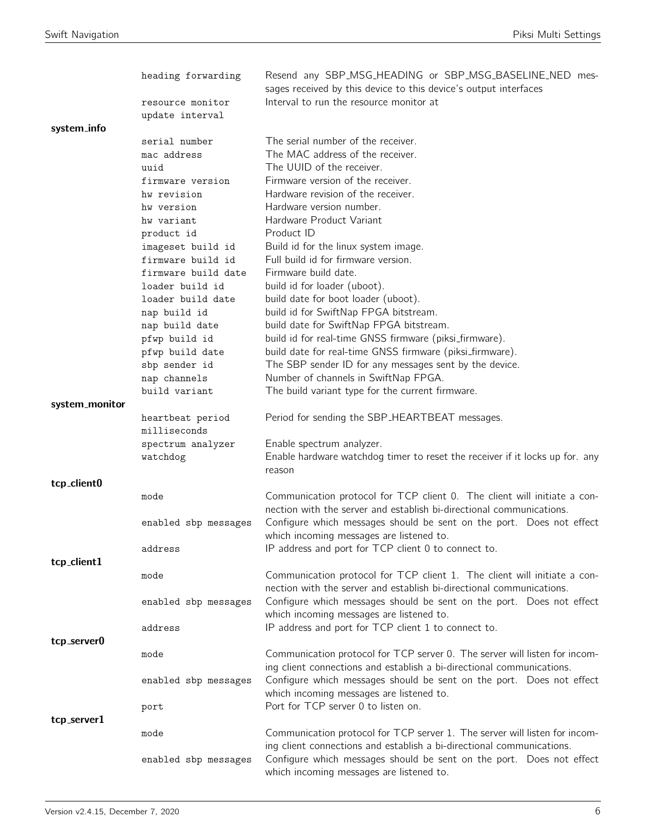|                | heading forwarding                  | Resend any SBP_MSG_HEADING or SBP_MSG_BASELINE_NED mes-<br>sages received by this device to this device's output interfaces                                                               |
|----------------|-------------------------------------|-------------------------------------------------------------------------------------------------------------------------------------------------------------------------------------------|
|                | resource monitor<br>update interval | Interval to run the resource monitor at                                                                                                                                                   |
| system_info    |                                     |                                                                                                                                                                                           |
|                | serial number                       | The serial number of the receiver.                                                                                                                                                        |
|                | mac address                         | The MAC address of the receiver.                                                                                                                                                          |
|                | uuid                                | The UUID of the receiver.                                                                                                                                                                 |
|                | firmware version                    | Firmware version of the receiver.                                                                                                                                                         |
|                | hw revision                         | Hardware revision of the receiver.                                                                                                                                                        |
|                | hw version                          | Hardware version number.                                                                                                                                                                  |
|                | hw variant                          | Hardware Product Variant                                                                                                                                                                  |
|                | product id                          | Product ID                                                                                                                                                                                |
|                | imageset build id                   | Build id for the linux system image.                                                                                                                                                      |
|                | firmware build id                   | Full build id for firmware version.                                                                                                                                                       |
|                | firmware build date                 | Firmware build date.                                                                                                                                                                      |
|                | loader build id                     | build id for loader (uboot).                                                                                                                                                              |
|                | loader build date                   | build date for boot loader (uboot).                                                                                                                                                       |
|                | nap build id                        | build id for SwiftNap FPGA bitstream.                                                                                                                                                     |
|                | nap build date                      | build date for SwiftNap FPGA bitstream.                                                                                                                                                   |
|                | pfwp build id                       | build id for real-time GNSS firmware (piksi_firmware).                                                                                                                                    |
|                | pfwp build date                     | build date for real-time GNSS firmware (piksi_firmware).                                                                                                                                  |
|                | sbp sender id                       | The SBP sender ID for any messages sent by the device.                                                                                                                                    |
|                | nap channels                        | Number of channels in SwiftNap FPGA.                                                                                                                                                      |
|                | build variant                       | The build variant type for the current firmware.                                                                                                                                          |
| system_monitor |                                     |                                                                                                                                                                                           |
|                | heartbeat period<br>milliseconds    | Period for sending the SBP_HEARTBEAT messages.                                                                                                                                            |
|                | spectrum analyzer                   | Enable spectrum analyzer.                                                                                                                                                                 |
|                | watchdog                            | Enable hardware watchdog timer to reset the receiver if it locks up for. any<br>reason                                                                                                    |
| tcp_client0    |                                     |                                                                                                                                                                                           |
|                | mode                                | Communication protocol for TCP client 0. The client will initiate a con-<br>nection with the server and establish bi-directional communications.                                          |
|                | enabled sbp messages                | Configure which messages should be sent on the port. Does not effect<br>which incoming messages are listened to.                                                                          |
|                | address                             | IP address and port for TCP client 0 to connect to.                                                                                                                                       |
| tcp_client1    | mode                                | Communication protocol for TCP client 1. The client will initiate a con-<br>nection with the server and establish bi-directional communications.                                          |
|                | enabled sbp messages                | Configure which messages should be sent on the port. Does not effect<br>which incoming messages are listened to.                                                                          |
| tcp_server0    | address                             | IP address and port for TCP client 1 to connect to.                                                                                                                                       |
|                | mode                                | Communication protocol for TCP server 0. The server will listen for incom-<br>ing client connections and establish a bi-directional communications.                                       |
|                | enabled sbp messages                | Configure which messages should be sent on the port. Does not effect<br>which incoming messages are listened to.                                                                          |
|                | port                                | Port for TCP server 0 to listen on.                                                                                                                                                       |
| tcp_server1    | mode                                | Communication protocol for TCP server 1. The server will listen for incom-                                                                                                                |
|                | enabled sbp messages                | ing client connections and establish a bi-directional communications.<br>Configure which messages should be sent on the port. Does not effect<br>which incoming messages are listened to. |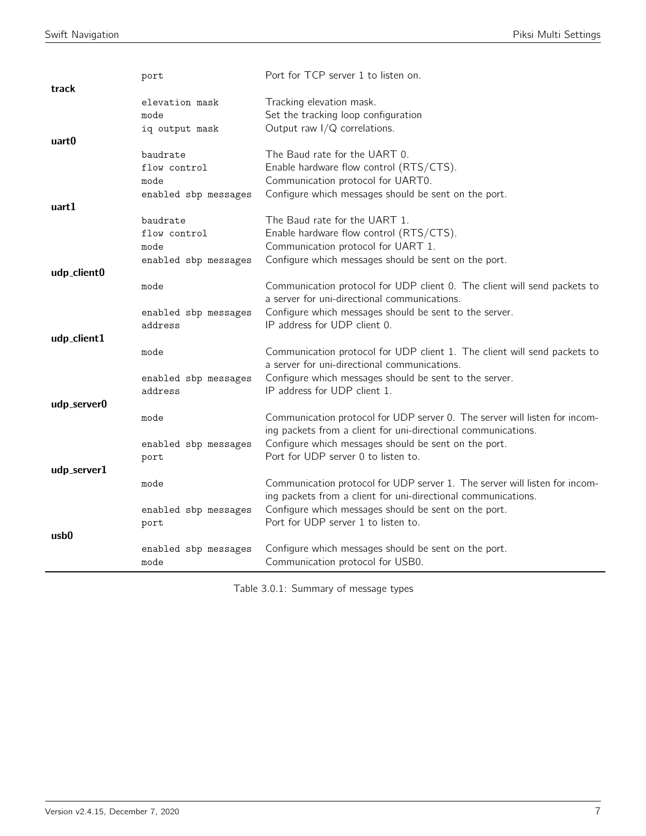|             | port                         | Port for TCP server 1 to listen on.                                                         |
|-------------|------------------------------|---------------------------------------------------------------------------------------------|
| track       | elevation mask               | Tracking elevation mask.                                                                    |
|             | mode                         | Set the tracking loop configuration                                                         |
|             | iq output mask               | Output raw $I/Q$ correlations.                                                              |
| uart0       |                              |                                                                                             |
|             | baudrate                     | The Baud rate for the UART 0.                                                               |
|             | flow control                 | Enable hardware flow control (RTS/CTS).                                                     |
|             | mode                         | Communication protocol for UART0.                                                           |
| uart1       | enabled sbp messages         | Configure which messages should be sent on the port.                                        |
|             | baudrate                     | The Baud rate for the UART 1.                                                               |
|             | flow control                 | Enable hardware flow control (RTS/CTS).                                                     |
|             | mode                         | Communication protocol for UART 1.                                                          |
|             | enabled sbp messages         | Configure which messages should be sent on the port.                                        |
| udp_client0 |                              |                                                                                             |
|             | mode                         | Communication protocol for UDP client 0. The client will send packets to                    |
|             |                              | a server for uni-directional communications.                                                |
|             | enabled sbp messages         | Configure which messages should be sent to the server.<br>IP address for UDP client 0.      |
| udp_client1 | address                      |                                                                                             |
|             | mode                         | Communication protocol for UDP client 1. The client will send packets to                    |
|             |                              | a server for uni-directional communications.                                                |
|             | enabled sbp messages         | Configure which messages should be sent to the server.                                      |
|             | address                      | IP address for UDP client 1.                                                                |
| udp_server0 |                              |                                                                                             |
|             | mode                         | Communication protocol for UDP server 0. The server will listen for incom-                  |
|             |                              | ing packets from a client for uni-directional communications.                               |
|             | enabled sbp messages<br>port | Configure which messages should be sent on the port.<br>Port for UDP server 0 to listen to. |
| udp_server1 |                              |                                                                                             |
|             | mode                         | Communication protocol for UDP server 1. The server will listen for incom-                  |
|             |                              | ing packets from a client for uni-directional communications.                               |
|             | enabled sbp messages         | Configure which messages should be sent on the port.                                        |
|             | port                         | Port for UDP server 1 to listen to.                                                         |
| usb0        |                              |                                                                                             |
|             | enabled sbp messages<br>mode | Configure which messages should be sent on the port.<br>Communication protocol for USB0.    |
|             |                              |                                                                                             |

Table 3.0.1: Summary of message types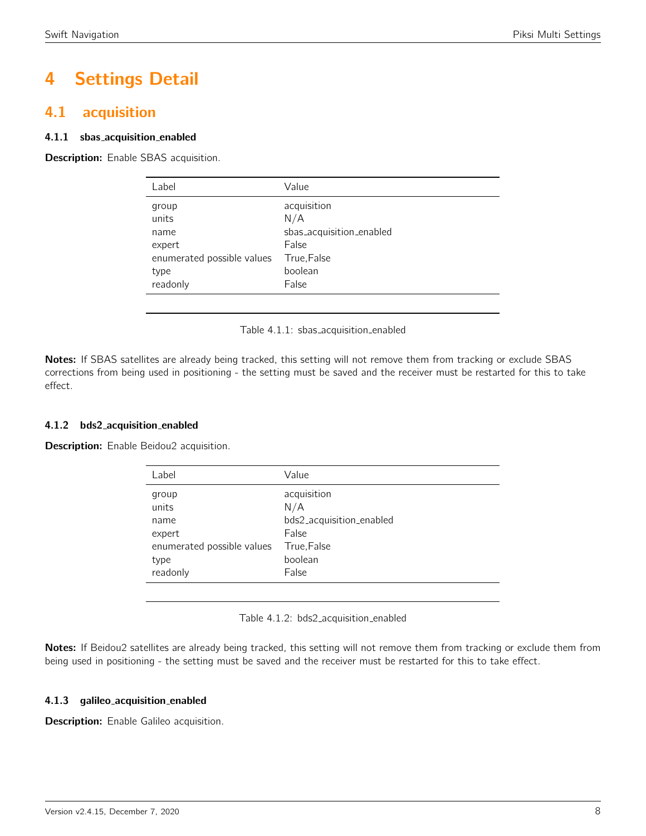# 4 Settings Detail

# <span id="page-7-0"></span>4.1 acquisition

# 4.1.1 sbas acquisition enabled

<span id="page-7-1"></span>Description: Enable SBAS acquisition.

| Label                      | Value                    |  |
|----------------------------|--------------------------|--|
| group                      | acquisition              |  |
| units                      | N/A                      |  |
| name                       | sbas_acquisition_enabled |  |
| expert                     | False                    |  |
| enumerated possible values | True, False              |  |
| type                       | boolean                  |  |
| readonly                   | False                    |  |
|                            |                          |  |

Table 4.1.1: sbas\_acquisition\_enabled

Notes: If SBAS satellites are already being tracked, this setting will not remove them from tracking or exclude SBAS corrections from being used in positioning - the setting must be saved and the receiver must be restarted for this to take effect.

## 4.1.2 bds2 acquisition enabled

<span id="page-7-2"></span>Description: Enable Beidou2 acquisition.

| Label                      | Value                    |  |
|----------------------------|--------------------------|--|
| group                      | acquisition              |  |
| units                      | N/A                      |  |
| name                       | bds2_acquisition_enabled |  |
| expert                     | False                    |  |
| enumerated possible values | True, False              |  |
| type                       | boolean                  |  |
| readonly                   | False                    |  |
|                            |                          |  |

Table 4.1.2: bds2 acquisition enabled

Notes: If Beidou2 satellites are already being tracked, this setting will not remove them from tracking or exclude them from being used in positioning - the setting must be saved and the receiver must be restarted for this to take effect.

## 4.1.3 galileo acquisition enabled

Description: Enable Galileo acquisition.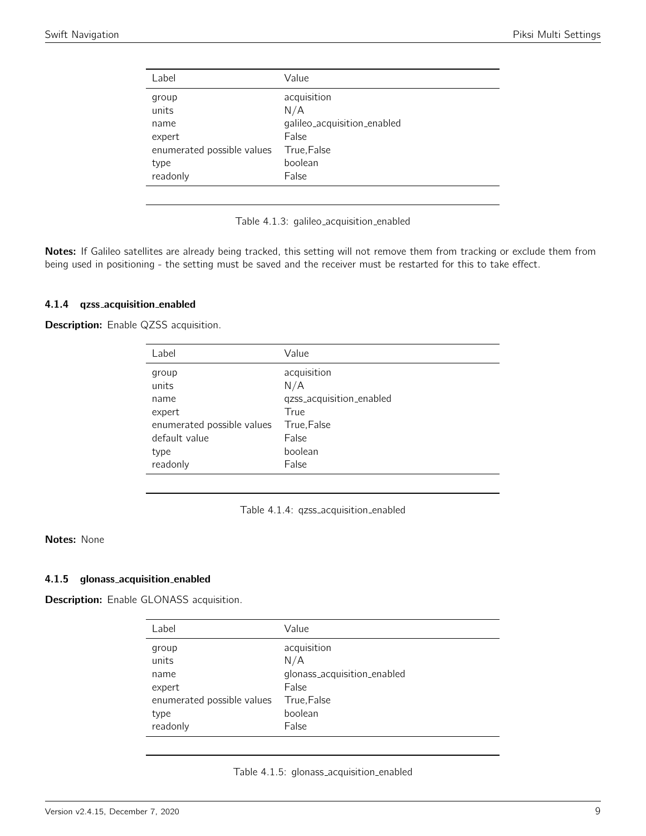<span id="page-8-0"></span>

| Label                      | Value                       |  |
|----------------------------|-----------------------------|--|
| group                      | acquisition                 |  |
| units                      | N/A                         |  |
| name                       | galileo_acquisition_enabled |  |
| expert                     | False                       |  |
| enumerated possible values | True, False                 |  |
| type                       | boolean                     |  |
| readonly                   | False                       |  |
|                            |                             |  |



Notes: If Galileo satellites are already being tracked, this setting will not remove them from tracking or exclude them from being used in positioning - the setting must be saved and the receiver must be restarted for this to take effect.

#### 4.1.4 qzss acquisition enabled

<span id="page-8-1"></span>Description: Enable QZSS acquisition.

| Label                                                                                   | Value                                                                                     |
|-----------------------------------------------------------------------------------------|-------------------------------------------------------------------------------------------|
| group<br>units<br>name<br>expert<br>enumerated possible values<br>default value<br>type | acquisition<br>N/A<br>qzss_acquisition_enabled<br>True<br>True, False<br>False<br>boolean |
| readonly                                                                                | False                                                                                     |
|                                                                                         |                                                                                           |



# Notes: None

#### 4.1.5 glonass acquisition enabled

<span id="page-8-2"></span>**Description:** Enable GLONASS acquisition.

| Label                      | Value                       |
|----------------------------|-----------------------------|
| group<br>units             | acquisition<br>N/A          |
| name                       | glonass_acquisition_enabled |
| expert                     | False                       |
| enumerated possible values | True, False                 |
| type                       | boolean                     |
| readonly                   | False                       |

| Table 4.1.5: glonass_acquisition_enabled |  |  |  |
|------------------------------------------|--|--|--|
|------------------------------------------|--|--|--|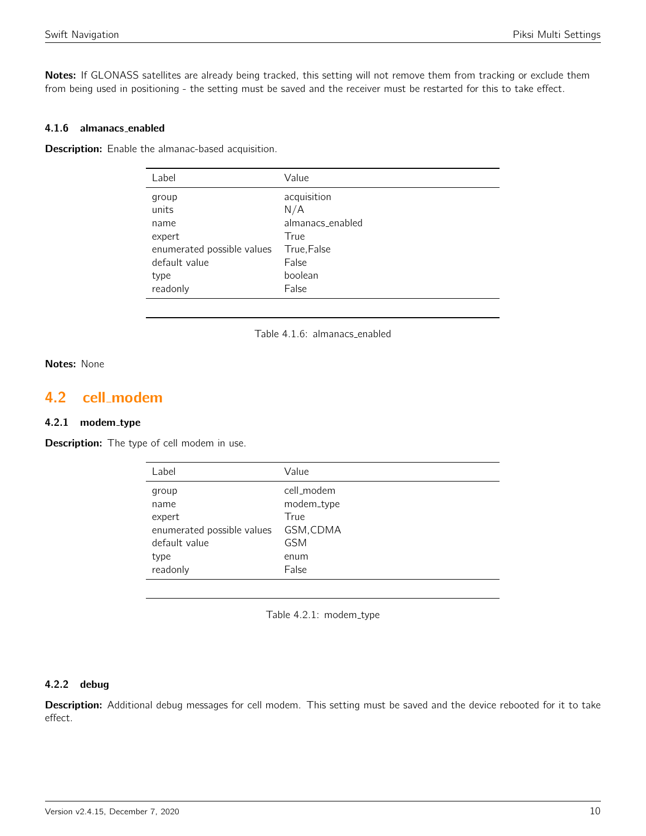Notes: If GLONASS satellites are already being tracked, this setting will not remove them from tracking or exclude them from being used in positioning - the setting must be saved and the receiver must be restarted for this to take effect.

# 4.1.6 almanacs enabled

Description: Enable the almanac-based acquisition.

| Label                      | Value            |
|----------------------------|------------------|
| group                      | acquisition      |
| units                      | N/A              |
| name                       | almanacs enabled |
| expert                     | True             |
| enumerated possible values | True, False      |
| default value              | False            |
| type                       | boolean          |
| readonly                   | False            |

Table 4.1.6: almanacs enabled

# Notes: None

# <span id="page-9-0"></span>4.2 cell modem

## 4.2.1 modem\_type

<span id="page-9-1"></span>**Description:** The type of cell modem in use.

| Label                      | Value      |
|----------------------------|------------|
| group                      | cell_modem |
| name                       | modem_type |
| expert                     | True       |
| enumerated possible values | GSM, CDMA  |
| default value              | <b>GSM</b> |
| type                       | enum       |
| readonly                   | False      |

Table 4.2.1: modem\_type

#### 4.2.2 debug

Description: Additional debug messages for cell modem. This setting must be saved and the device rebooted for it to take effect.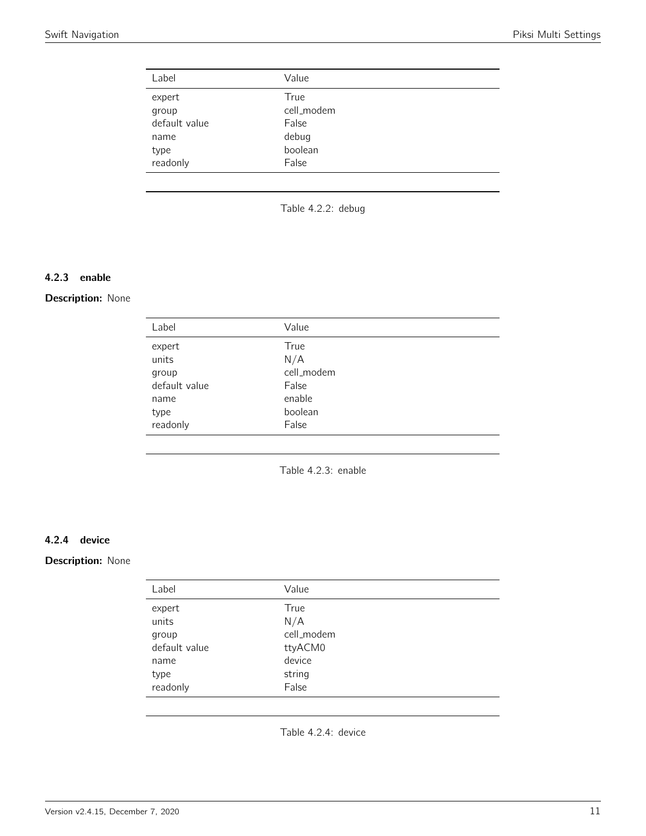<span id="page-10-0"></span>

| Value      |
|------------|
| True       |
| cell_modem |
| False      |
| debug      |
| boolean    |
| False      |
|            |

Table 4.2.2: debug

# 4.2.3 enable

# <span id="page-10-1"></span>Description: None

| Label         | Value      |
|---------------|------------|
| expert        | True       |
| units         | N/A        |
| group         | cell_modem |
| default value | False      |
| name          | enable     |
| type          | boolean    |
| readonly      | False      |
|               |            |

Table 4.2.3: enable

# 4.2.4 device

# <span id="page-10-2"></span>Description: None

| Label         | Value      |  |
|---------------|------------|--|
| expert        | True       |  |
| units         | N/A        |  |
| group         | cell_modem |  |
| default value | ttyACM0    |  |
| name          | device     |  |
| type          | string     |  |
| readonly      | False      |  |
|               |            |  |

Table 4.2.4: device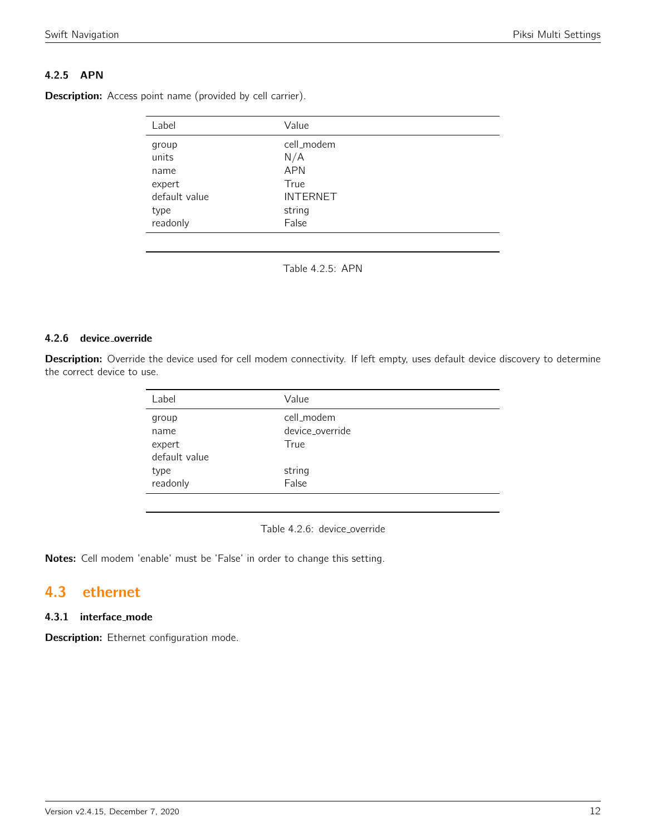# 4.2.5 APN

<span id="page-11-0"></span>Description: Access point name (provided by cell carrier).

| Label                                                                 | Value                                                                         |
|-----------------------------------------------------------------------|-------------------------------------------------------------------------------|
| group<br>units<br>name<br>expert<br>default value<br>type<br>readonly | cell_modem<br>N/A<br><b>APN</b><br>True<br><b>INTERNET</b><br>string<br>False |



# 4.2.6 device override

Description: Override the device used for cell modem connectivity. If left empty, uses default device discovery to determine the correct device to use.

| Label         | Value           |
|---------------|-----------------|
| group         | cell_modem      |
| name          | device_override |
| expert        | True            |
| default value |                 |
| type          | string          |
| readonly      | False           |
|               |                 |

Table 4.2.6: device\_override

Notes: Cell modem 'enable' must be 'False' in order to change this setting.

# <span id="page-11-1"></span>4.3 ethernet

# 4.3.1 interface mode

Description: Ethernet configuration mode.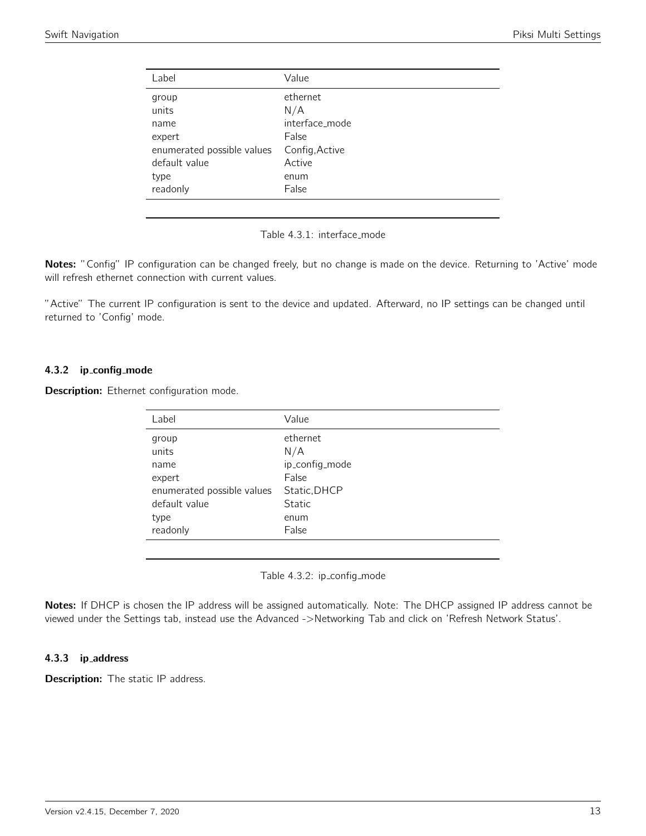<span id="page-12-0"></span>

| Label                      | Value          |
|----------------------------|----------------|
| group                      | ethernet       |
| units                      | N/A            |
| name                       | interface mode |
| expert                     | False          |
| enumerated possible values | Config, Active |
| default value              | Active         |
| type                       | enum           |
| readonly                   | False          |
|                            |                |

Table 4.3.1: interface mode

Notes: "Config" IP configuration can be changed freely, but no change is made on the device. Returning to 'Active' mode will refresh ethernet connection with current values.

"Active" The current IP configuration is sent to the device and updated. Afterward, no IP settings can be changed until returned to 'Config' mode.

## 4.3.2 ip config mode

<span id="page-12-1"></span>Description: Ethernet configuration mode.

| Label                      | Value          |
|----------------------------|----------------|
| group                      | ethernet       |
| units                      | N/A            |
| name                       | ip_config_mode |
| expert                     | False          |
| enumerated possible values | Static, DHCP   |
| default value              | <b>Static</b>  |
| type                       | enum           |
| readonly                   | False          |
|                            |                |

Table 4.3.2: ip\_config\_mode

Notes: If DHCP is chosen the IP address will be assigned automatically. Note: The DHCP assigned IP address cannot be viewed under the Settings tab, instead use the Advanced ->Networking Tab and click on 'Refresh Network Status'.

## 4.3.3 ip address

**Description:** The static IP address.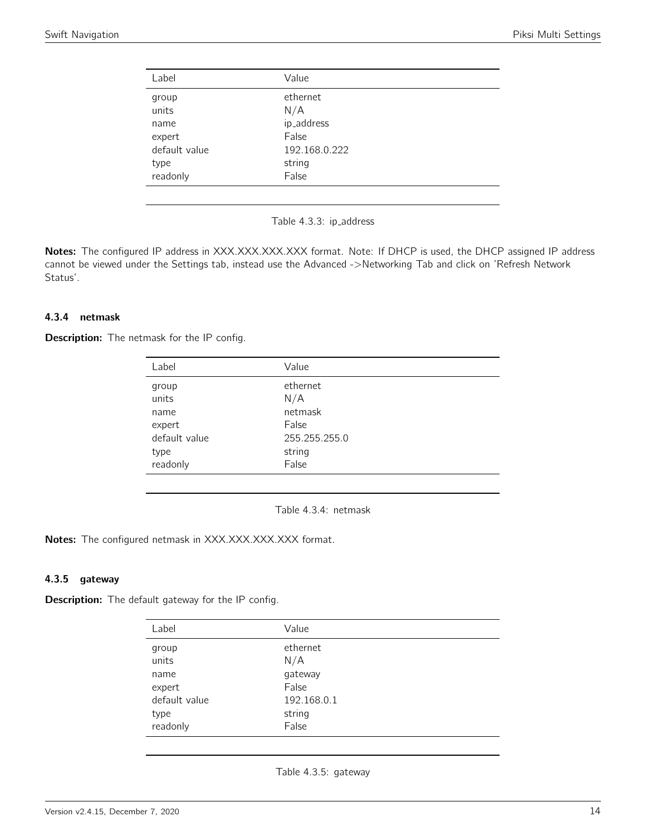<span id="page-13-0"></span>

| Label          | Value           |
|----------------|-----------------|
| group<br>units | ethernet<br>N/A |
| name           | ip_address      |
| expert         | False           |
| default value  | 192.168.0.222   |
| type           | string          |
| readonly       | False           |
|                |                 |



Notes: The configured IP address in XXX.XXX.XXX.XXX format. Note: If DHCP is used, the DHCP assigned IP address cannot be viewed under the Settings tab, instead use the Advanced ->Networking Tab and click on 'Refresh Network Status'.

# 4.3.4 netmask

<span id="page-13-1"></span>**Description:** The netmask for the IP config.

| Label          | Value           |
|----------------|-----------------|
| group<br>units | ethernet<br>N/A |
| name           | netmask         |
| expert         | False           |
| default value  | 255.255.255.0   |
| type           | string          |
| readonly       | False           |
|                |                 |

Table 4.3.4: netmask

Notes: The configured netmask in XXX.XXX.XXX.XXX format.

#### 4.3.5 gateway

**Description:** The default gateway for the IP config.

| Label            | Value           |
|------------------|-----------------|
| group<br>units   | ethernet<br>N/A |
| name             | gateway         |
| expert           | False           |
| default value    | 192.168.0.1     |
| type<br>readonly | string<br>False |
|                  |                 |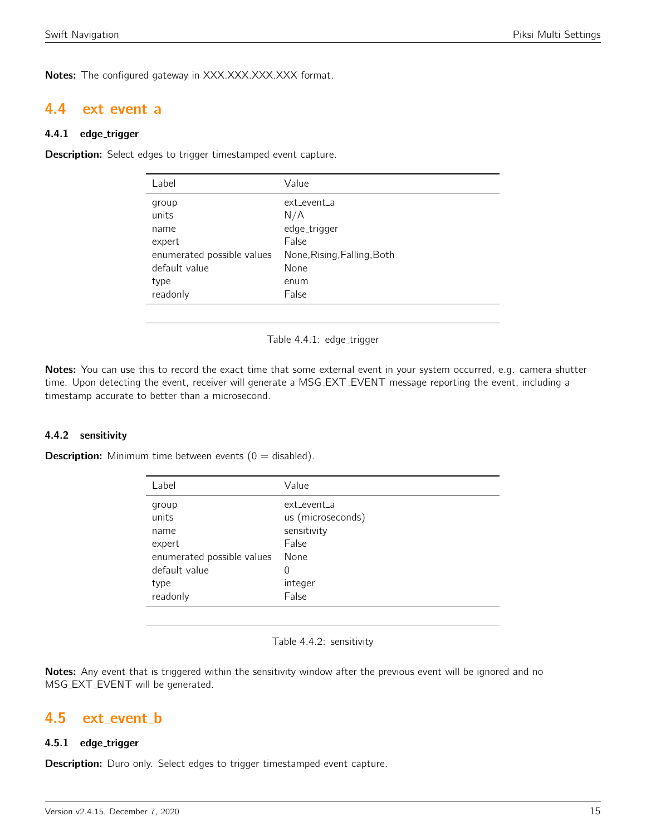Notes: The configured gateway in XXX.XXX.XXX.XXX format.

# <span id="page-14-0"></span>4.4 ext event a

# 4.4.1 edge\_trigger

<span id="page-14-1"></span>**Description:** Select edges to trigger timestamped event capture.

| Label                                                                                   | Value                                                                                      |
|-----------------------------------------------------------------------------------------|--------------------------------------------------------------------------------------------|
| group<br>units<br>name<br>expert<br>enumerated possible values<br>default value<br>type | ext_event_a<br>N/A<br>edge_trigger<br>False<br>None, Rising, Falling, Both<br>None<br>enum |
| readonly                                                                                | False                                                                                      |
|                                                                                         |                                                                                            |

Table 4.4.1: edge\_trigger

Notes: You can use this to record the exact time that some external event in your system occurred, e.g. camera shutter time. Upon detecting the event, receiver will generate a MSG EXT EVENT message reporting the event, including a timestamp accurate to better than a microsecond.

## 4.4.2 sensitivity

**Description:** Minimum time between events  $(0 = \text{disabeled})$ .

| Label                      | Value             |
|----------------------------|-------------------|
| group                      | ext event a       |
| units                      | us (microseconds) |
| name                       | sensitivity       |
| expert                     | False             |
| enumerated possible values | None              |
| default value              | 0                 |
| type                       | integer           |
| readonly                   | False             |
|                            |                   |

Table 4.4.2: sensitivity

Notes: Any event that is triggered within the sensitivity window after the previous event will be ignored and no MSG EXT EVENT will be generated.

# <span id="page-14-2"></span>4.5 ext\_event\_b

# 4.5.1 edge\_trigger

**Description:** Duro only. Select edges to trigger timestamped event capture.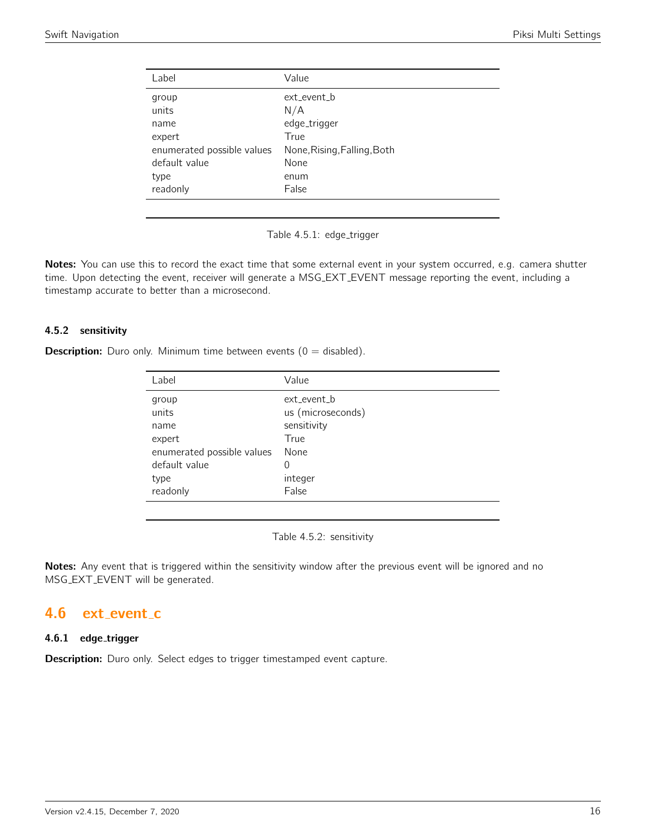<span id="page-15-0"></span>

| Label                      | Value                       |
|----------------------------|-----------------------------|
| group                      | ext_event_b                 |
| units                      | N/A                         |
| name                       | edge_trigger                |
| expert                     | True                        |
| enumerated possible values | None, Rising, Falling, Both |
| default value              | None                        |
| type                       | enum                        |
| readonly                   | False                       |
|                            |                             |

Table 4.5.1: edge\_trigger

Notes: You can use this to record the exact time that some external event in your system occurred, e.g. camera shutter time. Upon detecting the event, receiver will generate a MSG EXT EVENT message reporting the event, including a timestamp accurate to better than a microsecond.

# 4.5.2 sensitivity

**Description:** Duro only. Minimum time between events  $(0 = \text{disabled})$ .

| Label                      | Value             |
|----------------------------|-------------------|
| group                      | ext_event_b       |
| units                      | us (microseconds) |
| name                       | sensitivity       |
| expert                     | True              |
| enumerated possible values | None              |
| default value              | 0                 |
| type                       | integer           |
| readonly                   | False             |
|                            |                   |

Table 4.5.2: sensitivity

Notes: Any event that is triggered within the sensitivity window after the previous event will be ignored and no MSG EXT EVENT will be generated.

# <span id="page-15-1"></span>4.6 ext\_event\_c

# 4.6.1 edge\_trigger

**Description:** Duro only. Select edges to trigger timestamped event capture.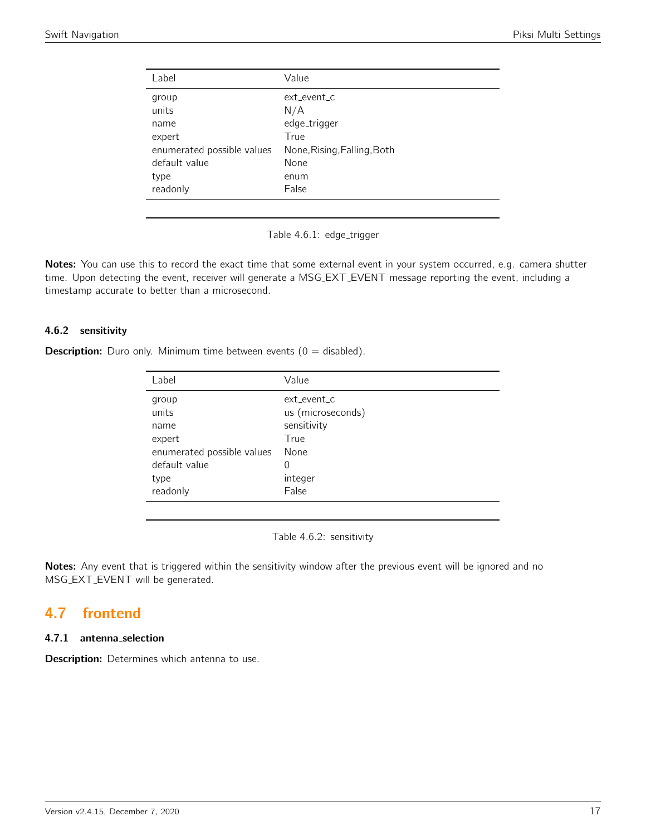<span id="page-16-0"></span>

| Label                      | Value                       |
|----------------------------|-----------------------------|
| group                      | ext event c                 |
| units                      | N/A                         |
| name                       | edge_trigger                |
| expert                     | True                        |
| enumerated possible values | None, Rising, Falling, Both |
| default value              | None                        |
| type                       | enum                        |
| readonly                   | False                       |
|                            |                             |

Table 4.6.1: edge\_trigger

Notes: You can use this to record the exact time that some external event in your system occurred, e.g. camera shutter time. Upon detecting the event, receiver will generate a MSG EXT EVENT message reporting the event, including a timestamp accurate to better than a microsecond.

# 4.6.2 sensitivity

**Description:** Duro only. Minimum time between events  $(0 = \text{disabled})$ .

| Label                      | Value             |
|----------------------------|-------------------|
| group                      | ext_event_c       |
| units                      | us (microseconds) |
| name                       | sensitivity       |
| expert                     | True              |
| enumerated possible values | None              |
| default value              | 0                 |
| type                       | integer           |
| readonly                   | False             |
|                            |                   |

Table 4.6.2: sensitivity

Notes: Any event that is triggered within the sensitivity window after the previous event will be ignored and no MSG EXT EVENT will be generated.

# <span id="page-16-1"></span>4.7 frontend

# 4.7.1 antenna selection

**Description:** Determines which antenna to use.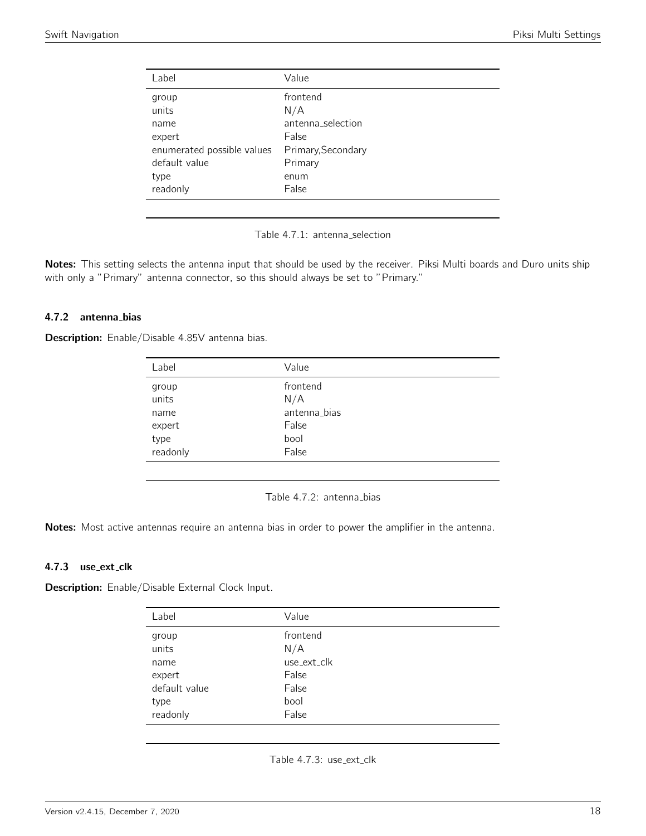<span id="page-17-0"></span>

| Label                      | Value              |
|----------------------------|--------------------|
| group                      | frontend           |
| units                      | N/A                |
| name                       | antenna selection  |
| expert                     | False              |
| enumerated possible values | Primary, Secondary |
| default value              | Primary            |
| type                       | enum               |
| readonly                   | False              |
|                            |                    |

Table 4.7.1: antenna\_selection

Notes: This setting selects the antenna input that should be used by the receiver. Piksi Multi boards and Duro units ship with only a "Primary" antenna connector, so this should always be set to "Primary."

#### 4.7.2 antenna bias

<span id="page-17-1"></span>Description: Enable/Disable 4.85V antenna bias.

| frontend<br>group<br>units<br>N/A<br>antenna_bias<br>name<br>False<br>expert<br>bool<br>type<br>readonly<br>False | Label | Value |
|-------------------------------------------------------------------------------------------------------------------|-------|-------|
|                                                                                                                   |       |       |
|                                                                                                                   |       |       |
|                                                                                                                   |       |       |
|                                                                                                                   |       |       |
|                                                                                                                   |       |       |

Table 4.7.2: antenna\_bias

Notes: Most active antennas require an antenna bias in order to power the amplifier in the antenna.

#### 4.7.3 use\_ext\_clk

<span id="page-17-2"></span>Description: Enable/Disable External Clock Input.

| Label          | Value           |
|----------------|-----------------|
| group<br>units | frontend<br>N/A |
| name           | use_ext_clk     |
| expert         | False           |
| default value  | False           |
| type           | bool            |
| readonly       | False           |

Table 4.7.3: use\_ext\_clk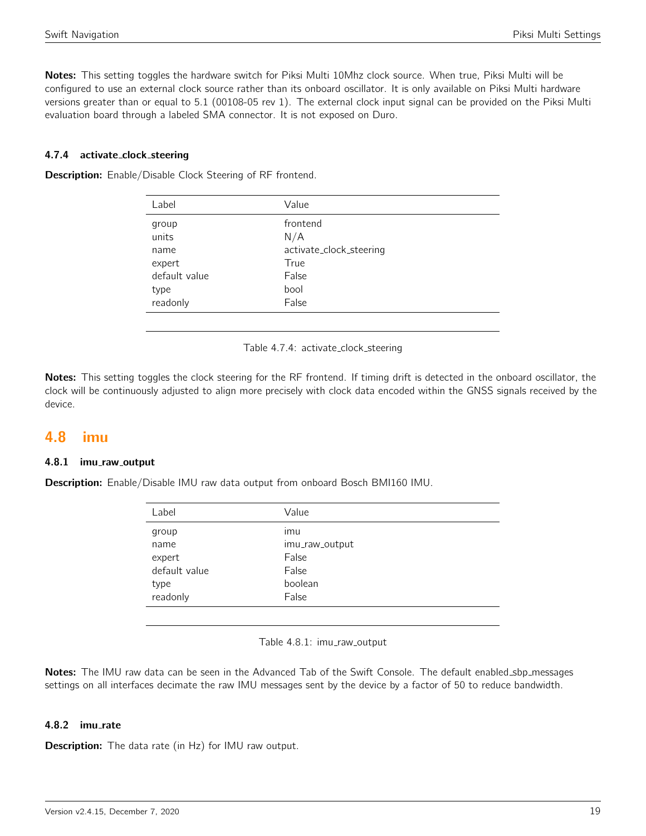Notes: This setting toggles the hardware switch for Piksi Multi 10Mhz clock source. When true, Piksi Multi will be configured to use an external clock source rather than its onboard oscillator. It is only available on Piksi Multi hardware versions greater than or equal to 5.1 (00108-05 rev 1). The external clock input signal can be provided on the Piksi Multi evaluation board through a labeled SMA connector. It is not exposed on Duro.

# 4.7.4 activate clock steering

Description: Enable/Disable Clock Steering of RF frontend.

| Label         | Value                   |
|---------------|-------------------------|
| group         | frontend                |
| units         | N/A                     |
| name          | activate_clock_steering |
| expert        | True                    |
| default value | False                   |
| type          | bool                    |
| readonly      | False                   |
|               |                         |

Table 4.7.4: activate clock steering

Notes: This setting toggles the clock steering for the RF frontend. If timing drift is detected in the onboard oscillator, the clock will be continuously adjusted to align more precisely with clock data encoded within the GNSS signals received by the device.

# <span id="page-18-0"></span>4.8 imu

## 4.8.1 imu\_raw\_output

<span id="page-18-1"></span>Description: Enable/Disable IMU raw data output from onboard Bosch BMI160 IMU.

| Label         | Value          |
|---------------|----------------|
| group         | imu            |
| name          | imu_raw_output |
| expert        | False          |
| default value | False          |
| type          | boolean        |
| readonly      | False          |
|               |                |

Table 4.8.1: imu\_raw\_output

Notes: The IMU raw data can be seen in the Advanced Tab of the Swift Console. The default enabled\_sbp\_messages settings on all interfaces decimate the raw IMU messages sent by the device by a factor of 50 to reduce bandwidth.

## 4.8.2 imu rate

**Description:** The data rate (in Hz) for IMU raw output.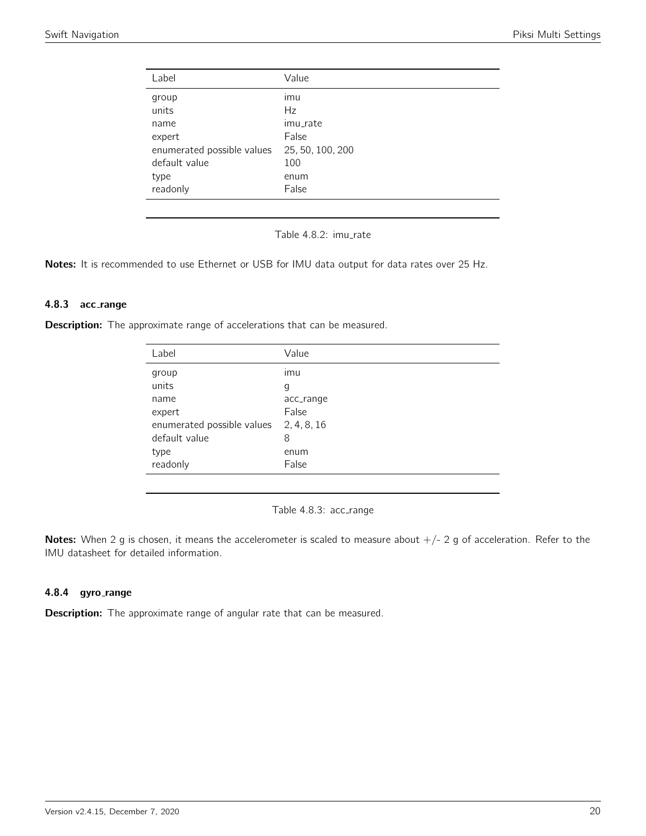<span id="page-19-0"></span>

| Label                      | Value            |
|----------------------------|------------------|
| group                      | imu              |
| units                      | Hz               |
| name                       | imu_rate         |
| expert                     | False            |
| enumerated possible values | 25, 50, 100, 200 |
| default value              | 100              |
| type                       | enum             |
| readonly                   | False            |
|                            |                  |

Table 4.8.2: imu\_rate

Notes: It is recommended to use Ethernet or USB for IMU data output for data rates over 25 Hz.

#### 4.8.3 acc range

<span id="page-19-1"></span>Description: The approximate range of accelerations that can be measured.

| Label                      | Value       |
|----------------------------|-------------|
| group                      | ımu         |
| units                      | g           |
| name                       | acc_range   |
| expert                     | False       |
| enumerated possible values | 2, 4, 8, 16 |
| default value              | 8           |
| type                       | enum        |
| readonly                   | False       |
|                            |             |

Table 4.8.3: acc\_range

Notes: When 2 g is chosen, it means the accelerometer is scaled to measure about  $+/- 2$  g of acceleration. Refer to the IMU datasheet for detailed information.

## 4.8.4 gyro\_range

Description: The approximate range of angular rate that can be measured.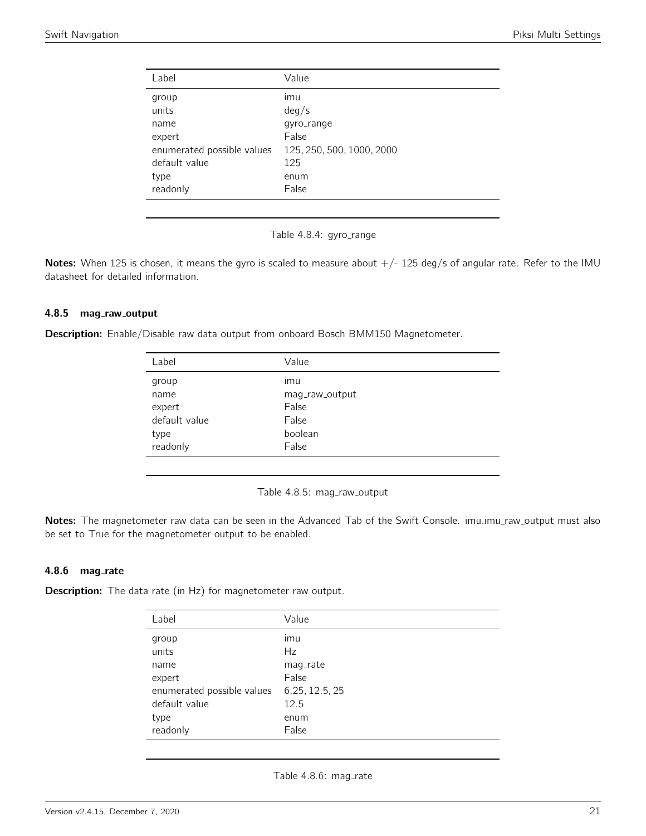<span id="page-20-0"></span>

| Label                      | Value                     |
|----------------------------|---------------------------|
| group                      | ımu                       |
| units                      | deg/s                     |
| name                       | qyro_range                |
| expert                     | False                     |
| enumerated possible values | 125, 250, 500, 1000, 2000 |
| default value              | 125                       |
| type                       | enum                      |
| readonly                   | False                     |
|                            |                           |

Table 4.8.4: gyro\_range

Notes: When 125 is chosen, it means the gyro is scaled to measure about  $+/-$  125 deg/s of angular rate. Refer to the IMU datasheet for detailed information.

# 4.8.5 mag\_raw\_output

<span id="page-20-1"></span>Description: Enable/Disable raw data output from onboard Bosch BMM150 Magnetometer.

| Label         | Value          |  |
|---------------|----------------|--|
| group         | ımu            |  |
| name          | mag_raw_output |  |
| expert        | False          |  |
| default value | False          |  |
| type          | boolean        |  |
| readonly      | False          |  |
|               |                |  |

Table 4.8.5: mag\_raw\_output

Notes: The magnetometer raw data can be seen in the Advanced Tab of the Swift Console. imu.imu\_raw\_output must also be set to True for the magnetometer output to be enabled.

#### 4.8.6 mag\_rate

**Description:** The data rate (in Hz) for magnetometer raw output.

| Label                      | Value          |
|----------------------------|----------------|
| group                      | ٠<br>ımu       |
| units                      | Hz             |
| name                       | mag_rate       |
| expert                     | False          |
| enumerated possible values | 6.25, 12.5, 25 |
| default value              | 12.5           |
| type                       | enum           |
| readonly                   | False          |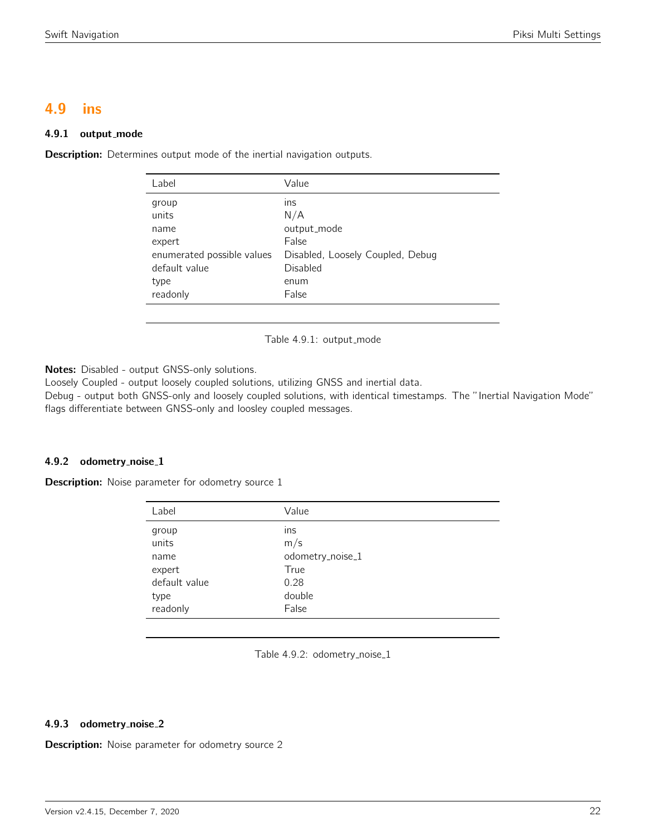# <span id="page-21-0"></span>4.9 ins

# 4.9.1 output mode

<span id="page-21-1"></span>**Description:** Determines output mode of the inertial navigation outputs.

| Label                                                                                               | Value                                                                                               |
|-----------------------------------------------------------------------------------------------------|-----------------------------------------------------------------------------------------------------|
| group<br>units<br>name<br>expert<br>enumerated possible values<br>default value<br>type<br>readonly | ins<br>N/A<br>output_mode<br>False<br>Disabled, Loosely Coupled, Debug<br>Disabled<br>enum<br>False |
|                                                                                                     |                                                                                                     |

Table 4.9.1: output mode

Notes: Disabled - output GNSS-only solutions.

Loosely Coupled - output loosely coupled solutions, utilizing GNSS and inertial data.

Debug - output both GNSS-only and loosely coupled solutions, with identical timestamps. The "Inertial Navigation Mode" flags differentiate between GNSS-only and loosley coupled messages.

# 4.9.2 odometry\_noise\_1

<span id="page-21-2"></span>**Description:** Noise parameter for odometry source 1

| Label         | Value            |
|---------------|------------------|
| group         | ins              |
| units         | m/s              |
| name          | odometry_noise_1 |
| expert        | True             |
| default value | 0.28             |
| type          | double           |
| readonly      | False            |
|               |                  |

Table 4.9.2: odometry\_noise\_1

## 4.9.3 odometry\_noise\_2

**Description:** Noise parameter for odometry source 2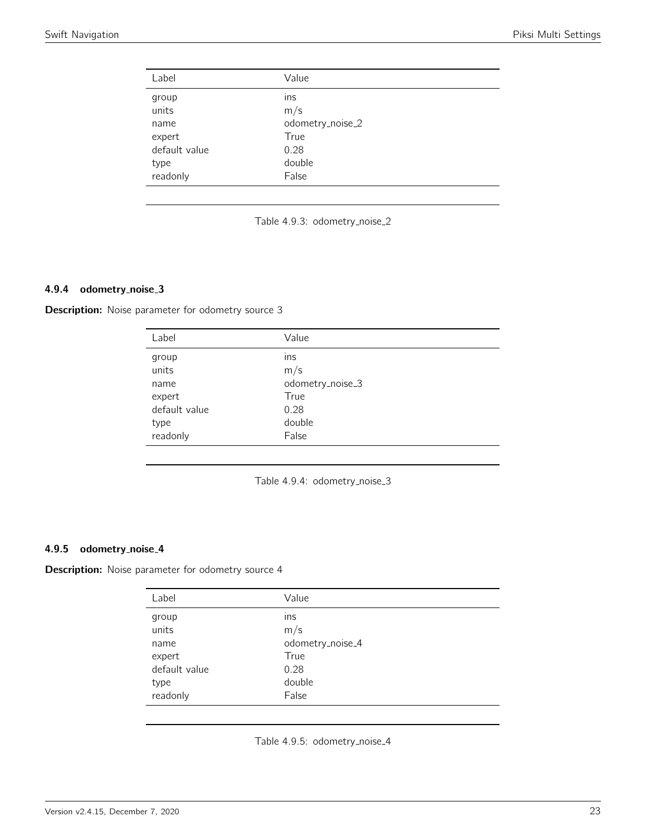<span id="page-22-0"></span>

| Label         | Value            |
|---------------|------------------|
| group         | ins              |
| units         | m/s              |
| name          | odometry_noise_2 |
| expert        | True             |
| default value | 0.28             |
| type          | double           |
| readonly      | False            |
|               |                  |



# 4.9.4 odometry noise 3

<span id="page-22-1"></span>Description: Noise parameter for odometry source 3

| Label         | Value            |
|---------------|------------------|
| group         | ins              |
| units         | m/s              |
| name          | odometry_noise_3 |
| expert        | True             |
| default value | 0.28             |
| type          | double           |
| readonly      | False            |

Table 4.9.4: odometry\_noise\_3

# 4.9.5 odometry noise 4

<span id="page-22-2"></span>**Description:** Noise parameter for odometry source 4

| Label         | Value            |
|---------------|------------------|
| group         | ins              |
| units         | m/s              |
| name          | odometry_noise_4 |
| expert        | True             |
| default value | 0.28             |
| type          | double           |
| readonly      | False            |
|               |                  |

Table 4.9.5: odometry\_noise\_4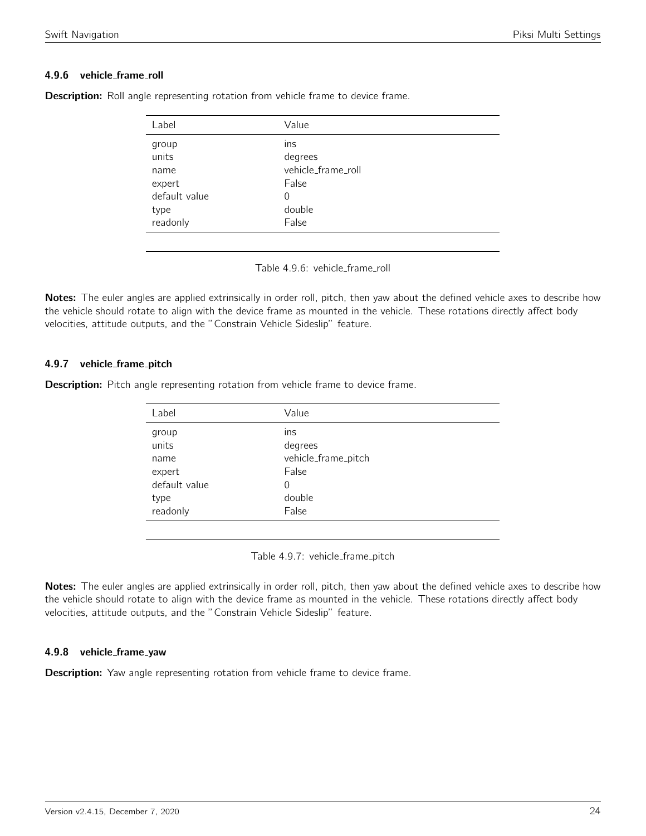# 4.9.6 vehicle frame roll

| Label         | Value              |
|---------------|--------------------|
| group         | ins                |
| units         | degrees            |
| name          | vehicle_frame_roll |
| expert        | False              |
| default value | 0                  |
| type          | double             |
| readonly      | False              |
|               |                    |

<span id="page-23-0"></span>**Description:** Roll angle representing rotation from vehicle frame to device frame.

Table 4.9.6: vehicle frame roll

Notes: The euler angles are applied extrinsically in order roll, pitch, then yaw about the defined vehicle axes to describe how the vehicle should rotate to align with the device frame as mounted in the vehicle. These rotations directly affect body velocities, attitude outputs, and the "Constrain Vehicle Sideslip" feature.

## 4.9.7 vehicle\_frame\_pitch

<span id="page-23-1"></span>**Description:** Pitch angle representing rotation from vehicle frame to device frame.

| Label          | Value                          |
|----------------|--------------------------------|
| group<br>units | ins                            |
| name           | degrees<br>vehicle_frame_pitch |
| expert         | False                          |
| default value  | 0                              |
| type           | double                         |
| readonly       | False                          |
|                |                                |

Table 4.9.7: vehicle\_frame\_pitch

Notes: The euler angles are applied extrinsically in order roll, pitch, then yaw about the defined vehicle axes to describe how the vehicle should rotate to align with the device frame as mounted in the vehicle. These rotations directly affect body velocities, attitude outputs, and the "Constrain Vehicle Sideslip" feature.

## 4.9.8 vehicle frame yaw

Description: Yaw angle representing rotation from vehicle frame to device frame.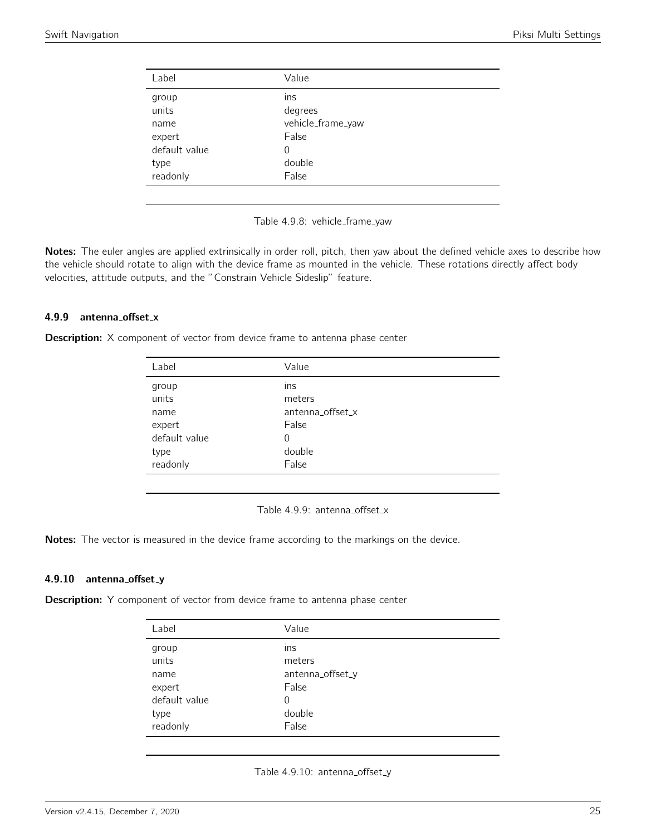<span id="page-24-0"></span>

| Label         | Value             |
|---------------|-------------------|
| group         | ins               |
| units         | degrees           |
| name          | vehicle_frame_yaw |
| expert        | False             |
| default value | 0                 |
| type          | double            |
| readonly      | False             |

Table 4.9.8: vehicle\_frame\_yaw

Notes: The euler angles are applied extrinsically in order roll, pitch, then yaw about the defined vehicle axes to describe how the vehicle should rotate to align with the device frame as mounted in the vehicle. These rotations directly affect body velocities, attitude outputs, and the "Constrain Vehicle Sideslip" feature.

## 4.9.9 antenna offset x

<span id="page-24-1"></span>**Description:** X component of vector from device frame to antenna phase center

| Label         | Value            |
|---------------|------------------|
| group         | ins              |
| units         | meters           |
| name          | antenna_offset_x |
| expert        | False            |
| default value | 0                |
| type          | double           |
| readonly      | False            |
|               |                  |

Table 4.9.9: antenna\_offset\_x

Notes: The vector is measured in the device frame according to the markings on the device.

#### 4.9.10 antenna offset y

<span id="page-24-2"></span>**Description:** Y component of vector from device frame to antenna phase center

| Label         | Value            |
|---------------|------------------|
| group         | ins              |
| units         | meters           |
| name          | antenna_offset_y |
| expert        | False            |
| default value | 0                |
| type          | double           |
| readonly      | False            |
|               |                  |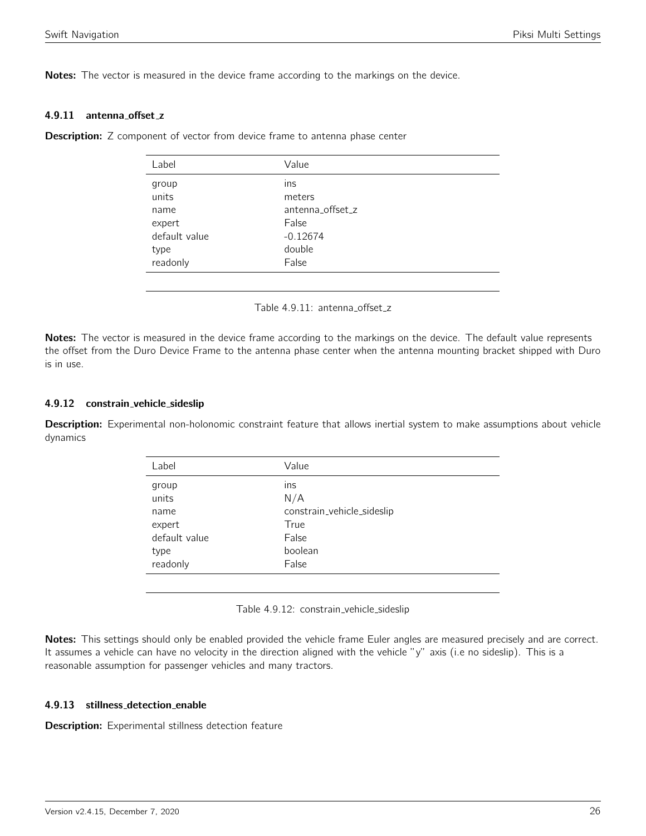Notes: The vector is measured in the device frame according to the markings on the device.

#### 4.9.11 antenna offset z

<span id="page-25-0"></span>**Description:** Z component of vector from device frame to antenna phase center

| Label         | Value            |
|---------------|------------------|
| group         | ins              |
| units         | meters           |
| name          | antenna_offset_z |
| expert        | False            |
| default value | $-0.12674$       |
| type          | double           |
| readonly      | False            |
|               |                  |

Table 4.9.11: antenna\_offset\_z

Notes: The vector is measured in the device frame according to the markings on the device. The default value represents the offset from the Duro Device Frame to the antenna phase center when the antenna mounting bracket shipped with Duro is in use.

#### 4.9.12 constrain vehicle sideslip

<span id="page-25-1"></span>Description: Experimental non-holonomic constraint feature that allows inertial system to make assumptions about vehicle dynamics

| Label                                                                 | Value                                                                         |
|-----------------------------------------------------------------------|-------------------------------------------------------------------------------|
| group<br>units<br>name<br>expert<br>default value<br>type<br>readonly | ins<br>N/A<br>constrain_vehicle_sideslip<br>True<br>False<br>boolean<br>False |
|                                                                       |                                                                               |

Table 4.9.12: constrain\_vehicle\_sideslip

Notes: This settings should only be enabled provided the vehicle frame Euler angles are measured precisely and are correct. It assumes a vehicle can have no velocity in the direction aligned with the vehicle "y" axis (i.e no sideslip). This is a reasonable assumption for passenger vehicles and many tractors.

#### 4.9.13 stillness detection enable

Description: Experimental stillness detection feature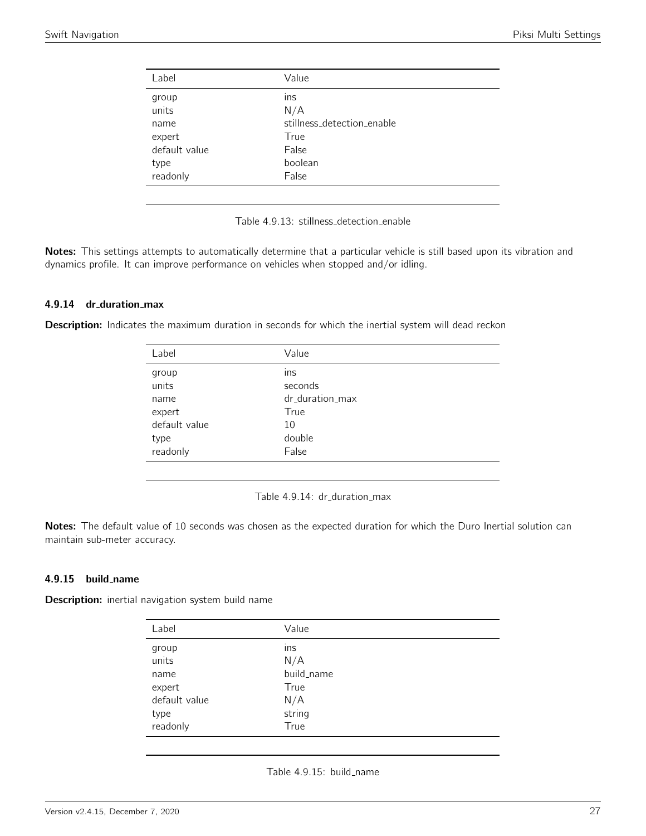<span id="page-26-0"></span>

| Label         | Value                      |
|---------------|----------------------------|
| group         | ins                        |
| units         | N/A                        |
| name          | stillness detection enable |
| expert        | True                       |
| default value | False                      |
| type          | boolean                    |
| readonly      | False                      |
|               |                            |

Table 4.9.13: stillness detection enable

Notes: This settings attempts to automatically determine that a particular vehicle is still based upon its vibration and dynamics profile. It can improve performance on vehicles when stopped and/or idling.

#### 4.9.14 dr\_duration\_max

<span id="page-26-1"></span>Description: Indicates the maximum duration in seconds for which the inertial system will dead reckon

| Label         | Value           |
|---------------|-----------------|
| group         | ins             |
| units         | seconds         |
| name          | dr_duration_max |
| expert        | True            |
| default value | 10              |
| type          | double          |
| readonly      | False           |
|               |                 |



Notes: The default value of 10 seconds was chosen as the expected duration for which the Duro Inertial solution can maintain sub-meter accuracy.

#### 4.9.15 build name

<span id="page-26-2"></span>Description: inertial navigation system build name

| ins<br>group<br>units<br>N/A<br>build_name<br>name<br>True<br>expert | Label | Value |
|----------------------------------------------------------------------|-------|-------|
|                                                                      |       |       |
|                                                                      |       |       |
|                                                                      |       |       |
|                                                                      |       |       |
| default value<br>N/A                                                 |       |       |
| string<br>type                                                       |       |       |
| readonly<br>True                                                     |       |       |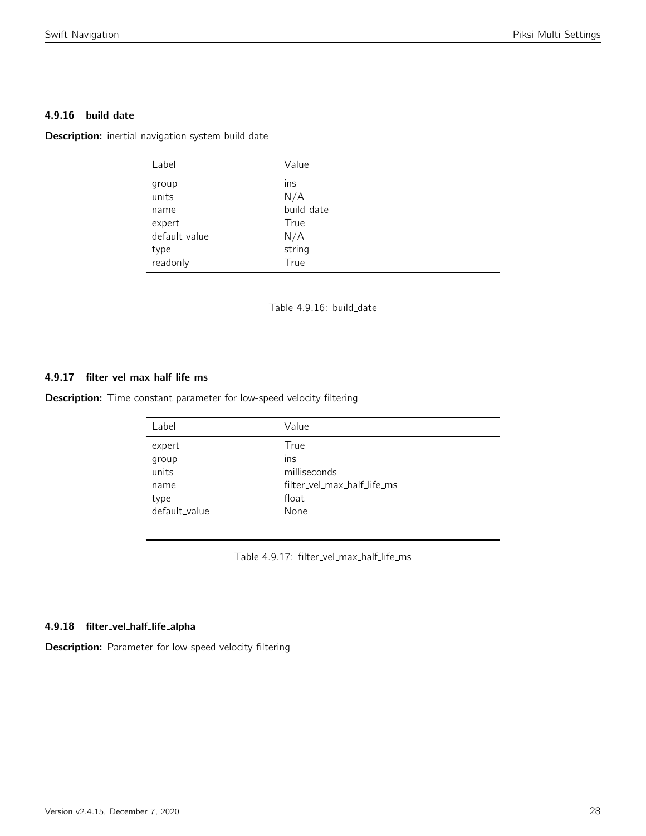## 4.9.16 build\_date

<span id="page-27-0"></span>Description: inertial navigation system build date

| Label         | Value      |
|---------------|------------|
| group         | ins        |
| units         | N/A        |
| name          | build_date |
| expert        | True       |
| default value | N/A        |
| type          | string     |
| readonly      | True       |
|               |            |

Table 4.9.16: build\_date

# 4.9.17 filter\_vel\_max\_half\_life\_ms

<span id="page-27-1"></span>**Description:** Time constant parameter for low-speed velocity filtering

| Value                       |
|-----------------------------|
| True                        |
| Ins                         |
| milliseconds                |
| filter_vel_max_half_life_ms |
| float                       |
| None                        |
|                             |

Table 4.9.17: filter\_vel\_max\_half\_life\_ms

# 4.9.18 filter vel half life alpha

Description: Parameter for low-speed velocity filtering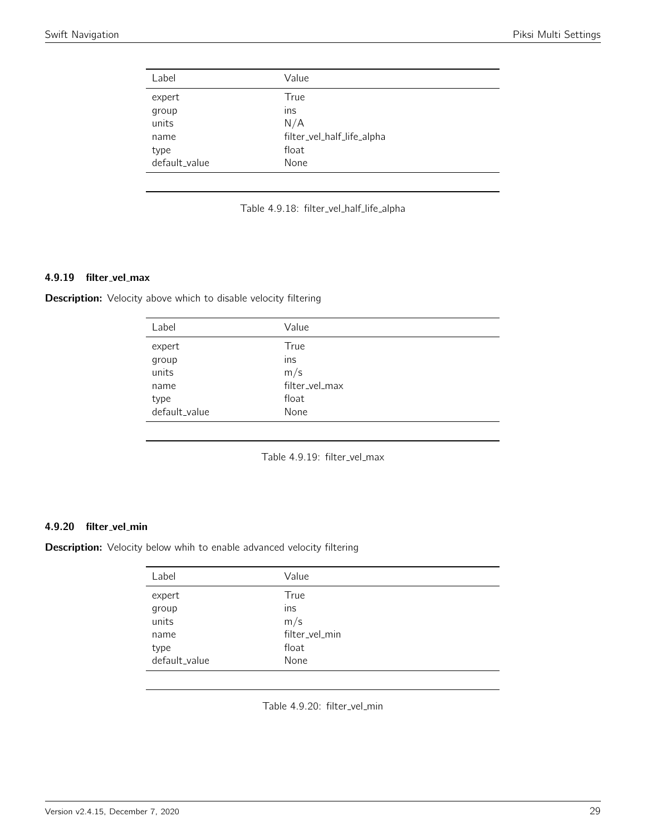<span id="page-28-0"></span>

| Label         | Value                      |
|---------------|----------------------------|
| expert        | True                       |
| group         | Ins                        |
| units         | N/A                        |
| name          | filter_vel_half_life_alpha |
| type          | float                      |
| default_value | None                       |
|               |                            |

| Table 4.9.18: filter_vel_half_life_alpha |  |  |  |
|------------------------------------------|--|--|--|
|------------------------------------------|--|--|--|

# 4.9.19 filter\_vel\_max

<span id="page-28-1"></span>Description: Velocity above which to disable velocity filtering

| Label         | Value          |
|---------------|----------------|
| expert        | True           |
| group         | ins            |
| units         | m/s            |
| name          | filter_vel_max |
| type          | float          |
| default_value | None           |
|               |                |

Table 4.9.19: filter\_vel\_max

#### 4.9.20 filter vel min

<span id="page-28-2"></span>Description: Velocity below whih to enable advanced velocity filtering

| Label         | Value          |
|---------------|----------------|
| expert        | True           |
| group         | ins            |
| units         | m/s            |
| name          | filter_vel_min |
| type          | float          |
| default_value | None           |
|               |                |

Table 4.9.20: filter\_vel\_min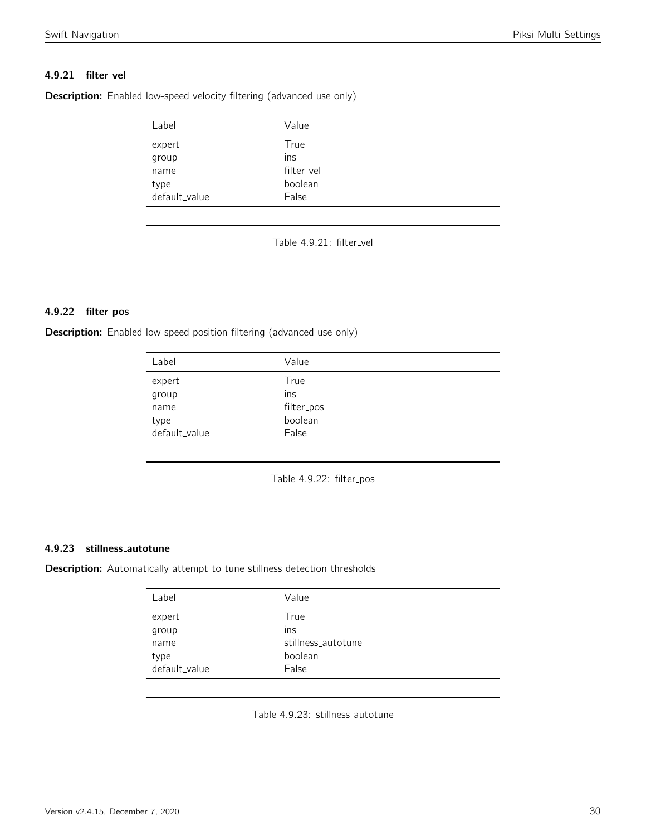# 4.9.21 filter\_vel

| Label         | Value      |  |
|---------------|------------|--|
| expert        | True       |  |
| group         | Ins        |  |
| name          | filter vel |  |
| type          | boolean    |  |
| default_value | False      |  |

<span id="page-29-0"></span>Description: Enabled low-speed velocity filtering (advanced use only)

Table 4.9.21: filter\_vel

#### 4.9.22 filter pos

<span id="page-29-1"></span>**Description:** Enabled low-speed position filtering (advanced use only)

| Label         | Value      |
|---------------|------------|
| expert        | True       |
| group         | ins        |
| name          | filter_pos |
| type          | boolean    |
| default_value | False      |
|               |            |

Table 4.9.22: filter\_pos

#### 4.9.23 stillness autotune

<span id="page-29-2"></span>Description: Automatically attempt to tune stillness detection thresholds

| Label         | Value              |
|---------------|--------------------|
| expert        | True               |
| group         | INS                |
| name          | stillness_autotune |
| type          | boolean            |
| default value | False              |

Table 4.9.23: stillness\_autotune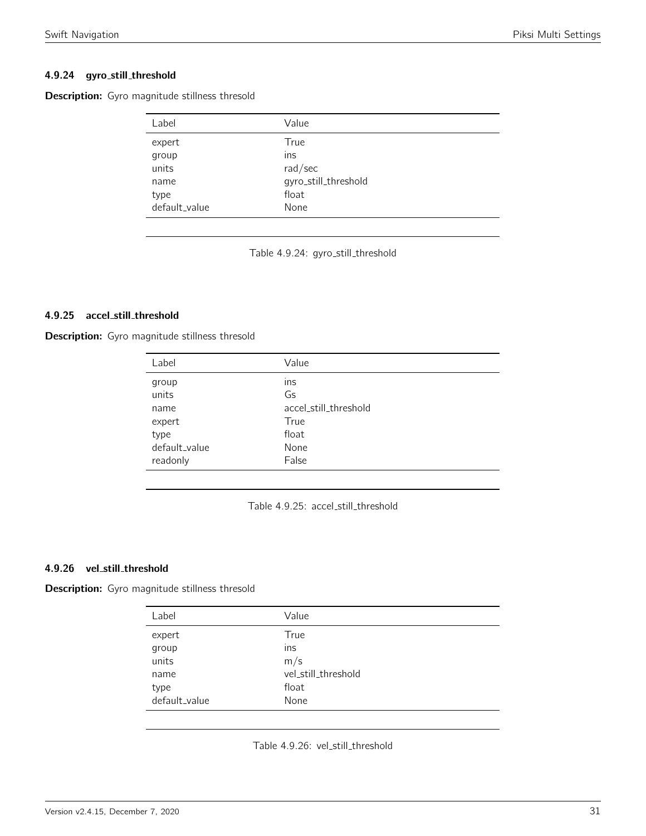# 4.9.24 gyro still threshold

<span id="page-30-0"></span>Description: Gyro magnitude stillness thresold

| Label         | Value                |
|---------------|----------------------|
| expert        | True                 |
| group         | Ins                  |
| units         | rad/sec              |
| name          | gyro_still_threshold |
| type          | float                |
| default_value | None                 |

Table 4.9.24: gyro\_still\_threshold

# 4.9.25 accel still threshold

<span id="page-30-1"></span>Description: Gyro magnitude stillness thresold

| Label         | Value                 |
|---------------|-----------------------|
| group         | ins                   |
| units         | Gs                    |
| name          | accel_still_threshold |
| expert        | True                  |
| type          | float                 |
| default_value | None                  |
| readonly      | False                 |
|               |                       |

Table 4.9.25: accel\_still\_threshold

#### 4.9.26 vel still threshold

<span id="page-30-2"></span>Description: Gyro magnitude stillness thresold

| Label         | Value               |
|---------------|---------------------|
| expert        | True                |
| group         | ins                 |
| units         | m/s                 |
| name          | vel still threshold |
| type          | float               |
| default_value | None                |
|               |                     |

Table 4.9.26: vel\_still\_threshold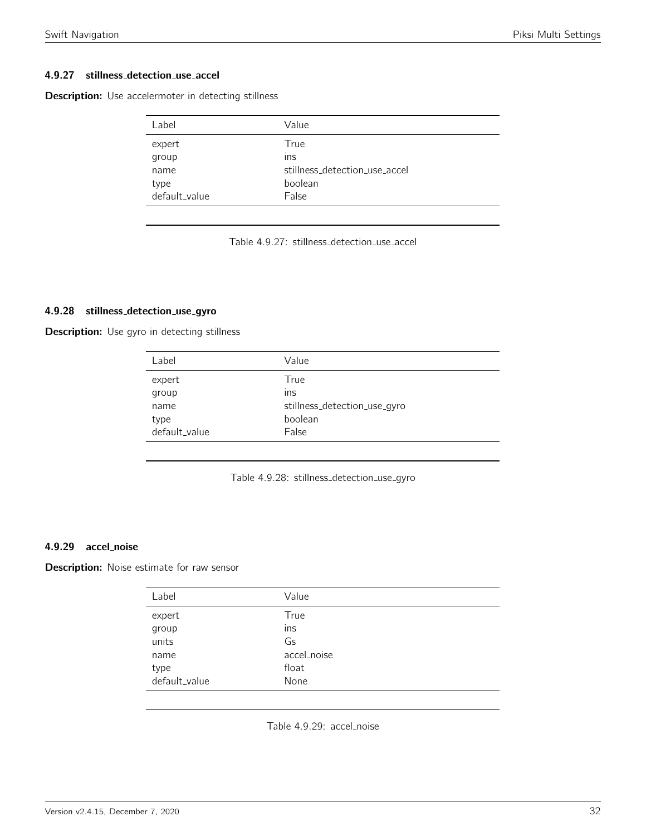# 4.9.27 stillness detection use accel

<span id="page-31-0"></span>**Description:** Use accelermoter in detecting stillness

| Label         | Value                         |
|---------------|-------------------------------|
| expert        | True                          |
| group         | Ins                           |
| name          | stillness_detection_use_accel |
| type          | boolean                       |
| default_value | False                         |

Table 4.9.27: stillness detection use accel

#### 4.9.28 stillness detection use gyro

<span id="page-31-1"></span>Description: Use gyro in detecting stillness

| Label         | Value                        |
|---------------|------------------------------|
| expert        | True                         |
| group         | Ins                          |
| name          | stillness_detection_use_gyro |
| type          | boolean                      |
| default_value | False                        |

Table 4.9.28: stillness detection use gyro

# 4.9.29 accel noise

<span id="page-31-2"></span>**Description:** Noise estimate for raw sensor

| Label         | Value       |  |
|---------------|-------------|--|
| expert        | True        |  |
| group         | ins         |  |
| units         | Gs          |  |
| name          | accel_noise |  |
| type          | float       |  |
| default_value | None        |  |

Table 4.9.29: accel\_noise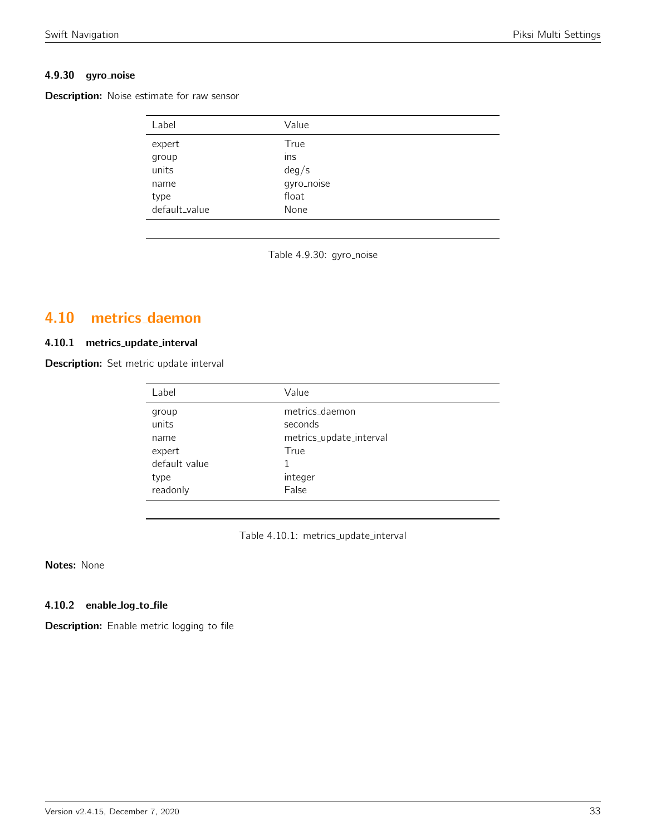# 4.9.30 gyro\_noise

**Description:** Noise estimate for raw sensor

| Label         | Value      |
|---------------|------------|
| expert        | True       |
| group         | ins        |
| units         | deg/s      |
| name          | gyro_noise |
| type          | float      |
| default_value | None       |

Table 4.9.30: gyro\_noise

# <span id="page-32-0"></span>4.10 metrics daemon

# 4.10.1 metrics update interval

<span id="page-32-1"></span>Description: Set metric update interval

| Label                                                                 | Value                                                                            |
|-----------------------------------------------------------------------|----------------------------------------------------------------------------------|
| group<br>units<br>name<br>expert<br>default value<br>type<br>readonly | metrics daemon<br>seconds<br>metrics_update_interval<br>True<br>integer<br>False |
|                                                                       |                                                                                  |

Table 4.10.1: metrics\_update\_interval

Notes: None

#### 4.10.2 enable\_log\_to\_file

Description: Enable metric logging to file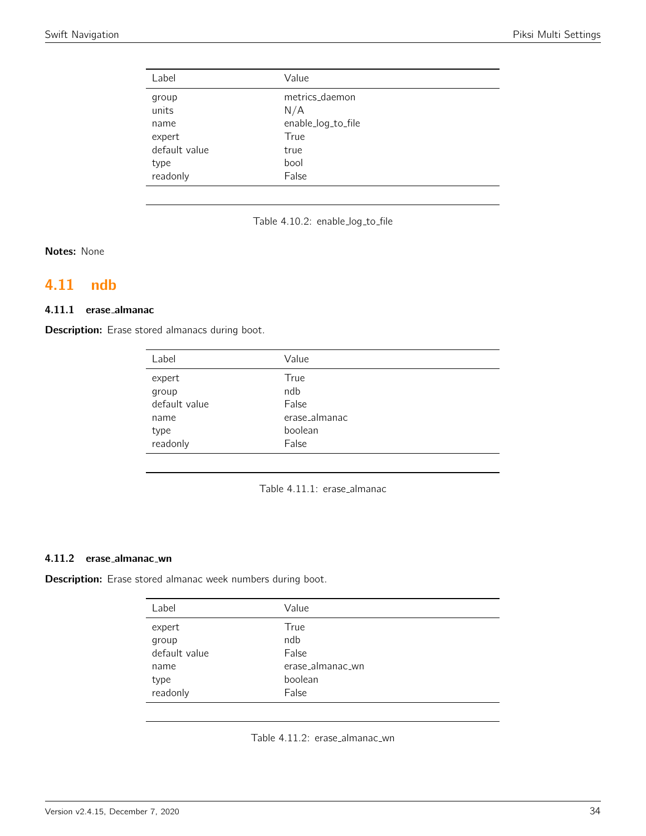| Label         | Value              |
|---------------|--------------------|
| group         | metrics_daemon     |
| units         | N/A                |
| name          | enable_log_to_file |
| expert        | True               |
| default value | true               |
| type          | bool               |
| readonly      | False              |



Notes: None

# <span id="page-33-0"></span>4.11 ndb

# 4.11.1 erase almanac

<span id="page-33-1"></span>Description: Erase stored almanacs during boot.

| Label         | Value         |
|---------------|---------------|
| expert        | True          |
| group         | ndb           |
| default value | False         |
| name          | erase_almanac |
| type          | boolean       |
| readonly      | False         |

Table 4.11.1: erase\_almanac

# 4.11.2 erase\_almanac\_wn

<span id="page-33-2"></span>Description: Erase stored almanac week numbers during boot.

| Label         | Value            |
|---------------|------------------|
| expert        | True             |
| group         | ndb              |
| default value | False            |
| name          | erase_almanac_wn |
| type          | boolean          |
| readonly      | False            |

Table 4.11.2: erase\_almanac\_wn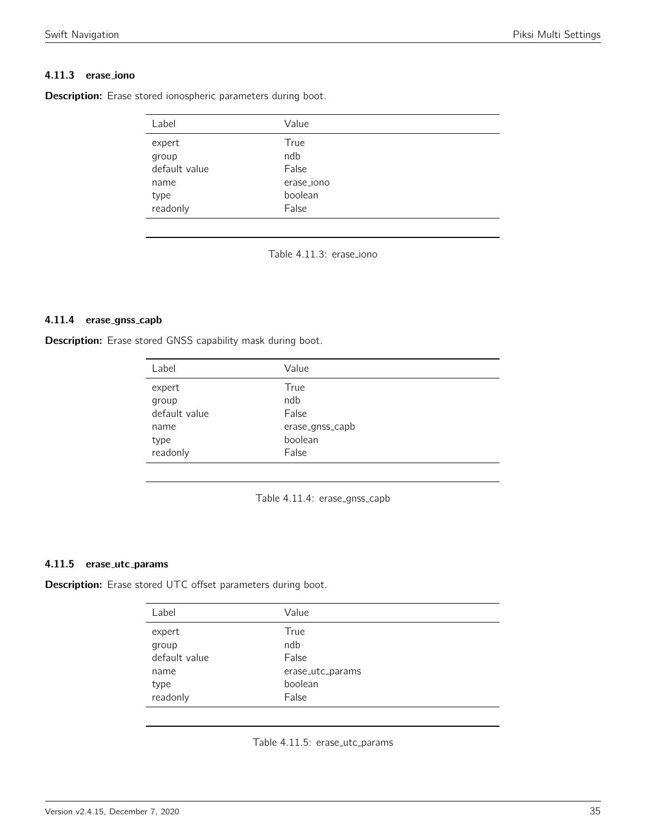# 4.11.3 erase iono

<span id="page-34-0"></span>Description: Erase stored ionospheric parameters during boot.

| Label         | Value      |  |
|---------------|------------|--|
| expert        | True       |  |
| group         | ndb        |  |
| default value | False      |  |
| name          | erase_iono |  |
| type          | boolean    |  |
| readonly      | False      |  |

Table 4.11.3: erase\_iono

#### 4.11.4 erase gnss capb

<span id="page-34-1"></span>Description: Erase stored GNSS capability mask during boot.

| Label         | Value           |
|---------------|-----------------|
| expert        | True            |
| group         | ndb             |
| default value | False           |
| name          | erase_gnss_capb |
| type          | boolean         |
| readonly      | False           |
|               |                 |

Table 4.11.4: erase\_gnss\_capb

# 4.11.5 erase\_utc\_params

<span id="page-34-2"></span>Description: Erase stored UTC offset parameters during boot.

| Label         | Value            |
|---------------|------------------|
| expert        | True             |
| group         | ndb              |
| default value | False            |
| name          | erase_utc_params |
| type          | boolean          |
| readonly      | False            |

Table 4.11.5: erase\_utc\_params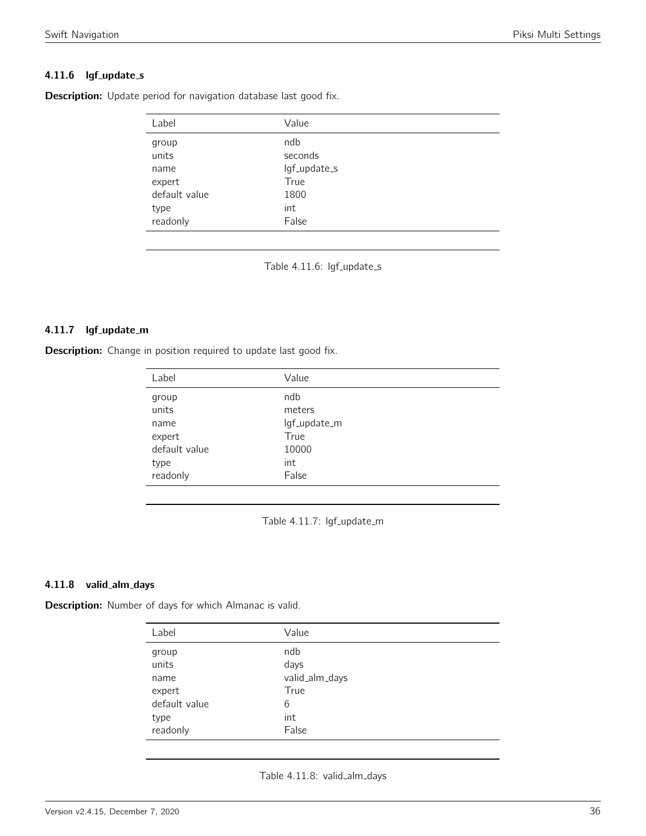# 4.11.6 lgf\_update\_s

<span id="page-35-0"></span>Description: Update period for navigation database last good fix.

| Label         | Value        |
|---------------|--------------|
| group         | ndb          |
| units         | seconds      |
| name          | lgf_update_s |
| expert        | True         |
| default value | 1800         |
| type          | int          |
| readonly      | False        |

Table 4.11.6: lgf\_update\_s

## 4.11.7 lgf\_update\_m

<span id="page-35-1"></span>**Description:** Change in position required to update last good fix.

| Label         | Value        |
|---------------|--------------|
| group         | ndb          |
| units         | meters       |
| name          | lgf_update_m |
| expert        | True         |
| default value | 10000        |
| type          | int          |
| readonly      | False        |

Table 4.11.7: lgf\_update\_m

## 4.11.8 valid\_alm\_days

<span id="page-35-2"></span>Description: Number of days for which Almanac is valid.

| Label         | Value          |
|---------------|----------------|
| group         | ndb            |
| units         | days           |
| name          | valid_alm_days |
| expert        | True           |
| default value | 6              |
| type          | int            |
| readonly      | False          |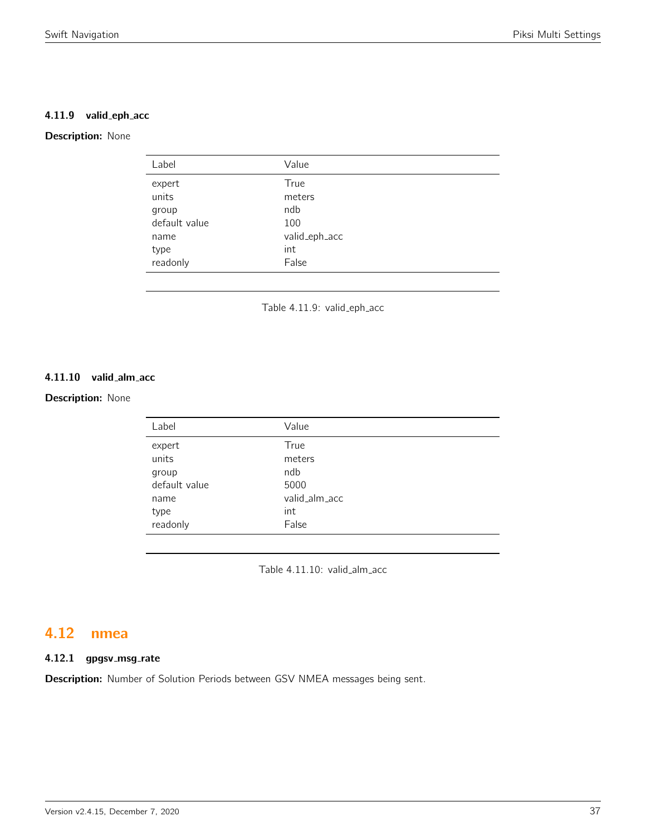## 4.11.9 valid\_eph\_acc

# **Description: None**

| Label         | Value         |
|---------------|---------------|
| expert        | True          |
| units         | meters        |
| group         | ndb           |
| default value | 100           |
| name          | valid_eph_acc |
| type          | int           |
| readonly      | False         |
|               |               |

Table 4.11.9: valid\_eph\_acc

# 4.11.10 valid\_alm\_acc

# **Description: None**

| Label         | Value         |
|---------------|---------------|
| expert        | True          |
| units         | meters        |
| group         | ndb           |
| default value | 5000          |
| name          | valid_alm_acc |
| type          | int           |
| readonly      | False         |

Table 4.11.10: valid\_alm\_acc

# 4.12 nmea

# 4.12.1 gpgsv\_msg\_rate

Description: Number of Solution Periods between GSV NMEA messages being sent.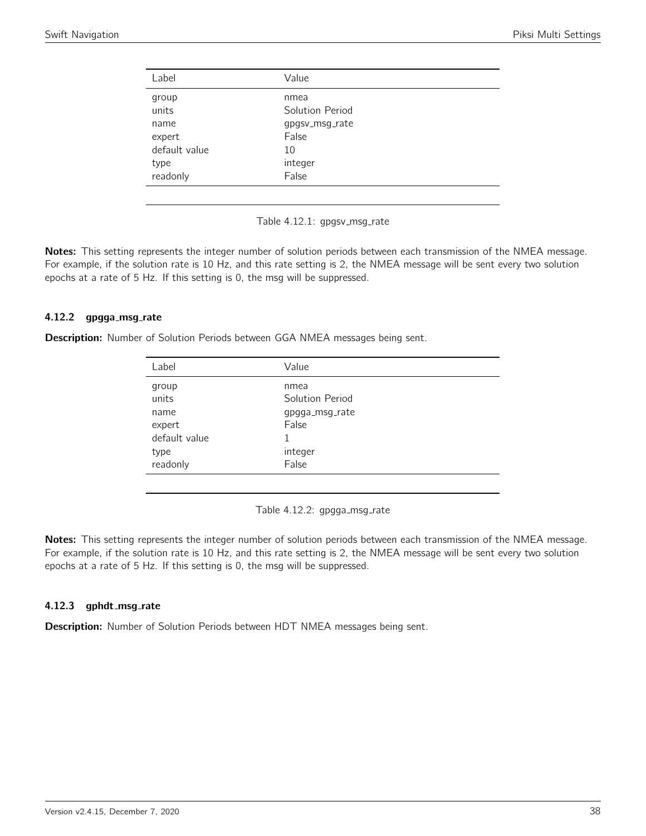| Label         | Value           |  |
|---------------|-----------------|--|
| group         | nmea            |  |
| units         | Solution Period |  |
| name          | gpgsv_msg_rate  |  |
| expert        | False           |  |
| default value | 10              |  |
| type          | integer         |  |
| readonly      | False           |  |
|               |                 |  |

Table 4.12.1: gpgsv\_msg\_rate

Notes: This setting represents the integer number of solution periods between each transmission of the NMEA message. For example, if the solution rate is 10 Hz, and this rate setting is 2, the NMEA message will be sent every two solution epochs at a rate of 5 Hz. If this setting is 0, the msg will be suppressed.

# 4.12.2 gpgga\_msg\_rate

**Description:** Number of Solution Periods between GGA NMEA messages being sent.

| Label          | Value                   |
|----------------|-------------------------|
| group<br>units | nmea<br>Solution Period |
| name           | gpgga_msg_rate          |
| expert         | False                   |
| default value  |                         |
| type           | integer                 |
| readonly       | False                   |
|                |                         |

Table 4.12.2: gpgga\_msg\_rate

Notes: This setting represents the integer number of solution periods between each transmission of the NMEA message. For example, if the solution rate is 10 Hz, and this rate setting is 2, the NMEA message will be sent every two solution epochs at a rate of 5 Hz. If this setting is 0, the msg will be suppressed.

## 4.12.3 gphdt\_msg\_rate

Description: Number of Solution Periods between HDT NMEA messages being sent.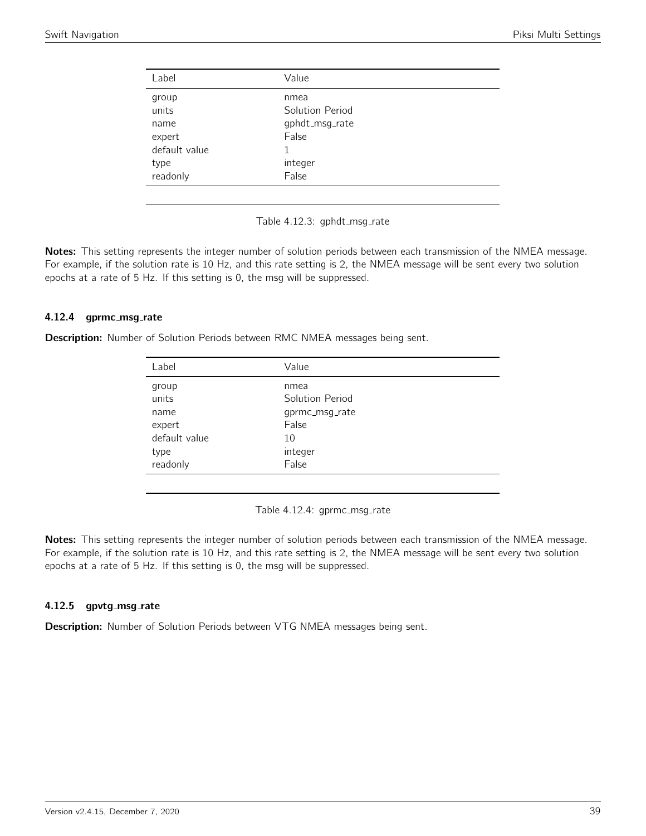| Label         | Value           |
|---------------|-----------------|
| group         | nmea            |
| units         | Solution Period |
| name          | gphdt_msg_rate  |
| expert        | False           |
| default value |                 |
| type          | integer         |
| readonly      | False           |
|               |                 |

Table 4.12.3: gphdt\_msg\_rate

Notes: This setting represents the integer number of solution periods between each transmission of the NMEA message. For example, if the solution rate is 10 Hz, and this rate setting is 2, the NMEA message will be sent every two solution epochs at a rate of 5 Hz. If this setting is 0, the msg will be suppressed.

## 4.12.4 gprmc\_msg\_rate

Description: Number of Solution Periods between RMC NMEA messages being sent.

| Label         | Value           |
|---------------|-----------------|
| group         | nmea            |
| units         | Solution Period |
| name          | gprmc_msg_rate  |
| expert        | False           |
| default value | 10              |
| type          | integer         |
| readonly      | False           |
|               |                 |

Table 4.12.4: gprmc\_msg\_rate

Notes: This setting represents the integer number of solution periods between each transmission of the NMEA message. For example, if the solution rate is 10 Hz, and this rate setting is 2, the NMEA message will be sent every two solution epochs at a rate of 5 Hz. If this setting is 0, the msg will be suppressed.

## 4.12.5 gpvtg\_msg\_rate

Description: Number of Solution Periods between VTG NMEA messages being sent.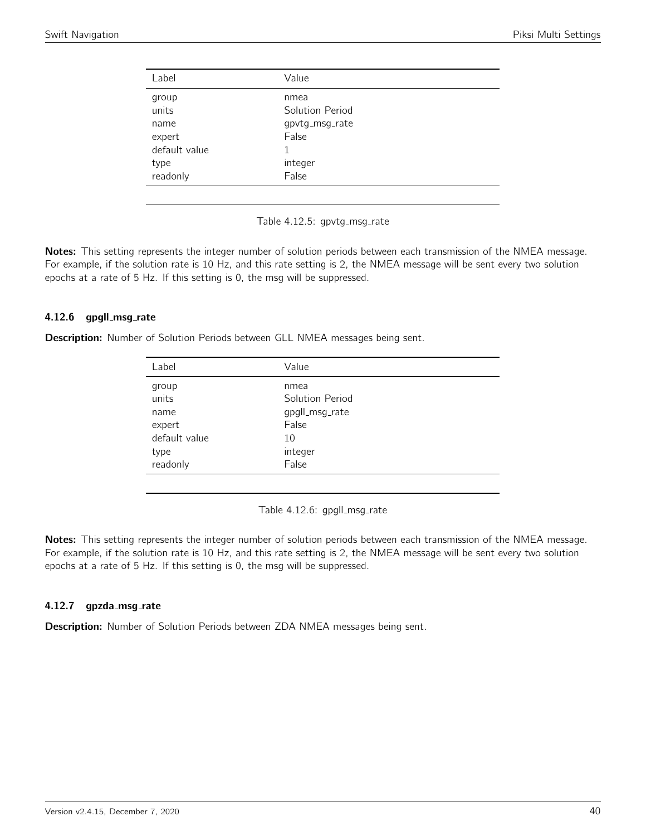| Label         | Value           |
|---------------|-----------------|
| group         | nmea            |
| units         | Solution Period |
| name          | gpvtg_msg_rate  |
| expert        | False           |
| default value |                 |
| type          | integer         |
| readonly      | False           |
|               |                 |

Table 4.12.5: gpvtg\_msg\_rate

Notes: This setting represents the integer number of solution periods between each transmission of the NMEA message. For example, if the solution rate is 10 Hz, and this rate setting is 2, the NMEA message will be sent every two solution epochs at a rate of 5 Hz. If this setting is 0, the msg will be suppressed.

## 4.12.6 gpgll\_msg\_rate

Description: Number of Solution Periods between GLL NMEA messages being sent.

| Label         | Value           |
|---------------|-----------------|
| group         | nmea            |
| units         | Solution Period |
| name          | gpgll_msg_rate  |
| expert        | False           |
| default value | 10              |
| type          | integer         |
| readonly      | False           |
|               |                 |

Table 4.12.6: gpgll\_msg\_rate

Notes: This setting represents the integer number of solution periods between each transmission of the NMEA message. For example, if the solution rate is 10 Hz, and this rate setting is 2, the NMEA message will be sent every two solution epochs at a rate of 5 Hz. If this setting is 0, the msg will be suppressed.

## 4.12.7 gpzda\_msg\_rate

Description: Number of Solution Periods between ZDA NMEA messages being sent.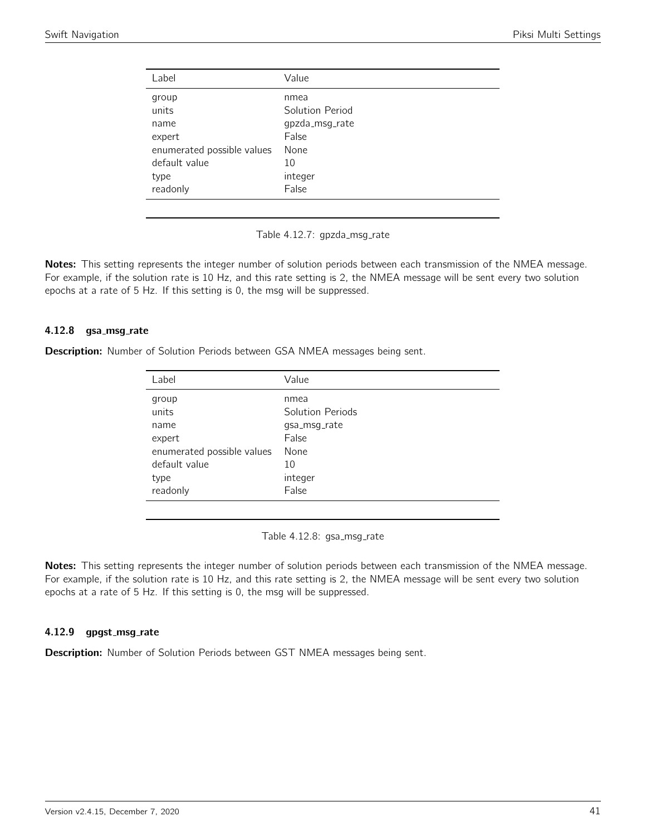| Value           |
|-----------------|
| nmea            |
| Solution Period |
| gpzda_msg_rate  |
| False           |
| None            |
| 10              |
| integer         |
| False           |
|                 |

Table 4.12.7: gpzda\_msg\_rate

Notes: This setting represents the integer number of solution periods between each transmission of the NMEA message. For example, if the solution rate is 10 Hz, and this rate setting is 2, the NMEA message will be sent every two solution epochs at a rate of 5 Hz. If this setting is 0, the msg will be suppressed.

# 4.12.8 gsa\_msg\_rate

**Description:** Number of Solution Periods between GSA NMEA messages being sent.

| Label                      | Value            |
|----------------------------|------------------|
| group                      | nmea             |
| units                      | Solution Periods |
| name                       | qsa_msq_rate     |
| expert                     | False            |
| enumerated possible values | None             |
| default value              | 10               |
| type                       | integer          |
| readonly                   | False            |

Table 4.12.8: gsa\_msg\_rate

Notes: This setting represents the integer number of solution periods between each transmission of the NMEA message. For example, if the solution rate is 10 Hz, and this rate setting is 2, the NMEA message will be sent every two solution epochs at a rate of 5 Hz. If this setting is 0, the msg will be suppressed.

## 4.12.9 gpgst\_msg\_rate

Description: Number of Solution Periods between GST NMEA messages being sent.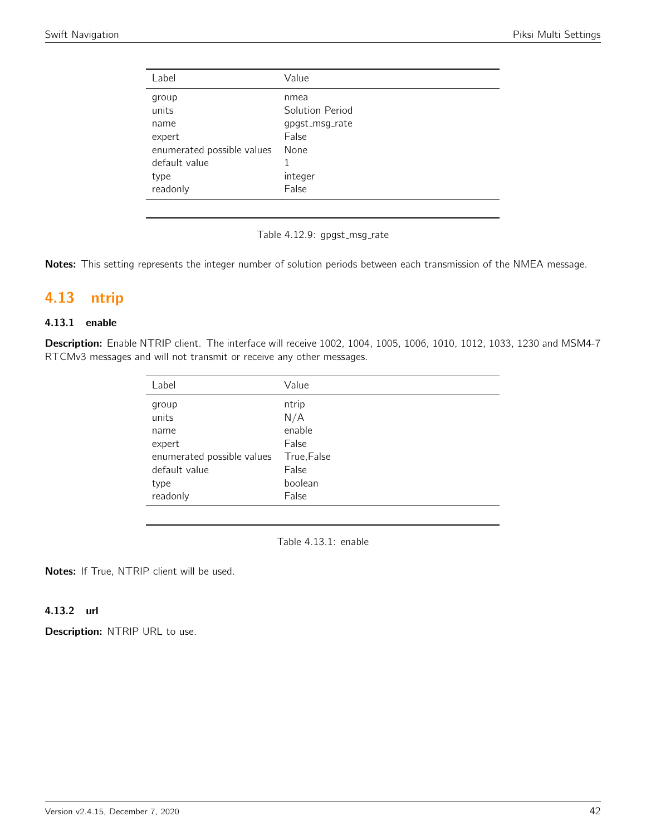| nmea<br>Solution Period<br>qpqst_msq_rate |
|-------------------------------------------|
|                                           |
|                                           |
|                                           |
| False                                     |
| None                                      |
|                                           |
| integer                                   |
| False                                     |
|                                           |

Table 4.12.9: gpgst\_msg\_rate

Notes: This setting represents the integer number of solution periods between each transmission of the NMEA message.

# 4.13 ntrip

# 4.13.1 enable

Description: Enable NTRIP client. The interface will receive 1002, 1004, 1005, 1006, 1010, 1012, 1033, 1230 and MSM4-7 RTCMv3 messages and will not transmit or receive any other messages.

| Label                      | Value       |
|----------------------------|-------------|
| group                      | ntrip       |
| units                      | N/A         |
| name                       | enable      |
| expert                     | False       |
| enumerated possible values | True, False |
| default value              | False       |
| type                       | boolean     |
| readonly                   | False       |

Table 4.13.1: enable

Notes: If True, NTRIP client will be used.

#### 4.13.2 url

Description: NTRIP URL to use.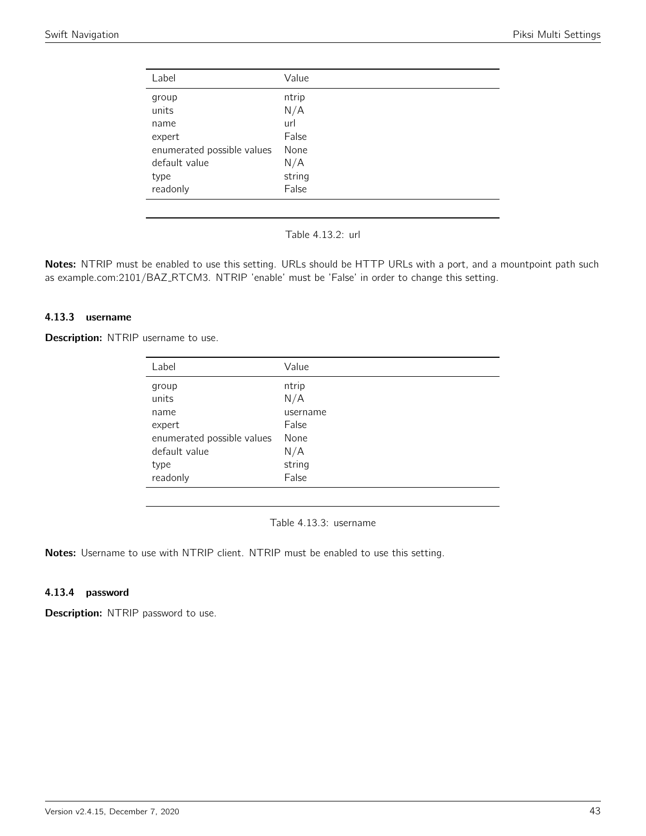| Label                      | Value  |
|----------------------------|--------|
| group                      | ntrip  |
| units                      | N/A    |
| name                       | url    |
| expert                     | False  |
| enumerated possible values | None   |
| default value              | N/A    |
| type                       | string |
| readonly                   | False  |
|                            |        |

Table 4.13.2: url

Notes: NTRIP must be enabled to use this setting. URLs should be HTTP URLs with a port, and a mountpoint path such as example.com:2101/BAZ\_RTCM3. NTRIP 'enable' must be 'False' in order to change this setting.

## 4.13.3 username

Description: NTRIP username to use.

| Label                      | Value    |
|----------------------------|----------|
|                            |          |
| group                      | ntrip    |
| units                      | N/A      |
| name                       | username |
| expert                     | False    |
| enumerated possible values | None     |
| default value              | N/A      |
| type                       | string   |
| readonly                   | False    |
|                            |          |

Table 4.13.3: username

Notes: Username to use with NTRIP client. NTRIP must be enabled to use this setting.

# 4.13.4 password

Description: NTRIP password to use.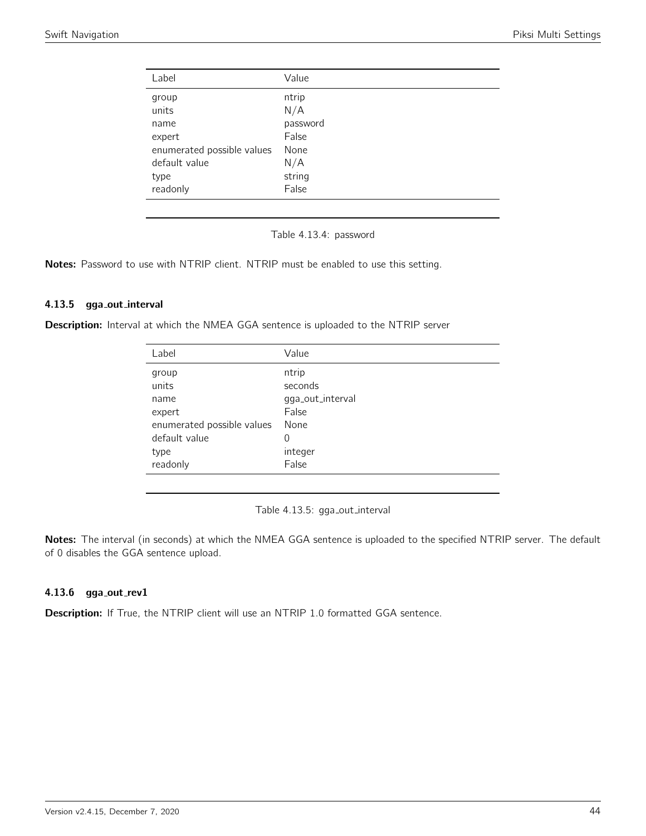| Label                      | Value    |
|----------------------------|----------|
| group                      | ntrip    |
| units                      | N/A      |
| name                       | password |
| expert                     | False    |
| enumerated possible values | None     |
| default value              | N/A      |
| type                       | string   |
| readonly                   | False    |
|                            |          |

Table 4.13.4: password

Notes: Password to use with NTRIP client. NTRIP must be enabled to use this setting.

#### 4.13.5 gga out interval

Description: Interval at which the NMEA GGA sentence is uploaded to the NTRIP server

| Label                      | Value            |
|----------------------------|------------------|
| group                      | ntrip            |
| units                      | seconds          |
| name                       | gga_out_interval |
| expert                     | False            |
| enumerated possible values | None             |
| default value              | 0                |
| type                       | integer          |
| readonly                   | False            |
|                            |                  |

Table 4.13.5: gga\_out\_interval

Notes: The interval (in seconds) at which the NMEA GGA sentence is uploaded to the specified NTRIP server. The default of 0 disables the GGA sentence upload.

## 4.13.6 gga\_out\_rev1

Description: If True, the NTRIP client will use an NTRIP 1.0 formatted GGA sentence.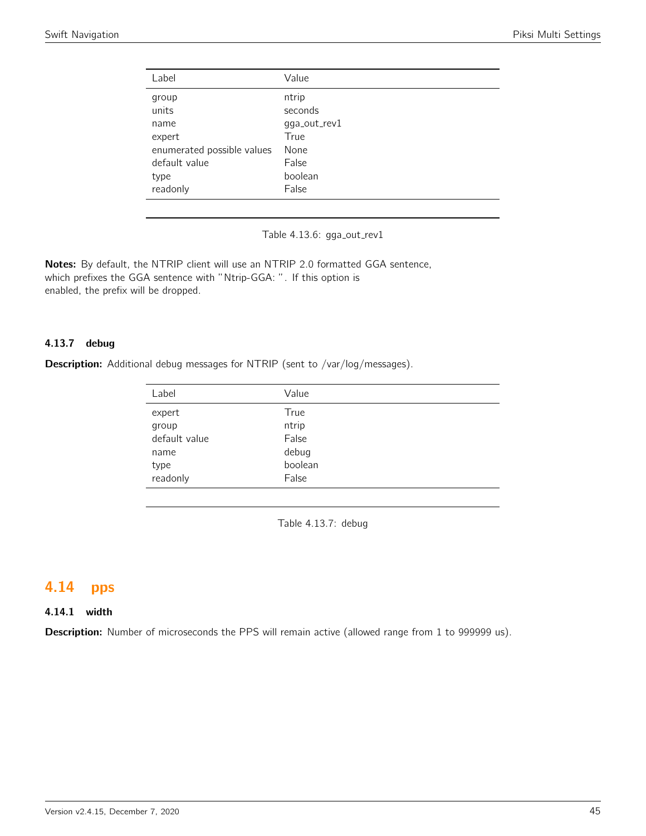| Value                      |
|----------------------------|
| ntrip                      |
| seconds                    |
| gga_out_rev1               |
| True                       |
| None                       |
| False                      |
| boolean                    |
| False                      |
| enumerated possible values |

Table 4.13.6: gga\_out\_rev1

Notes: By default, the NTRIP client will use an NTRIP 2.0 formatted GGA sentence, which prefixes the GGA sentence with "Ntrip-GGA: ". If this option is enabled, the prefix will be dropped.

# 4.13.7 debug

Description: Additional debug messages for NTRIP (sent to /var/log/messages).

| Label         | Value   |
|---------------|---------|
| expert        | True    |
| group         | ntrip   |
| default value | False   |
| name          | debug   |
| type          | boolean |
| readonly      | False   |

Table 4.13.7: debug

# 4.14 pps

## 4.14.1 width

Description: Number of microseconds the PPS will remain active (allowed range from 1 to 999999 us).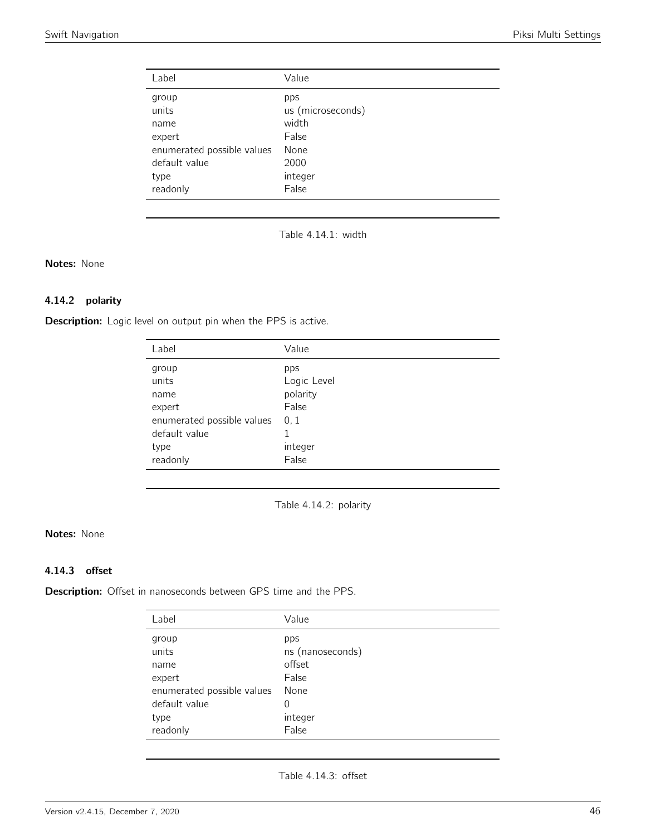| Label                      | Value             |
|----------------------------|-------------------|
| group                      | pps               |
| units                      | us (microseconds) |
| name                       | width             |
| expert                     | False             |
| enumerated possible values | None              |
| default value              | 2000              |
| type                       | integer           |
| readonly                   | False             |

Table 4.14.1: width

# Notes: None

# 4.14.2 polarity

Description: Logic level on output pin when the PPS is active.

| Label                      | Value       |
|----------------------------|-------------|
| group                      | pps         |
| units                      | Logic Level |
| name                       | polarity    |
| expert                     | False       |
| enumerated possible values | 0, 1        |
| default value              |             |
| type                       | integer     |
| readonly                   | False       |

Table 4.14.2: polarity

# Notes: None

# 4.14.3 offset

Description: Offset in nanoseconds between GPS time and the PPS.

| Label                      | Value            |
|----------------------------|------------------|
| group                      | pps              |
| units                      | ns (nanoseconds) |
| name                       | offset           |
| expert                     | False            |
| enumerated possible values | None             |
| default value              | 0                |
| type                       | integer          |
| readonly                   | False            |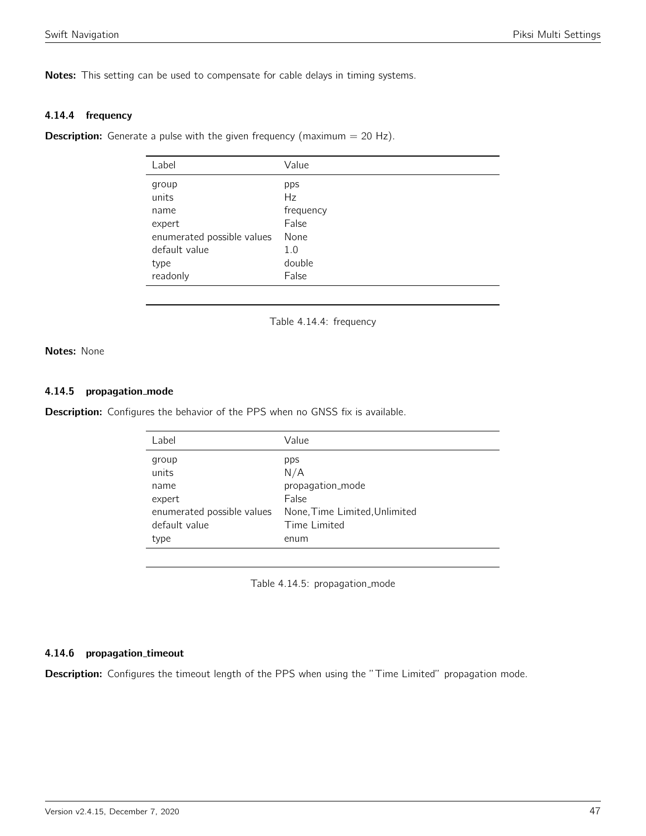Notes: This setting can be used to compensate for cable delays in timing systems.

#### 4.14.4 frequency

**Description:** Generate a pulse with the given frequency (maximum  $= 20$  Hz).

| Value     |
|-----------|
| pps       |
| Hz        |
| frequency |
| False     |
| None      |
| 1.0       |
| double    |
| False     |
|           |

Table 4.14.4: frequency

Notes: None

#### 4.14.5 propagation mode

Description: Configures the behavior of the PPS when no GNSS fix is available.

| Label                      | Value                         |
|----------------------------|-------------------------------|
| group                      | pps                           |
| units                      | N/A                           |
| name                       | propagation_mode              |
| expert                     | False                         |
| enumerated possible values | None, Time Limited, Unlimited |
| default value              | Time Limited                  |
| type                       | enum                          |

Table 4.14.5: propagation\_mode

## 4.14.6 propagation\_timeout

Description: Configures the timeout length of the PPS when using the "Time Limited" propagation mode.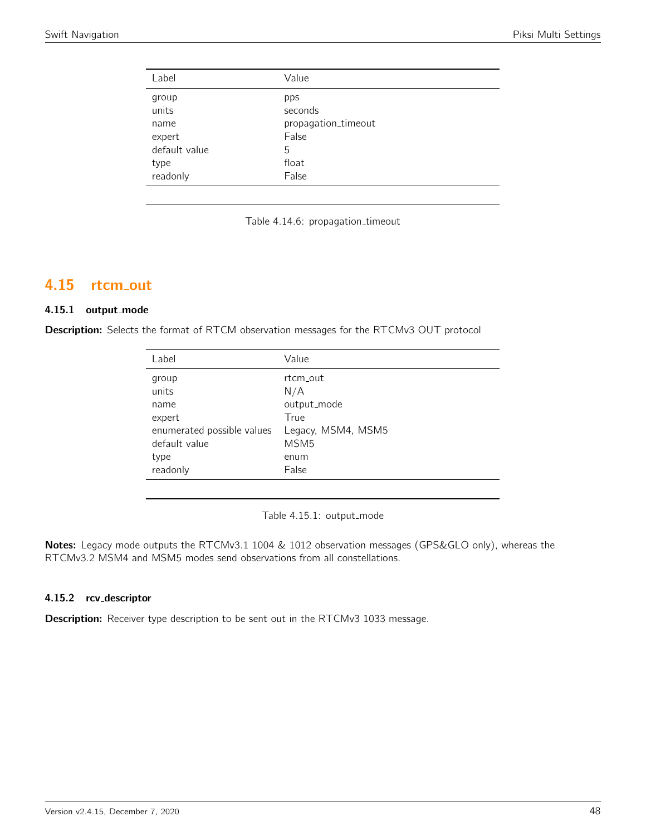| Label         | Value               |
|---------------|---------------------|
| group         | pps                 |
| units         | seconds             |
| name          | propagation_timeout |
| expert        | False               |
| default value | 5                   |
| type          | float               |
| readonly      | False               |
|               |                     |

Table 4.14.6: propagation\_timeout

# 4.15 rtcm out

# 4.15.1 output mode

Description: Selects the format of RTCM observation messages for the RTCMv3 OUT protocol

| Label                                                          | Value                                                         |
|----------------------------------------------------------------|---------------------------------------------------------------|
| group<br>units<br>name<br>expert<br>enumerated possible values | rt.cm_out<br>N/A<br>output_mode<br>True<br>Legacy, MSM4, MSM5 |
| default value                                                  | MSM <sub>5</sub>                                              |
| type                                                           | enum                                                          |
| readonly                                                       | False                                                         |
|                                                                |                                                               |

Table 4.15.1: output\_mode

Notes: Legacy mode outputs the RTCMv3.1 1004 & 1012 observation messages (GPS&GLO only), whereas the RTCMv3.2 MSM4 and MSM5 modes send observations from all constellations.

# 4.15.2 rcv descriptor

Description: Receiver type description to be sent out in the RTCMv3 1033 message.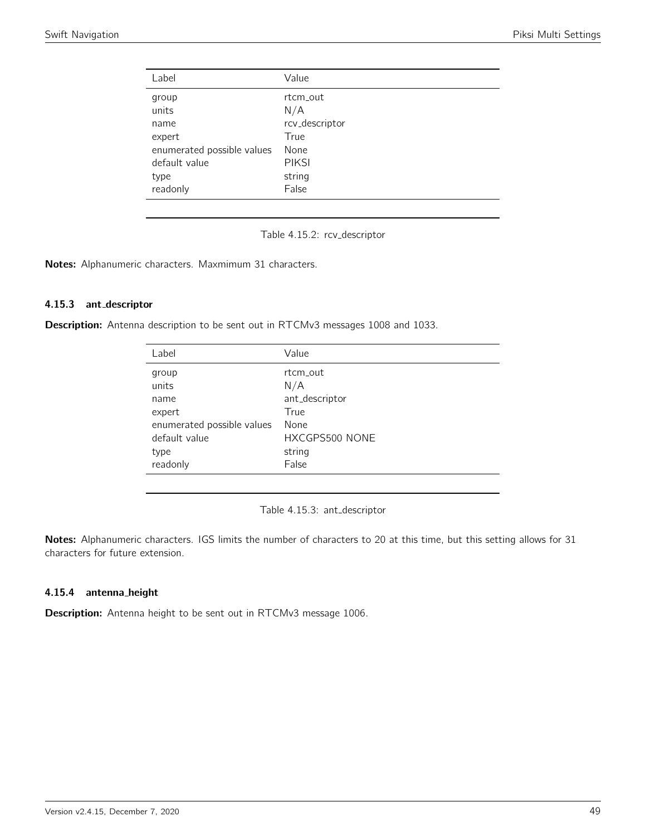| Label                      | Value          |
|----------------------------|----------------|
| group                      | rt.cm_out      |
| units                      | N/A            |
| name                       | rcv_descriptor |
| expert                     | True           |
| enumerated possible values | None           |
| default value              | <b>PIKSI</b>   |
| type                       | string         |
| readonly                   | False          |
|                            |                |

Table 4.15.2: rcv\_descriptor

Notes: Alphanumeric characters. Maxmimum 31 characters.

#### 4.15.3 ant descriptor

Description: Antenna description to be sent out in RTCMv3 messages 1008 and 1033.

| Label                      | Value          |
|----------------------------|----------------|
| group                      | rt.cm_out      |
| units                      | N/A            |
| name                       | ant_descriptor |
| expert                     | True           |
| enumerated possible values | None           |
| default value              | HXCGPS500 NONE |
| type                       | string         |
| readonly                   | False          |
|                            |                |

Table 4.15.3: ant descriptor

Notes: Alphanumeric characters. IGS limits the number of characters to 20 at this time, but this setting allows for 31 characters for future extension.

# 4.15.4 antenna height

Description: Antenna height to be sent out in RTCMv3 message 1006.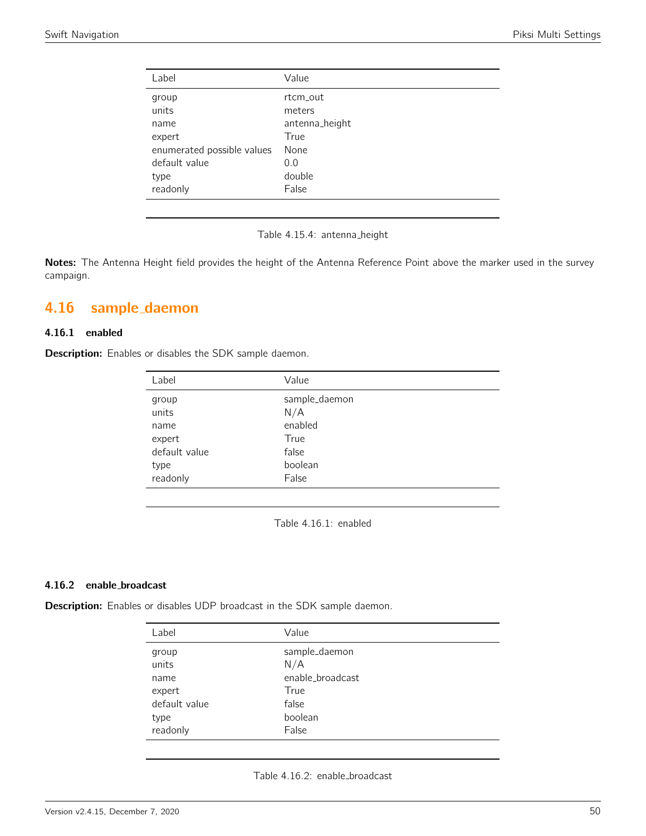| Label                      | Value          |
|----------------------------|----------------|
| group                      | rt.cm_out      |
| units                      | meters         |
| name                       | antenna_height |
| expert                     | True           |
| enumerated possible values | None           |
| default value              | 0.0            |
| type                       | double         |
| readonly                   | False          |
|                            |                |

Table 4.15.4: antenna height

Notes: The Antenna Height field provides the height of the Antenna Reference Point above the marker used in the survey campaign.

# 4.16 sample daemon

# 4.16.1 enabled

Description: Enables or disables the SDK sample daemon.

| Label         | Value         |
|---------------|---------------|
|               |               |
| group         | sample_daemon |
| units         | N/A           |
| name          | enabled       |
| expert        | True          |
| default value | false         |
| type          | boolean       |
| readonly      | False         |
|               |               |

Table 4.16.1: enabled

#### 4.16.2 enable broadcast

Description: Enables or disables UDP broadcast in the SDK sample daemon.

| Label         | Value            |
|---------------|------------------|
| group         | sample_daemon    |
| units         | N/A              |
| name          | enable_broadcast |
| expert        | True             |
| default value | false            |
| type          | boolean          |
| readonly      | False            |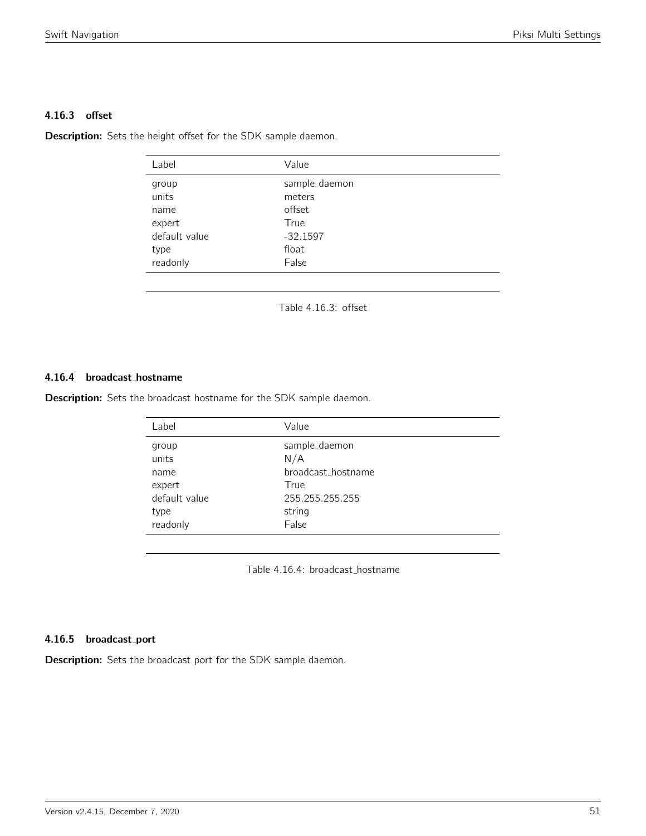# 4.16.3 offset

Description: Sets the height offset for the SDK sample daemon.

| Label         | Value         |
|---------------|---------------|
| group         | sample_daemon |
| units         | meters        |
| name          | offset        |
| expert        | True          |
| default value | $-32.1597$    |
| type          | float         |
| readonly      | False         |
|               |               |

Table 4.16.3: offset

# 4.16.4 broadcast hostname

**Description:** Sets the broadcast hostname for the SDK sample daemon.

| Label         | Value              |
|---------------|--------------------|
| group         | sample_daemon      |
| units         | N/A                |
| name          | broadcast_hostname |
| expert        | True               |
| default value | 255.255.255.255    |
| type          | string             |
| readonly      | False              |

Table 4.16.4: broadcast hostname

# 4.16.5 broadcast port

Description: Sets the broadcast port for the SDK sample daemon.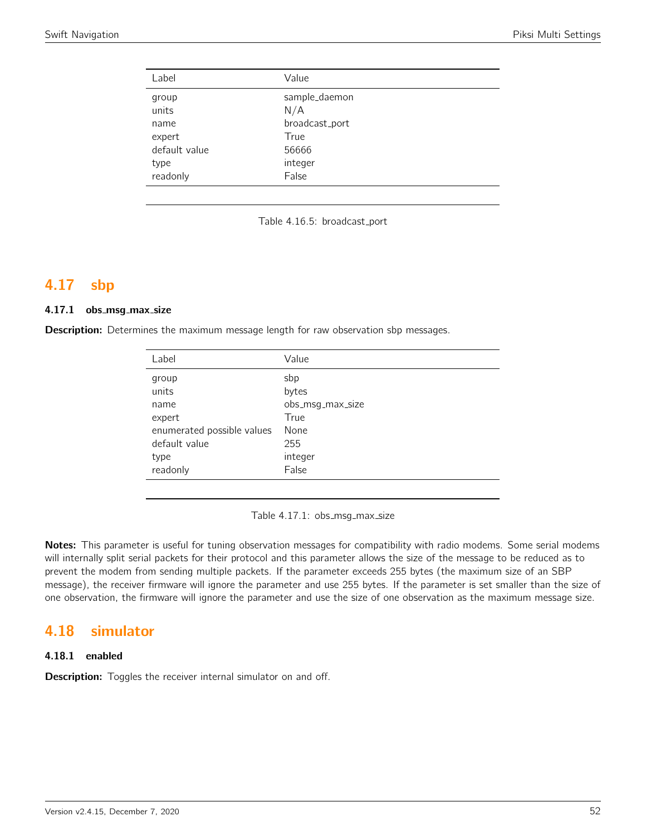| Label         | Value          |
|---------------|----------------|
| group         | sample_daemon  |
| units         | N/A            |
| name          | broadcast_port |
| expert        | True           |
| default value | 56666          |
| type          | integer        |
| readonly      | False          |

|  |  |  | Table 4.16.5: broadcast_port |
|--|--|--|------------------------------|
|--|--|--|------------------------------|

# 4.17 sbp

### 4.17.1 obs\_msg\_max\_size

**Description:** Determines the maximum message length for raw observation sbp messages.

| Label                      | Value            |
|----------------------------|------------------|
| group                      | sbp              |
| units                      | bytes            |
| name                       | obs_msg_max_size |
| expert                     | True             |
| enumerated possible values | None             |
| default value              | 255              |
| type                       | integer          |
| readonly                   | False            |
|                            |                  |

Table 4.17.1: obs\_msg\_max\_size

Notes: This parameter is useful for tuning observation messages for compatibility with radio modems. Some serial modems will internally split serial packets for their protocol and this parameter allows the size of the message to be reduced as to prevent the modem from sending multiple packets. If the parameter exceeds 255 bytes (the maximum size of an SBP message), the receiver firmware will ignore the parameter and use 255 bytes. If the parameter is set smaller than the size of one observation, the firmware will ignore the parameter and use the size of one observation as the maximum message size.

# 4.18 simulator

# 4.18.1 enabled

**Description:** Toggles the receiver internal simulator on and off.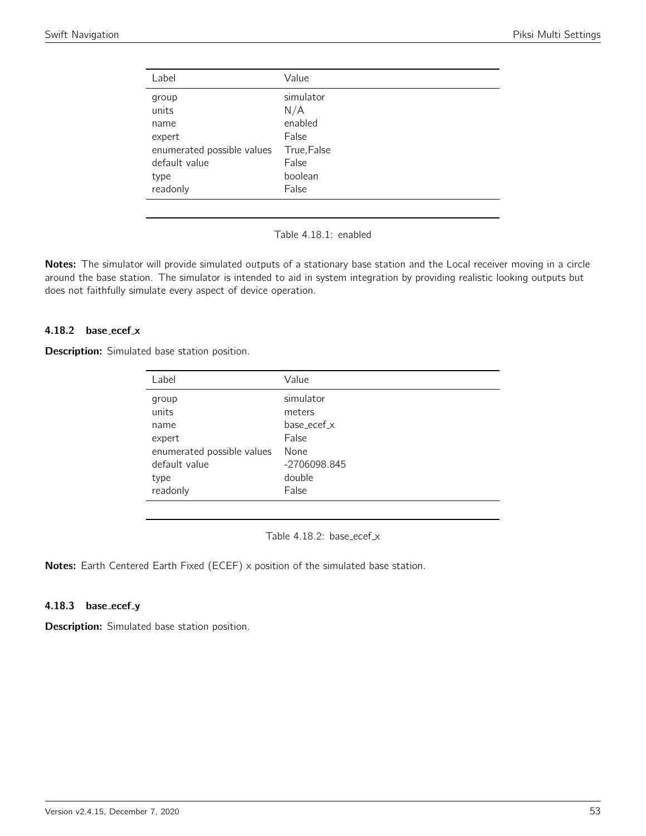| Label                      | Value       |
|----------------------------|-------------|
| group                      | simulator   |
| units                      | N/A         |
| name                       | enabled     |
| expert                     | False       |
| enumerated possible values | True, False |
| default value              | False       |
| type                       | boolean     |
| readonly                   | False       |
|                            |             |

Table 4.18.1: enabled

Notes: The simulator will provide simulated outputs of a stationary base station and the Local receiver moving in a circle around the base station. The simulator is intended to aid in system integration by providing realistic looking outputs but does not faithfully simulate every aspect of device operation.

# 4.18.2 base\_ecef\_x

Description: Simulated base station position.

| Label                      | Value        |
|----------------------------|--------------|
| group                      | simulator    |
| units                      | meters       |
| name                       | base_ecef_x  |
| expert                     | False        |
| enumerated possible values | None         |
| default value              | -2706098.845 |
| type                       | double       |
| readonly                   | False        |

Table 4.18.2: base\_ecef\_ $\times$ 

Notes: Earth Centered Earth Fixed (ECEF) x position of the simulated base station.

## 4.18.3 base\_ecef\_y

Description: Simulated base station position.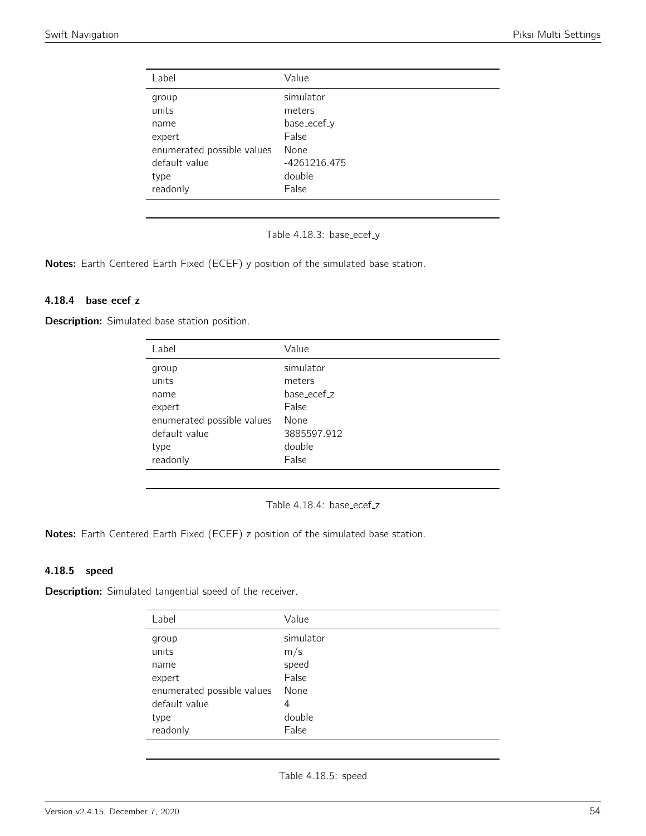| Label                      | Value          |
|----------------------------|----------------|
| group                      | simulator      |
| units                      | meters         |
| name                       | base_ecef_y    |
| expert                     | False          |
| enumerated possible values | None           |
| default value              | $-4261216.475$ |
| type                       | double         |
| readonly                   | False          |
|                            |                |

Table 4.18.3: base\_ecef\_y

Notes: Earth Centered Earth Fixed (ECEF) y position of the simulated base station.

#### 4.18.4 base\_ecef\_z

Description: Simulated base station position.

| Label                      | Value       |
|----------------------------|-------------|
| group                      | simulator   |
| units                      | meters      |
| name                       | base_ecef_z |
| expert                     | False       |
| enumerated possible values | None        |
| default value              | 3885597.912 |
| type                       | double      |
| readonly                   | False       |

Table 4.18.4: base\_ecef\_z

Notes: Earth Centered Earth Fixed (ECEF) z position of the simulated base station.

## 4.18.5 speed

Description: Simulated tangential speed of the receiver.

| Label                      | Value     |
|----------------------------|-----------|
| group                      | simulator |
| units                      | m/s       |
| name                       | speed     |
| expert                     | False     |
| enumerated possible values | None      |
| default value              | 4         |
| type                       | double    |
| readonly                   | False     |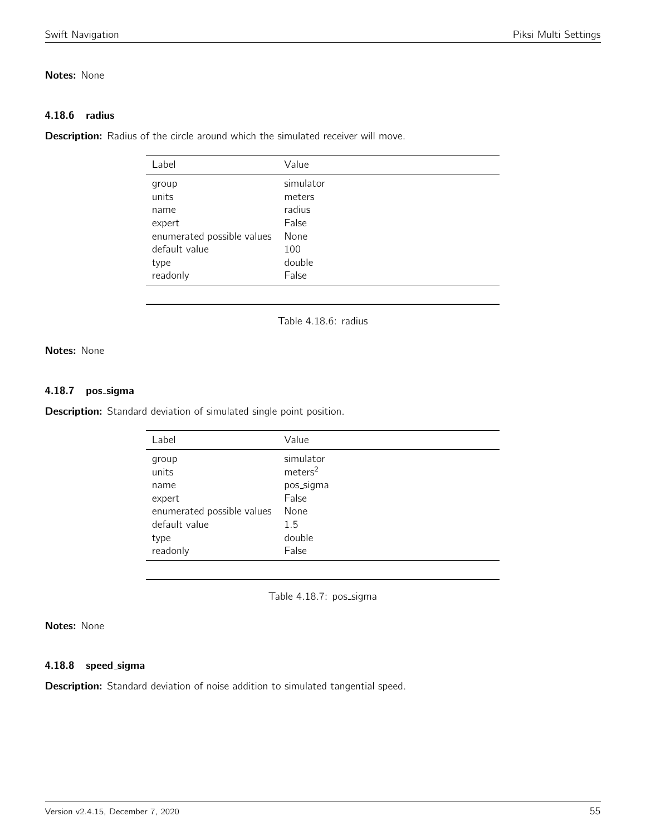# Notes: None

## 4.18.6 radius

Description: Radius of the circle around which the simulated receiver will move.

| Label                      | Value     |
|----------------------------|-----------|
| group                      | simulator |
| units                      | meters    |
| name                       | radius    |
| expert                     | False     |
| enumerated possible values | None      |
| default value              | 100       |
| type                       | double    |
| readonly                   | False     |
|                            |           |

Table 4.18.6: radius

# Notes: None

#### 4.18.7 pos\_sigma

Description: Standard deviation of simulated single point position.

| Label                      | Value               |
|----------------------------|---------------------|
| group                      | simulator           |
| units                      | meters <sup>2</sup> |
| name                       | pos_sigma           |
| expert                     | False               |
| enumerated possible values | None                |
| default value              | 1.5                 |
| type                       | double              |
| readonly                   | False               |

Table 4.18.7: pos\_sigma

# Notes: None

# 4.18.8 speed sigma

Description: Standard deviation of noise addition to simulated tangential speed.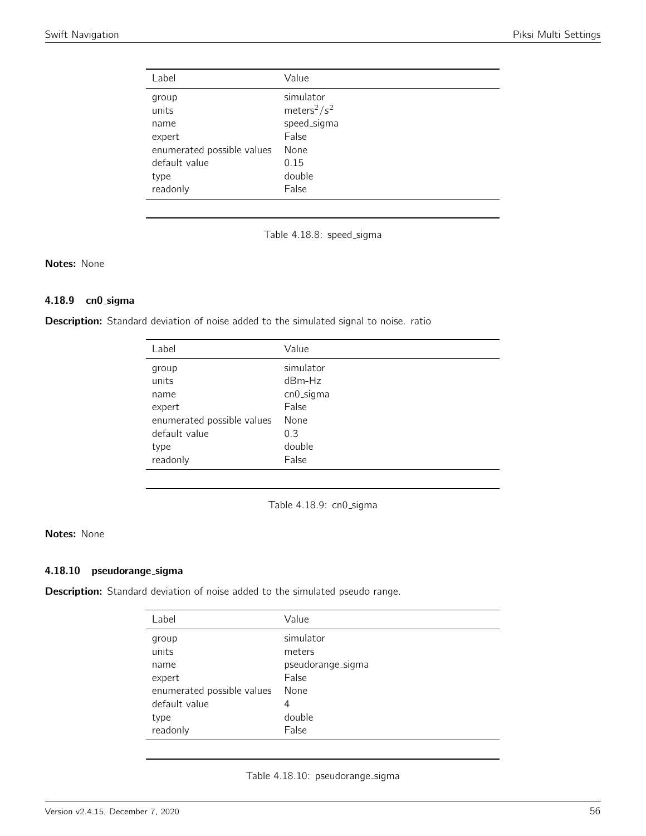| Label                      | Value                       |
|----------------------------|-----------------------------|
| group                      | simulator                   |
| units                      | meters <sup>2</sup> / $s^2$ |
| name                       | speed_sigma                 |
| expert                     | False                       |
| enumerated possible values | None                        |
| default value              | 0.15                        |
| type                       | double                      |
| readonly                   | False                       |

Table 4.18.8: speed\_sigma

# Notes: None

# 4.18.9 cn0 sigma

Description: Standard deviation of noise added to the simulated signal to noise. ratio

| Label                      | Value     |
|----------------------------|-----------|
| group                      | simulator |
| units                      | $dBm-Hz$  |
| name                       | cn0_sigma |
| expert                     | False     |
| enumerated possible values | None      |
| default value              | 0.3       |
| type                       | double    |
| readonly                   | False     |

Table 4.18.9: cn0\_sigma

# Notes: None

## 4.18.10 pseudorange sigma

Description: Standard deviation of noise added to the simulated pseudo range.

| Label                      | Value             |
|----------------------------|-------------------|
| group                      | simulator         |
| units                      | meters            |
| name                       | pseudorange_sigma |
| expert                     | False             |
| enumerated possible values | None              |
| default value              | 4                 |
| type                       | double            |
| readonly                   | False             |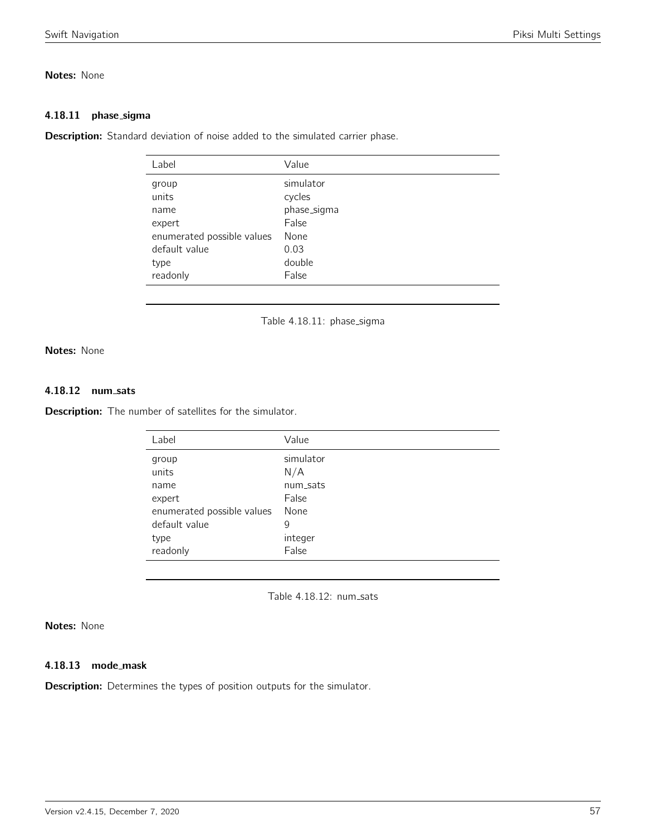# Notes: None

#### 4.18.11 phase\_sigma

**Description:** Standard deviation of noise added to the simulated carrier phase.

| Label                      | Value       |
|----------------------------|-------------|
| group                      | simulator   |
| units                      | cycles      |
| name                       | phase_sigma |
| expert                     | False       |
| enumerated possible values | None        |
| default value              | 0.03        |
| type                       | double      |
| readonly                   | False       |

Table 4.18.11: phase\_sigma

# Notes: None

# 4.18.12 num sats

**Description:** The number of satellites for the simulator.

| Label                      | Value     |
|----------------------------|-----------|
| group                      | simulator |
| units                      | N/A       |
| name                       | num_sats  |
| expert                     | False     |
| enumerated possible values | None      |
| default value              | 9         |
| type                       | integer   |
| readonly                   | False     |

Table 4.18.12: num\_sats

# Notes: None

#### 4.18.13 mode\_mask

**Description:** Determines the types of position outputs for the simulator.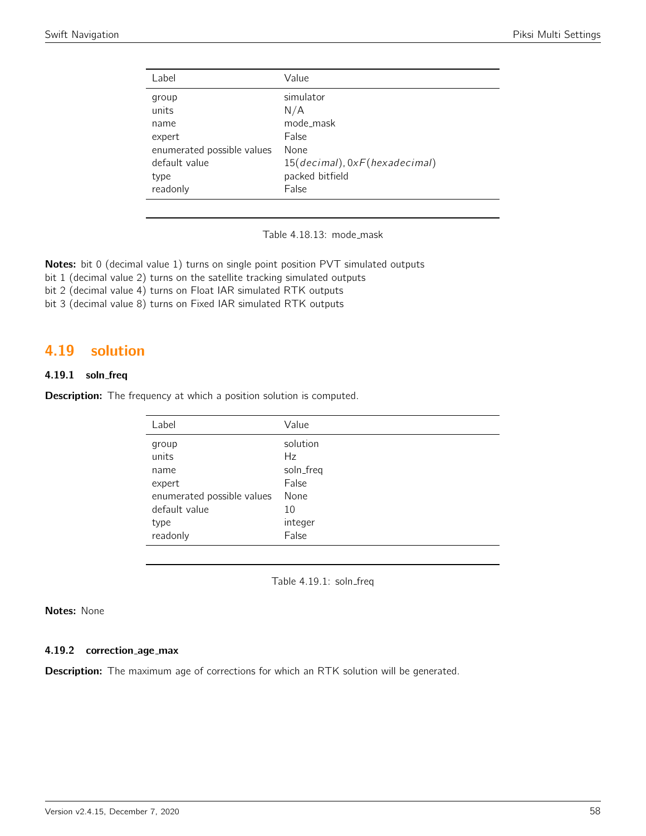| Label                      | Value                         |
|----------------------------|-------------------------------|
| group                      | simulator                     |
| units                      | N/A                           |
| name                       | mode_mask                     |
| expert                     | False                         |
| enumerated possible values | None                          |
| default value              | 15(decimal), 0xF(hexadecimal) |
| type                       | packed bitfield               |
| readonly                   | False                         |

Table 4.18.13: mode\_mask

Notes: bit 0 (decimal value 1) turns on single point position PVT simulated outputs

bit 1 (decimal value 2) turns on the satellite tracking simulated outputs

bit 2 (decimal value 4) turns on Float IAR simulated RTK outputs

bit 3 (decimal value 8) turns on Fixed IAR simulated RTK outputs

# 4.19 solution

# 4.19.1 soln\_freq

**Description:** The frequency at which a position solution is computed.

| Label                      | Value     |
|----------------------------|-----------|
| group                      | solution  |
| units                      | Hz        |
| name                       | soln_freq |
| expert                     | False     |
| enumerated possible values | None      |
| default value              | 10        |
| type                       | integer   |
| readonly                   | False     |
|                            |           |

Table 4.19.1: soln\_freq

Notes: None

## 4.19.2 correction\_age\_max

**Description:** The maximum age of corrections for which an RTK solution will be generated.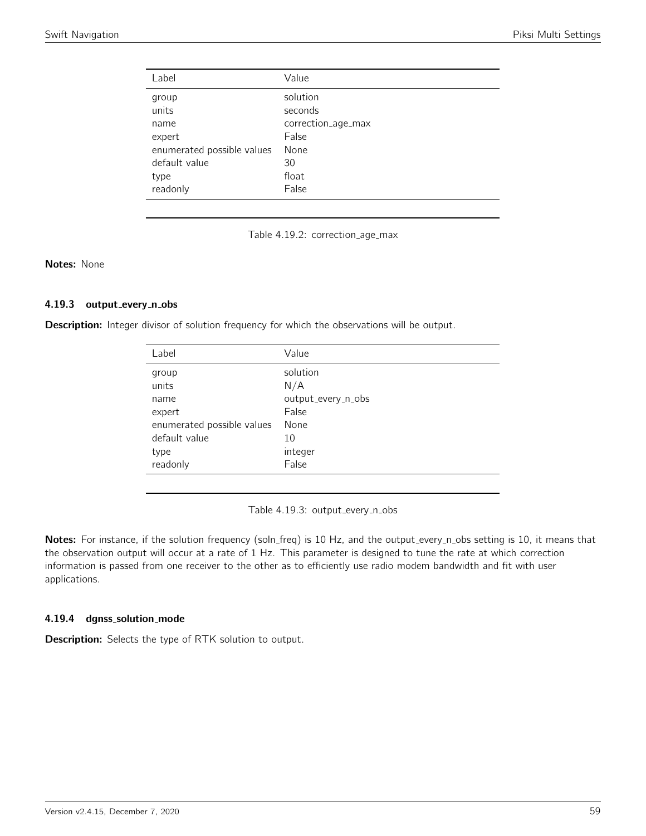| Label                      | Value              |
|----------------------------|--------------------|
| group                      | solution           |
| units                      | seconds            |
| name                       | correction_age_max |
| expert                     | False              |
| enumerated possible values | None               |
| default value              | 30                 |
| type                       | float              |
| readonly                   | False              |

Table 4.19.2: correction\_age\_max

# Notes: None

### 4.19.3 output\_every\_n\_obs

Description: Integer divisor of solution frequency for which the observations will be output.

| Value              |
|--------------------|
| solution           |
| N/A                |
| output_every_n_obs |
| False              |
| None               |
| 10                 |
| integer            |
| False              |
|                    |

Table 4.19.3: output\_every\_n\_obs

Notes: For instance, if the solution frequency (soln\_freq) is 10 Hz, and the output\_every\_n\_obs setting is 10, it means that the observation output will occur at a rate of 1 Hz. This parameter is designed to tune the rate at which correction information is passed from one receiver to the other as to efficiently use radio modem bandwidth and fit with user applications.

## 4.19.4 dgnss solution mode

**Description:** Selects the type of RTK solution to output.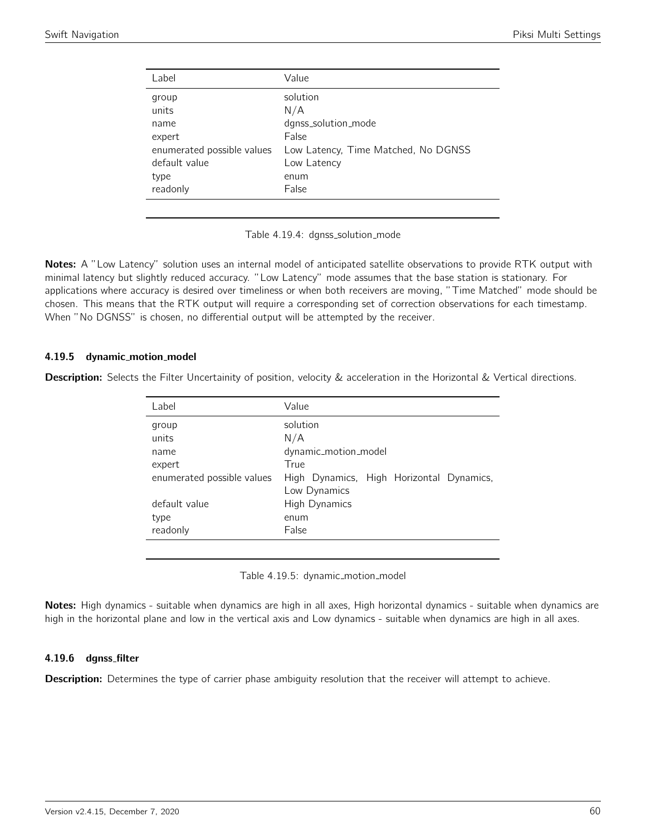| Label                      | Value                               |
|----------------------------|-------------------------------------|
| group                      | solution                            |
| units                      | N/A                                 |
| name                       | dgnss_solution_mode                 |
| expert                     | False                               |
| enumerated possible values | Low Latency, Time Matched, No DGNSS |
| default value              | Low Latency                         |
| type                       | enum                                |
| readonly                   | False                               |
|                            |                                     |

Table 4.19.4: dgnss\_solution\_mode

Notes: A "Low Latency" solution uses an internal model of anticipated satellite observations to provide RTK output with minimal latency but slightly reduced accuracy. "Low Latency" mode assumes that the base station is stationary. For applications where accuracy is desired over timeliness or when both receivers are moving, "Time Matched" mode should be chosen. This means that the RTK output will require a corresponding set of correction observations for each timestamp. When "No DGNSS" is chosen, no differential output will be attempted by the receiver.

#### 4.19.5 dynamic\_motion\_model

Description: Selects the Filter Uncertainity of position, velocity & acceleration in the Horizontal & Vertical directions.

| Label                      | Value                                                    |  |  |  |  |  |  |
|----------------------------|----------------------------------------------------------|--|--|--|--|--|--|
| group                      | solution                                                 |  |  |  |  |  |  |
| units                      | N/A                                                      |  |  |  |  |  |  |
| name                       | dynamic_motion_model                                     |  |  |  |  |  |  |
| expert                     | True                                                     |  |  |  |  |  |  |
| enumerated possible values | High Dynamics, High Horizontal Dynamics,<br>Low Dynamics |  |  |  |  |  |  |
| default value              | <b>High Dynamics</b>                                     |  |  |  |  |  |  |
| type                       | enum                                                     |  |  |  |  |  |  |
| readonly                   | False                                                    |  |  |  |  |  |  |
|                            |                                                          |  |  |  |  |  |  |

Table 4.19.5: dynamic\_motion\_model

Notes: High dynamics - suitable when dynamics are high in all axes, High horizontal dynamics - suitable when dynamics are high in the horizontal plane and low in the vertical axis and Low dynamics - suitable when dynamics are high in all axes.

#### 4.19.6 dgnss filter

**Description:** Determines the type of carrier phase ambiguity resolution that the receiver will attempt to achieve.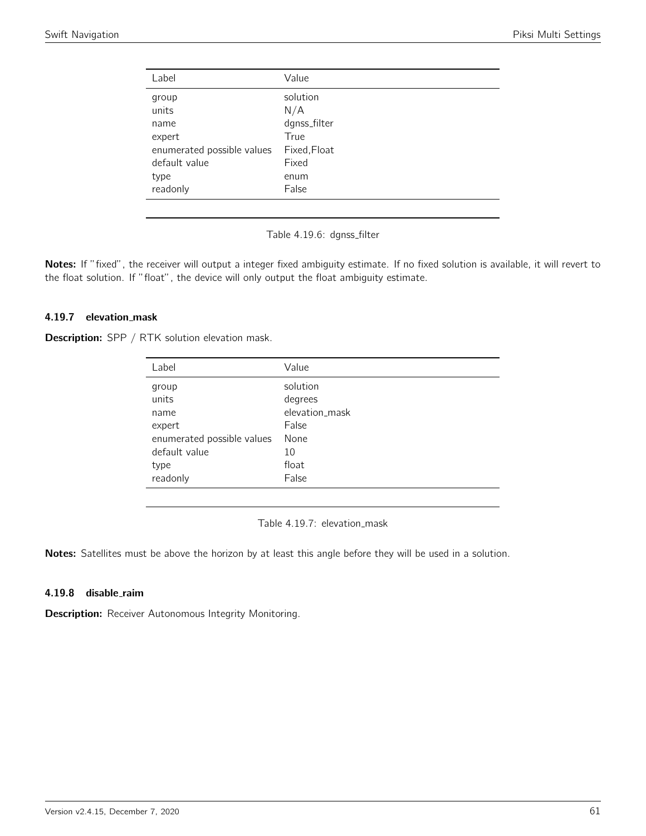| Label                      | Value        |
|----------------------------|--------------|
| group                      | solution     |
| units                      | N/A          |
| name                       | dgnss_filter |
| expert                     | True         |
| enumerated possible values | Fixed, Float |
| default value              | Fixed        |
| type                       | enum         |
| readonly                   | False        |
|                            |              |

Table 4.19.6: dgnss filter

Notes: If "fixed", the receiver will output a integer fixed ambiguity estimate. If no fixed solution is available, it will revert to the float solution. If "float", the device will only output the float ambiguity estimate.

#### 4.19.7 elevation mask

Description: SPP / RTK solution elevation mask.

| Value          |
|----------------|
| solution       |
| degrees        |
| elevation_mask |
| False          |
| None           |
| 10             |
| float          |
| False          |
|                |

Table 4.19.7: elevation\_mask

Notes: Satellites must be above the horizon by at least this angle before they will be used in a solution.

#### 4.19.8 disable raim

Description: Receiver Autonomous Integrity Monitoring.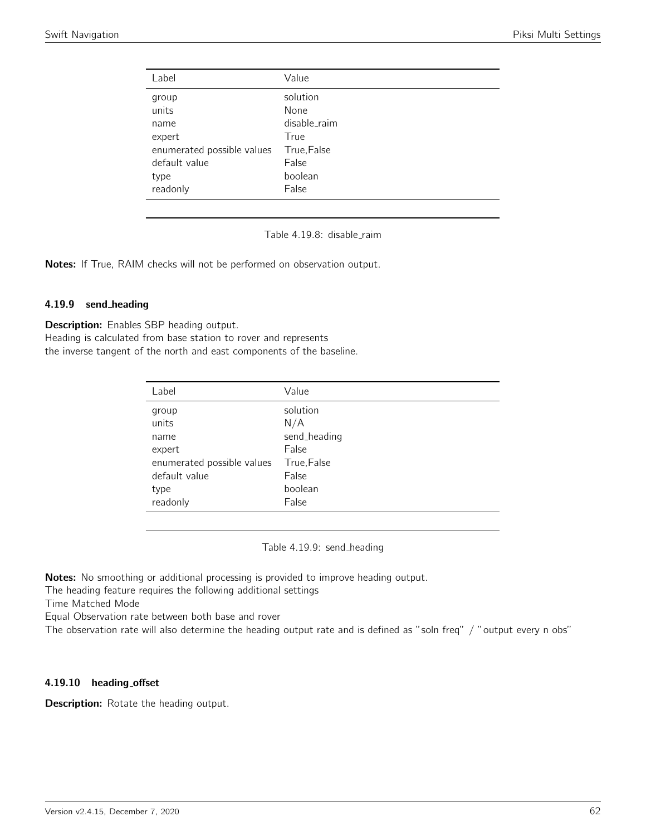| Label                      | Value        |
|----------------------------|--------------|
| group                      | solution     |
| units                      | None         |
| name                       | disable_raim |
| expert                     | True         |
| enumerated possible values | True, False  |
| default value              | False        |
| type                       | boolean      |
| readonly                   | False        |
|                            |              |

Table 4.19.8: disable\_raim

Notes: If True, RAIM checks will not be performed on observation output.

#### 4.19.9 send heading

Description: Enables SBP heading output. Heading is calculated from base station to rover and represents the inverse tangent of the north and east components of the baseline.

| Label                      | Value        |
|----------------------------|--------------|
| group                      | solution     |
| units                      | N/A          |
| name                       | send_heading |
| expert                     | False        |
| enumerated possible values | True, False  |
| default value              | False        |
| type                       | boolean      |
| readonly                   | False        |
|                            |              |

Table 4.19.9: send\_heading

Notes: No smoothing or additional processing is provided to improve heading output.

- The heading feature requires the following additional settings
- Time Matched Mode

Equal Observation rate between both base and rover

The observation rate will also determine the heading output rate and is defined as "soln freq" / "output every n obs"

## 4.19.10 heading offset

**Description:** Rotate the heading output.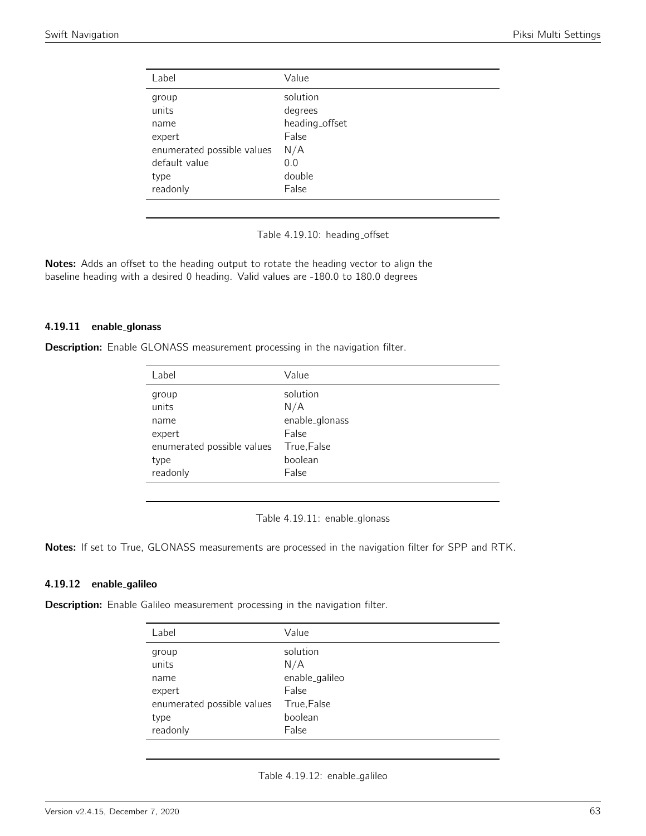| Label                      | Value          |
|----------------------------|----------------|
| group                      | solution       |
| units                      | degrees        |
| name                       | heading_offset |
| expert                     | False          |
| enumerated possible values | N/A            |
| default value              | 0.0            |
| type                       | double         |
| readonly                   | False          |
|                            |                |

Table 4.19.10: heading\_offset

Notes: Adds an offset to the heading output to rotate the heading vector to align the baseline heading with a desired 0 heading. Valid values are -180.0 to 180.0 degrees

#### 4.19.11 enable glonass

|  |  |  |  |  |  | Description: Enable GLONASS measurement processing in the navigation filter. |  |
|--|--|--|--|--|--|------------------------------------------------------------------------------|--|
|--|--|--|--|--|--|------------------------------------------------------------------------------|--|

| Label                      | Value          |
|----------------------------|----------------|
| group                      | solution       |
| units                      | N/A            |
| name                       | enable_glonass |
| expert                     | False          |
| enumerated possible values | True, False    |
| type                       | boolean        |
| readonly                   | False          |
|                            |                |

Table 4.19.11: enable\_glonass

Notes: If set to True, GLONASS measurements are processed in the navigation filter for SPP and RTK.

#### 4.19.12 enable galileo

**Description:** Enable Galileo measurement processing in the navigation filter.

| Label                      | Value          |
|----------------------------|----------------|
| group                      | solution       |
| units                      | N/A            |
| name                       | enable_galileo |
| expert                     | False          |
| enumerated possible values | True, False    |
| type                       | boolean        |
| readonly                   | False          |
|                            |                |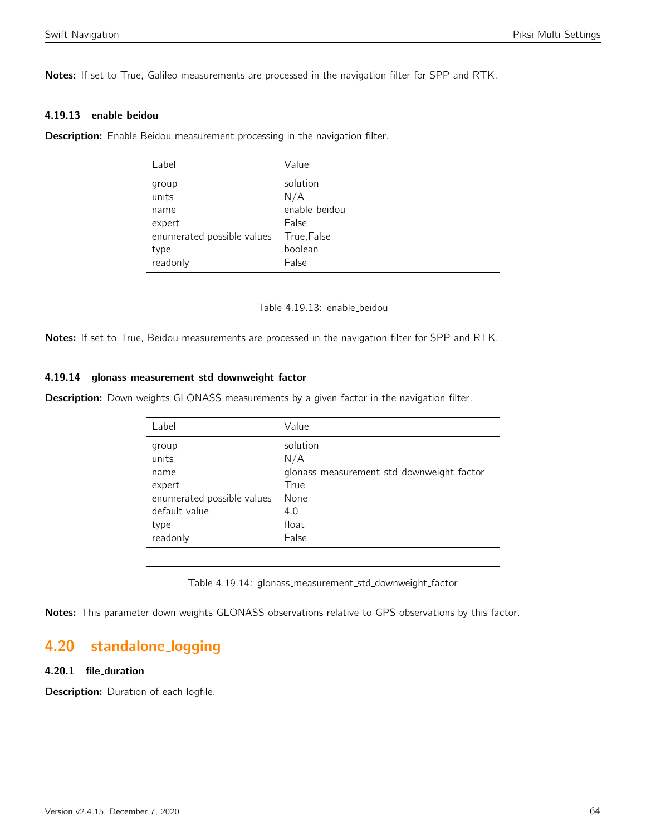Notes: If set to True, Galileo measurements are processed in the navigation filter for SPP and RTK.

#### 4.19.13 enable beidou

Description: Enable Beidou measurement processing in the navigation filter.

| Label                      | Value         |
|----------------------------|---------------|
| group                      | solution      |
| units                      | N/A           |
| name                       | enable_beidou |
| expert                     | False         |
| enumerated possible values | True, False   |
| type                       | boolean       |
| readonly                   | False         |
|                            |               |

Table 4.19.13: enable beidou

Notes: If set to True, Beidou measurements are processed in the navigation filter for SPP and RTK.

#### 4.19.14 glonass\_measurement\_std\_downweight\_factor

**Description:** Down weights GLONASS measurements by a given factor in the navigation filter.

| Label                      | Value                                     |
|----------------------------|-------------------------------------------|
| group                      | solution                                  |
| units                      | N/A                                       |
| name                       | glonass_measurement_std_downweight_factor |
| expert                     | True                                      |
| enumerated possible values | None                                      |
| default value              | 4.0                                       |
| type                       | float                                     |
| readonly                   | False                                     |
|                            |                                           |

Table 4.19.14: glonass\_measurement\_std\_downweight\_factor

Notes: This parameter down weights GLONASS observations relative to GPS observations by this factor.

# 4.20 standalone logging

# 4.20.1 file duration

**Description:** Duration of each logfile.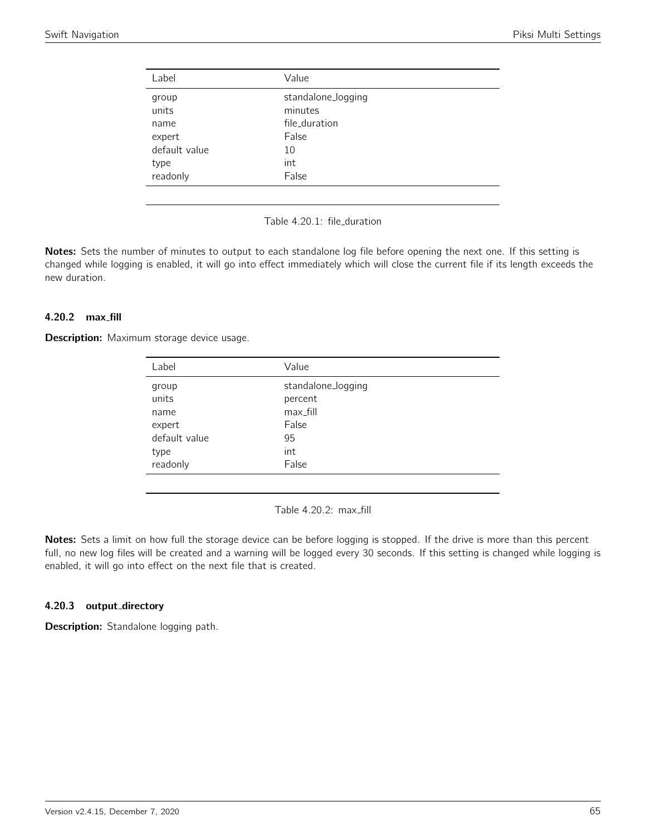| Label         | Value              |
|---------------|--------------------|
| group         | standalone_logging |
| units         | minutes            |
| name          | file duration      |
| expert        | False              |
| default value | 10                 |
| type          | int                |
| readonly      | False              |
|               |                    |



Notes: Sets the number of minutes to output to each standalone log file before opening the next one. If this setting is changed while logging is enabled, it will go into effect immediately which will close the current file if its length exceeds the new duration.

# 4.20.2 max fill

**Description:** Maximum storage device usage.

| Label         | Value              |
|---------------|--------------------|
| group         | standalone_logging |
| units         | percent            |
| name          | max_fill           |
| expert        | False              |
| default value | 95                 |
| type          | int                |
| readonly      | False              |
|               |                    |

Table 4.20.2: max fill

Notes: Sets a limit on how full the storage device can be before logging is stopped. If the drive is more than this percent full, no new log files will be created and a warning will be logged every 30 seconds. If this setting is changed while logging is enabled, it will go into effect on the next file that is created.

## 4.20.3 output\_directory

Description: Standalone logging path.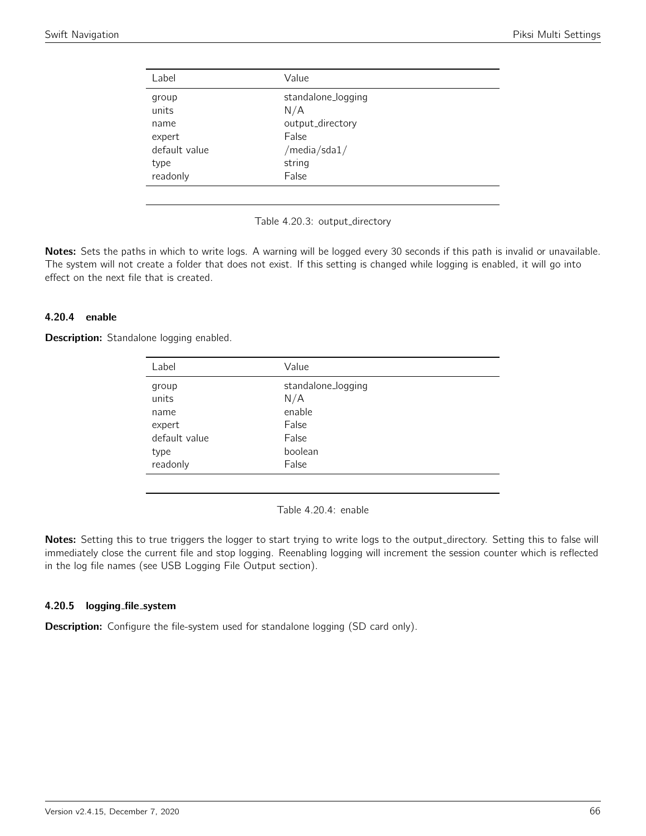| Label         | Value              |  |
|---------------|--------------------|--|
| group         | standalone_logging |  |
| units         | N/A                |  |
| name          | output_directory   |  |
| expert        | False              |  |
| default value | /media/sda1/       |  |
| type          | string             |  |
| readonly      | False              |  |
|               |                    |  |

Table 4.20.3: output\_directory

Notes: Sets the paths in which to write logs. A warning will be logged every 30 seconds if this path is invalid or unavailable. The system will not create a folder that does not exist. If this setting is changed while logging is enabled, it will go into effect on the next file that is created.

# 4.20.4 enable

**Description:** Standalone logging enabled.

| Label         | Value              |
|---------------|--------------------|
| group         | standalone_logging |
| units         | N/A                |
| name          | enable             |
| expert        | False              |
| default value | False              |
| type          | boolean            |
| readonly      | False              |
|               |                    |

Table 4.20.4: enable

Notes: Setting this to true triggers the logger to start trying to write logs to the output\_directory. Setting this to false will immediately close the current file and stop logging. Reenabling logging will increment the session counter which is reflected in the log file names (see USB Logging File Output section).

## 4.20.5 logging file system

**Description:** Configure the file-system used for standalone logging (SD card only).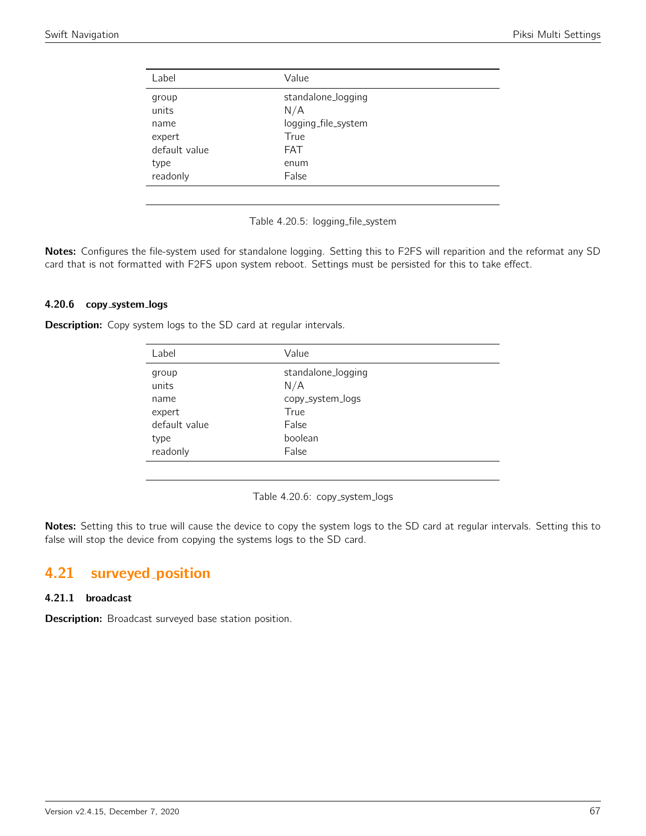| Label         | Value               |
|---------------|---------------------|
| group         | standalone_logging  |
| units         | N/A                 |
| name          | logging_file_system |
| expert        | True                |
| default value | <b>FAT</b>          |
| type          | enum                |
| readonly      | False               |



Notes: Configures the file-system used for standalone logging. Setting this to F2FS will reparition and the reformat any SD card that is not formatted with F2FS upon system reboot. Settings must be persisted for this to take effect.

#### 4.20.6 copy system logs

Description: Copy system logs to the SD card at regular intervals.

| Label          | Value                     |  |
|----------------|---------------------------|--|
| group<br>units | standalone_logging<br>N/A |  |
| name           | copy_system_logs          |  |
| expert         | True                      |  |
| default value  | False                     |  |
| type           | boolean                   |  |
| readonly       | False                     |  |
|                |                           |  |

Table 4.20.6: copy\_system\_logs

Notes: Setting this to true will cause the device to copy the system logs to the SD card at regular intervals. Setting this to false will stop the device from copying the systems logs to the SD card.

# 4.21 surveyed position

# 4.21.1 broadcast

**Description:** Broadcast surveyed base station position.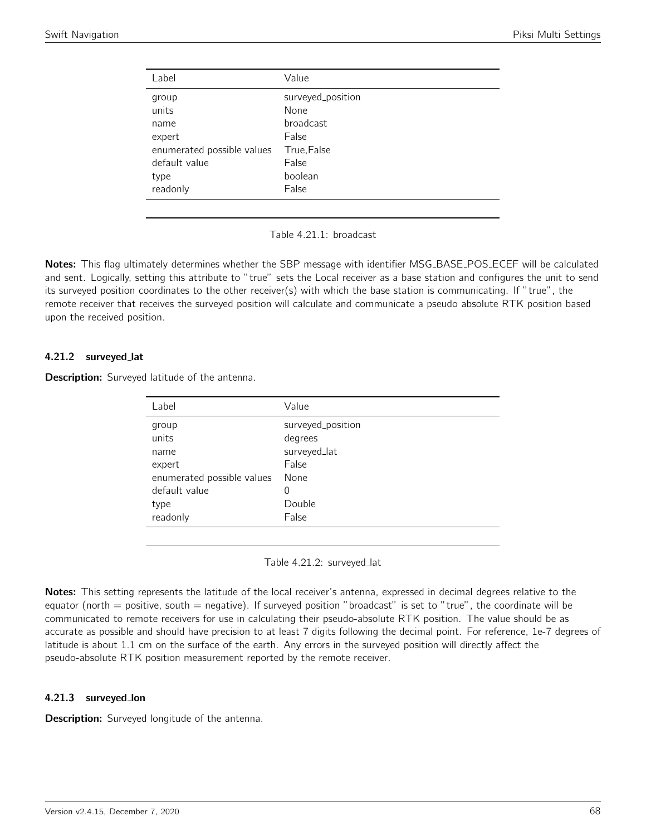| Label                      | Value             |
|----------------------------|-------------------|
| group                      | surveyed_position |
| units                      | None              |
| name                       | <b>broadcast</b>  |
| expert                     | False             |
| enumerated possible values | True, False       |
| default value              | False             |
| type                       | boolean           |
| readonly                   | False             |
|                            |                   |

Table 4.21.1: broadcast

Notes: This flag ultimately determines whether the SBP message with identifier MSG\_BASE\_POS\_ECEF will be calculated and sent. Logically, setting this attribute to "true" sets the Local receiver as a base station and configures the unit to send its surveyed position coordinates to the other receiver(s) with which the base station is communicating. If "true", the remote receiver that receives the surveyed position will calculate and communicate a pseudo absolute RTK position based upon the received position.

# 4.21.2 surveyed lat

Description: Surveyed latitude of the antenna.

| Label                      | Value             |
|----------------------------|-------------------|
| group                      | surveyed_position |
| units                      | degrees           |
| name                       | surveyed_lat      |
| expert                     | False             |
| enumerated possible values | None              |
| default value              | 0                 |
| type                       | Double            |
| readonly                   | False             |
|                            |                   |

Table 4.21.2: surveyed lat

Notes: This setting represents the latitude of the local receiver's antenna, expressed in decimal degrees relative to the equator (north  $=$  positive, south  $=$  negative). If surveyed position "broadcast" is set to "true", the coordinate will be communicated to remote receivers for use in calculating their pseudo-absolute RTK position. The value should be as accurate as possible and should have precision to at least 7 digits following the decimal point. For reference, 1e-7 degrees of latitude is about 1.1 cm on the surface of the earth. Any errors in the surveyed position will directly affect the pseudo-absolute RTK position measurement reported by the remote receiver.

## 4.21.3 surveyed lon

**Description:** Surveyed longitude of the antenna.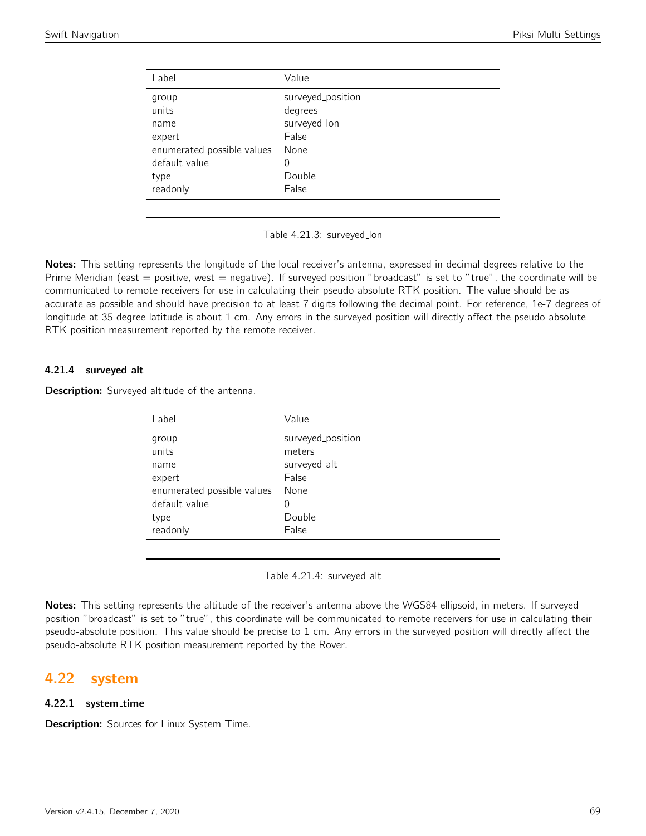| Label                      | Value             |
|----------------------------|-------------------|
| group                      | surveyed_position |
| units                      | degrees           |
| name                       | surveyed_lon      |
| expert                     | False             |
| enumerated possible values | None              |
| default value              | 0                 |
| type                       | Double            |
| readonly                   | False             |
|                            |                   |

Table 4.21.3: surveyed lon

Notes: This setting represents the longitude of the local receiver's antenna, expressed in decimal degrees relative to the Prime Meridian (east  $=$  positive, west  $=$  negative). If surveyed position "broadcast" is set to "true", the coordinate will be communicated to remote receivers for use in calculating their pseudo-absolute RTK position. The value should be as accurate as possible and should have precision to at least 7 digits following the decimal point. For reference, 1e-7 degrees of longitude at 35 degree latitude is about 1 cm. Any errors in the surveyed position will directly affect the pseudo-absolute RTK position measurement reported by the remote receiver.

## 4.21.4 surveyed alt

**Description:** Surveyed altitude of the antenna.

| Label                      | Value             |
|----------------------------|-------------------|
| group                      | surveyed_position |
| units                      | meters            |
| name                       | surveyed_alt      |
| expert                     | False             |
| enumerated possible values | None              |
| default value              | 0                 |
| type                       | Double            |
| readonly                   | False             |
|                            |                   |

Table 4.21.4: surveyed alt

Notes: This setting represents the altitude of the receiver's antenna above the WGS84 ellipsoid, in meters. If surveyed position "broadcast" is set to "true", this coordinate will be communicated to remote receivers for use in calculating their pseudo-absolute position. This value should be precise to 1 cm. Any errors in the surveyed position will directly affect the pseudo-absolute RTK position measurement reported by the Rover.

# 4.22 system

# 4.22.1 system time

**Description:** Sources for Linux System Time.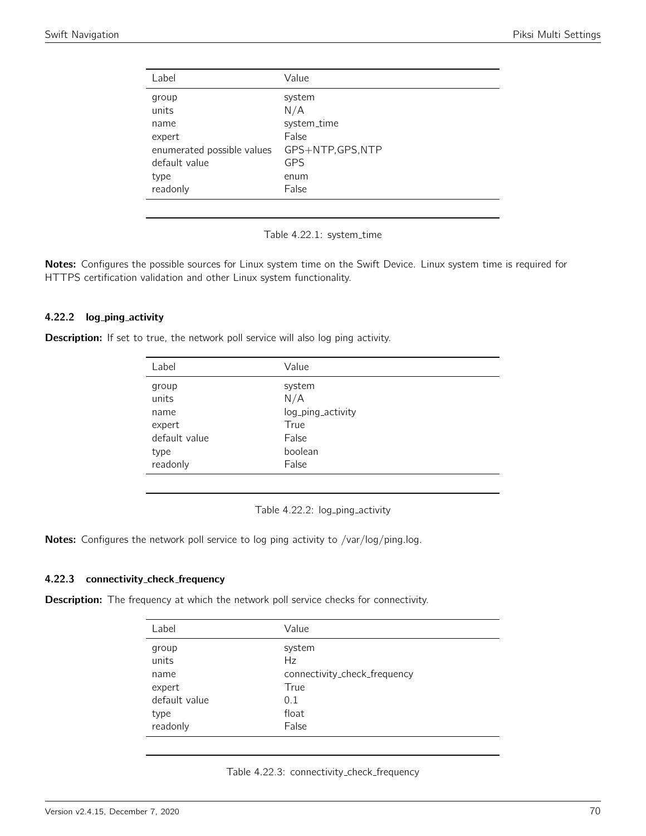| Label                      | Value             |
|----------------------------|-------------------|
| group                      | system            |
| units                      | N/A               |
| name                       | system_time       |
| expert                     | False             |
| enumerated possible values | GPS+NTP, GPS, NTP |
| default value              | GPS               |
| type                       | enum              |
| readonly                   | False             |
|                            |                   |

Table 4.22.1: system\_time

Notes: Configures the possible sources for Linux system time on the Swift Device. Linux system time is required for HTTPS certification validation and other Linux system functionality.

## 4.22.2 log\_ping\_activity

**Description:** If set to true, the network poll service will also log ping activity.

| Label         | Value             |
|---------------|-------------------|
| group         | system            |
| units         | N/A               |
| name          | log_ping_activity |
| expert        | True              |
| default value | False             |
| type          | boolean           |
| readonly      | False             |
|               |                   |

Table 4.22.2: log\_ping\_activity

Notes: Configures the network poll service to log ping activity to /var/log/ping.log.

#### 4.22.3 connectivity check frequency

**Description:** The frequency at which the network poll service checks for connectivity.

| Label         | Value                        |
|---------------|------------------------------|
| group         | system                       |
| units         | Hz                           |
| name          | connectivity_check_frequency |
| expert        | True                         |
| default value | 0.1                          |
| type          | float                        |
| readonly      | False                        |
|               |                              |

| Table 4.22.3: connectivity_check_frequency |  |  |  |
|--------------------------------------------|--|--|--|
|--------------------------------------------|--|--|--|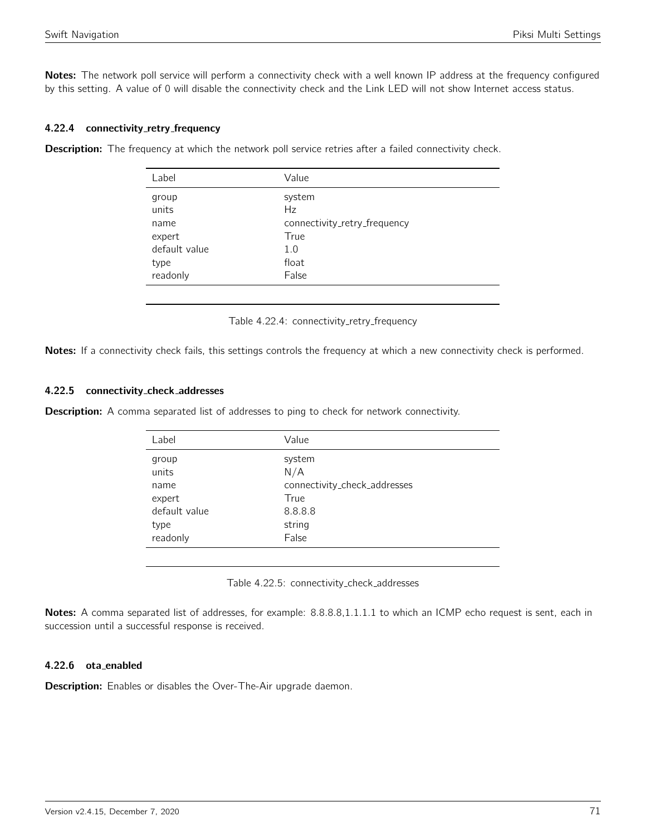Notes: The network poll service will perform a connectivity check with a well known IP address at the frequency configured by this setting. A value of 0 will disable the connectivity check and the Link LED will not show Internet access status.

#### 4.22.4 connectivity\_retry\_frequency

**Description:** The frequency at which the network poll service retries after a failed connectivity check.

| Label         | Value                        |
|---------------|------------------------------|
| group         | system                       |
| units         | Hz                           |
| name          | connectivity_retry_frequency |
| expert        | True                         |
| default value | 1.0                          |
| type          | float                        |
| readonly      | False                        |
|               |                              |

Table 4.22.4: connectivity\_retry\_frequency

Notes: If a connectivity check fails, this settings controls the frequency at which a new connectivity check is performed.

#### 4.22.5 connectivity check addresses

**Description:** A comma separated list of addresses to ping to check for network connectivity.

| Label         | Value                        |
|---------------|------------------------------|
| group         | system                       |
| units         | N/A                          |
| name          | connectivity_check_addresses |
| expert        | True                         |
| default value | 8.8.8.8                      |
| type          | string                       |
| readonly      | False                        |
|               |                              |

Table 4.22.5: connectivity check addresses

Notes: A comma separated list of addresses, for example: 8.8.8.8,1.1.1.1 to which an ICMP echo request is sent, each in succession until a successful response is received.

#### 4.22.6 ota enabled

**Description:** Enables or disables the Over-The-Air upgrade daemon.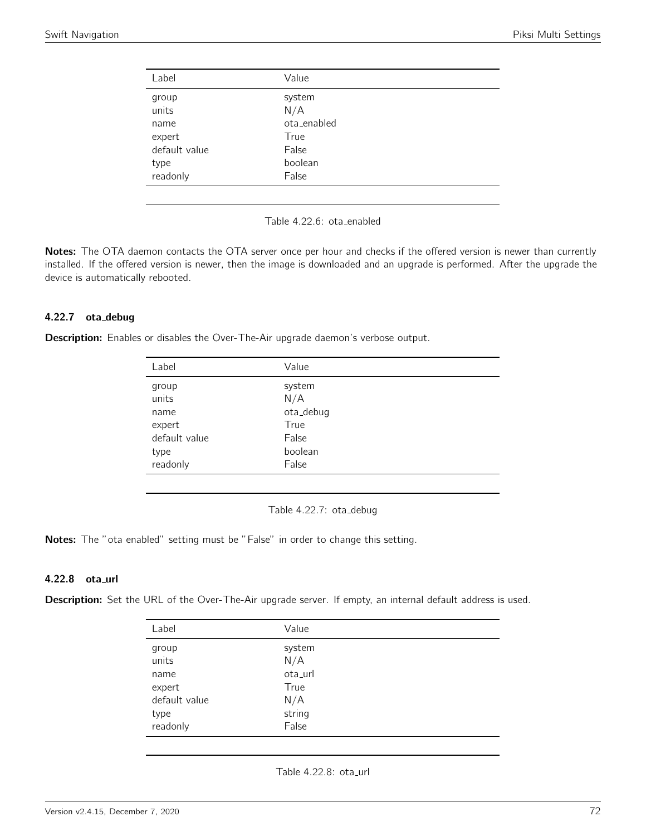| Label         | Value       |  |
|---------------|-------------|--|
| group         | system      |  |
| units         | N/A         |  |
| name          | ota enabled |  |
| expert        | True        |  |
| default value | False       |  |
| type          | boolean     |  |
| readonly      | False       |  |
|               |             |  |

Table 4.22.6: ota\_enabled

Notes: The OTA daemon contacts the OTA server once per hour and checks if the offered version is newer than currently installed. If the offered version is newer, then the image is downloaded and an upgrade is performed. After the upgrade the device is automatically rebooted.

# 4.22.7 ota debug

**Description:** Enables or disables the Over-The-Air upgrade daemon's verbose output.

| Label         | Value     |
|---------------|-----------|
| group         | system    |
| units         | N/A       |
| name          | ota_debug |
| expert        | True      |
| default value | False     |
| type          | boolean   |
| readonly      | False     |
|               |           |

Table 4.22.7: ota\_debug

Notes: The "ota enabled" setting must be "False" in order to change this setting.

#### 4.22.8 ota\_url

Description: Set the URL of the Over-The-Air upgrade server. If empty, an internal default address is used.

| Label         | Value   |  |
|---------------|---------|--|
| group         | system  |  |
| units         | N/A     |  |
| name          | ota_url |  |
| expert        | True    |  |
| default value | N/A     |  |
| type          | string  |  |
| readonly      | False   |  |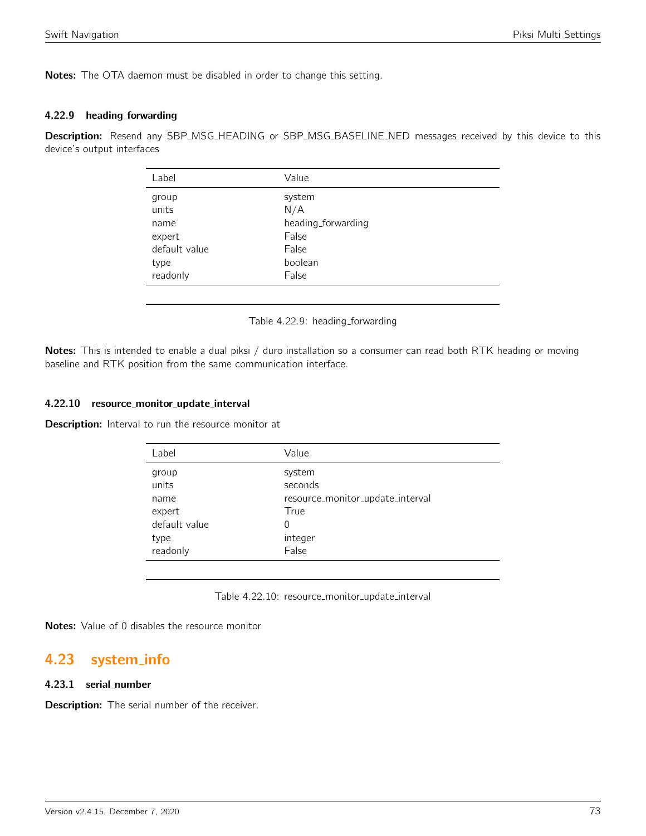Notes: The OTA daemon must be disabled in order to change this setting.

#### 4.22.9 heading forwarding

Description: Resend any SBP\_MSG\_HEADING or SBP\_MSG\_BASELINE\_NED messages received by this device to this device's output interfaces

| Value              |  |
|--------------------|--|
| system             |  |
| N/A                |  |
| heading_forwarding |  |
| False              |  |
| False              |  |
| boolean            |  |
| False              |  |
|                    |  |

Table 4.22.9: heading\_forwarding

Notes: This is intended to enable a dual piksi / duro installation so a consumer can read both RTK heading or moving baseline and RTK position from the same communication interface.

#### 4.22.10 resource monitor update interval

Description: Interval to run the resource monitor at

| Label          | Value                            |
|----------------|----------------------------------|
| group<br>units | system<br>seconds                |
| name           | resource_monitor_update_interval |
| expert         | True                             |
| default value  | 0                                |
| type           | integer                          |
| readonly       | False                            |

Table 4.22.10: resource monitor update interval

Notes: Value of 0 disables the resource monitor

# 4.23 system info

#### 4.23.1 serial number

**Description:** The serial number of the receiver.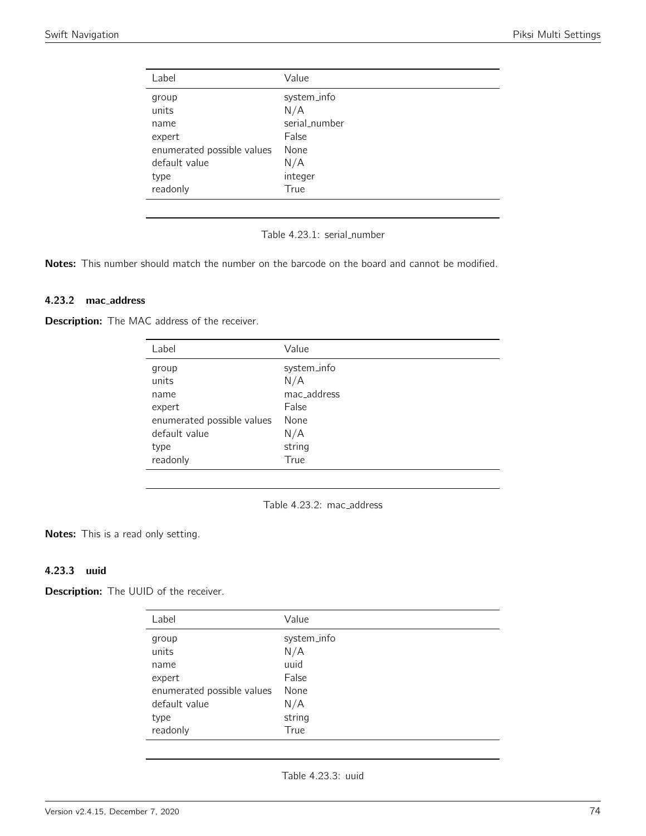| Label                      | Value         |
|----------------------------|---------------|
| group                      | system_info   |
| units                      | N/A           |
| name                       | serial_number |
| expert                     | False         |
| enumerated possible values | None          |
| default value              | N/A           |
| type                       | integer       |
| readonly                   | True          |
|                            |               |

Table 4.23.1: serial\_number

Notes: This number should match the number on the barcode on the board and cannot be modified.

#### 4.23.2 mac address

**Description:** The MAC address of the receiver.

| Label                      | Value       |
|----------------------------|-------------|
| group                      | system_info |
| units                      | N/A         |
| name                       | mac address |
| expert                     | False       |
| enumerated possible values | None        |
| default value              | N/A         |
| type                       | string      |
| readonly                   | True        |

Table 4.23.2: mac\_address

Notes: This is a read only setting.

## 4.23.3 uuid

**Description:** The UUID of the receiver.

| Label                      | Value       |
|----------------------------|-------------|
| group                      | system_info |
| units                      | N/A         |
| name                       | uuid        |
| expert                     | False       |
| enumerated possible values | None        |
| default value              | N/A         |
| type                       | string      |
| readonly                   | True        |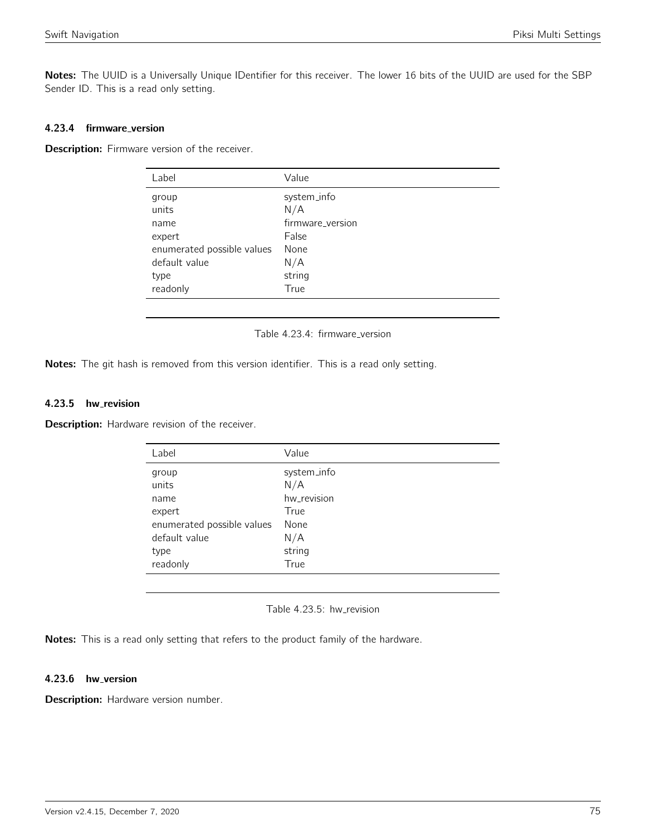Notes: The UUID is a Universally Unique IDentifier for this receiver. The lower 16 bits of the UUID are used for the SBP Sender ID. This is a read only setting.

## 4.23.4 firmware version

Description: Firmware version of the receiver.

| Label                      | Value            |
|----------------------------|------------------|
| group                      | system_info      |
| units                      | N/A              |
| name                       | firmware_version |
| expert                     | False            |
| enumerated possible values | None             |
| default value              | N/A              |
| type                       | string           |
| readonly                   | True             |
|                            |                  |



Notes: The git hash is removed from this version identifier. This is a read only setting.

#### 4.23.5 hw\_revision

Description: Hardware revision of the receiver.

| Label                      | Value       |
|----------------------------|-------------|
| group                      | system_info |
| units                      | N/A         |
| name                       | hw_revision |
| expert                     | True        |
| enumerated possible values | None        |
| default value              | N/A         |
| type                       | string      |
| readonly                   | True        |
|                            |             |

Table 4.23.5: hw\_revision

Notes: This is a read only setting that refers to the product family of the hardware.

#### 4.23.6 hw\_version

Description: Hardware version number.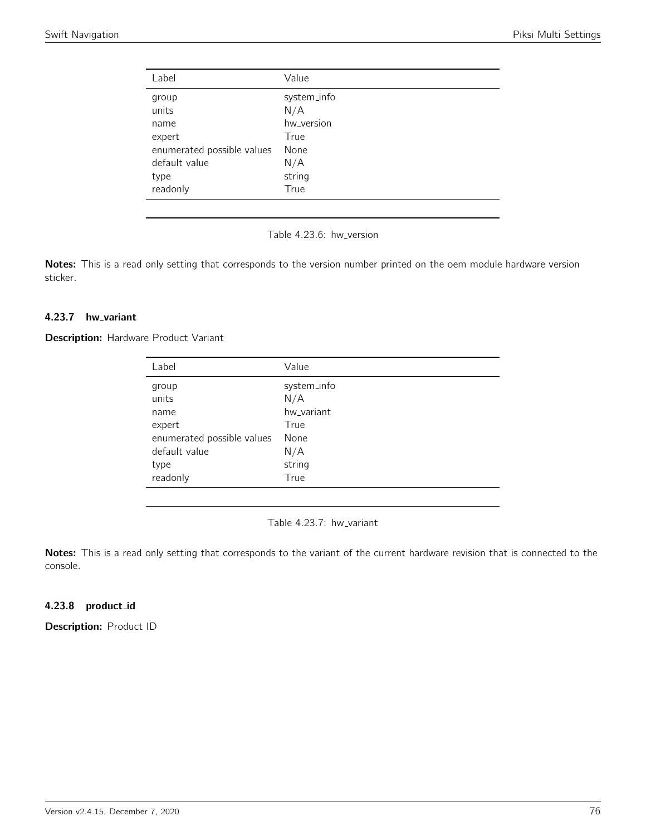| Label                      | Value       |
|----------------------------|-------------|
| group                      | system_info |
| units                      | N/A         |
| name                       | hw_version  |
| expert                     | True        |
| enumerated possible values | None        |
| default value              | N/A         |
| type                       | string      |
| readonly                   | True        |
|                            |             |

Table 4.23.6: hw\_version

Notes: This is a read only setting that corresponds to the version number printed on the oem module hardware version sticker.

### 4.23.7 hw\_variant

Description: Hardware Product Variant

| Label                      | Value       |
|----------------------------|-------------|
| group                      | system_info |
| units                      | N/A         |
| name                       | hw variant  |
| expert                     | True        |
| enumerated possible values | None        |
| default value              | N/A         |
| type                       | string      |
| readonly                   | True        |

Table 4.23.7: hw\_variant

Notes: This is a read only setting that corresponds to the variant of the current hardware revision that is connected to the console.

# 4.23.8 product id

Description: Product ID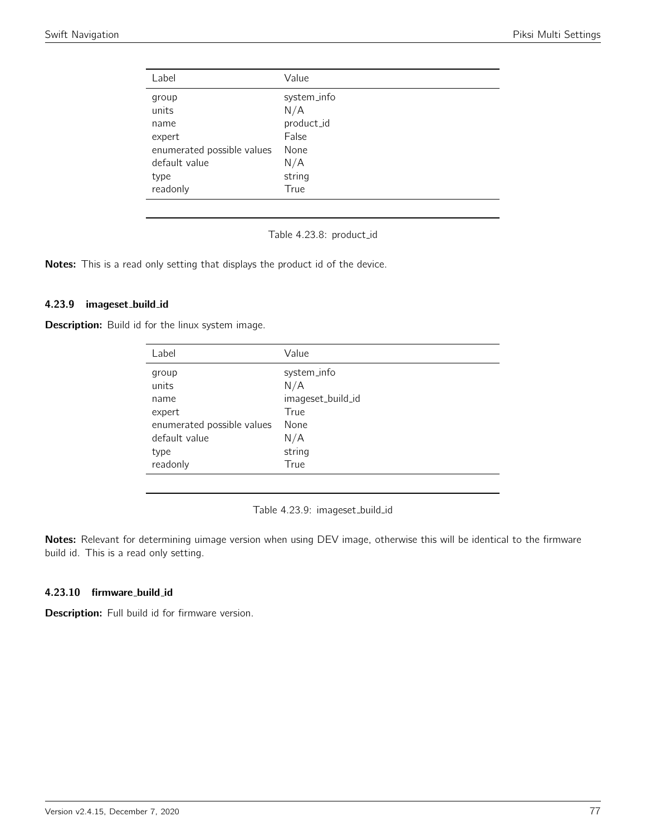| Label                      | Value       |
|----------------------------|-------------|
| group                      | system_info |
| units                      | N/A         |
| name                       | product_id  |
| expert                     | False       |
| enumerated possible values | None        |
| default value              | N/A         |
| type                       | string      |
| readonly                   | True        |
|                            |             |

Table 4.23.8: product id

Notes: This is a read only setting that displays the product id of the device.

#### 4.23.9 imageset\_build\_id

Description: Build id for the linux system image.

| Label                      | Value             |
|----------------------------|-------------------|
| group                      | system_info       |
| units                      | N/A               |
| name                       | imageset_build_id |
| expert                     | True              |
| enumerated possible values | None              |
| default value              | N/A               |
| type                       | string            |
| readonly                   | True              |
|                            |                   |

Table 4.23.9: imageset build id

Notes: Relevant for determining uimage version when using DEV image, otherwise this will be identical to the firmware build id. This is a read only setting.

### 4.23.10 firmware build id

Description: Full build id for firmware version.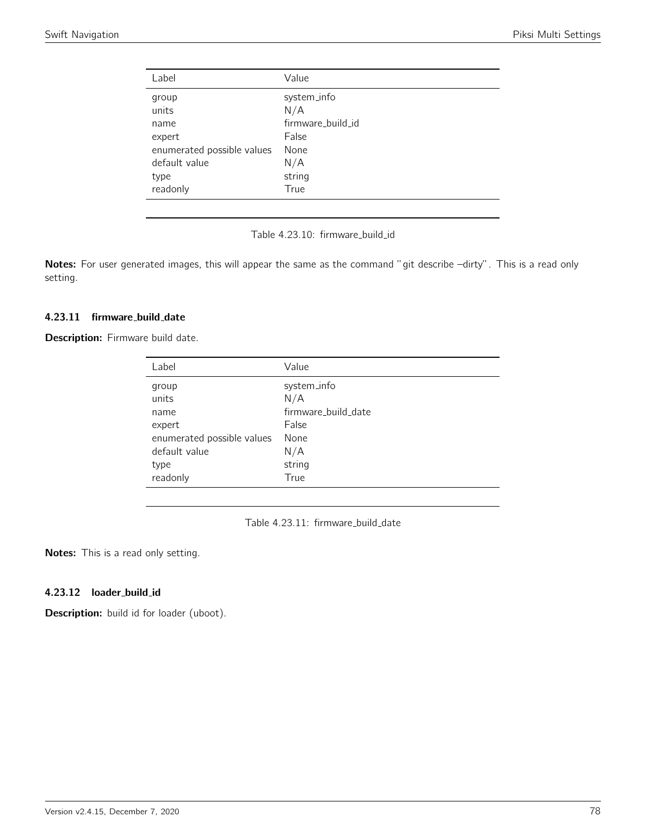| Label                      | Value             |
|----------------------------|-------------------|
| group                      | system_info       |
| units                      | N/A               |
| name                       | firmware_build_id |
| expert                     | False             |
| enumerated possible values | None              |
| default value              | N/A               |
| type                       | string            |
| readonly                   | True              |
|                            |                   |

Table 4.23.10: firmware\_build\_id

Notes: For user generated images, this will appear the same as the command "git describe -dirty". This is a read only setting.

#### 4.23.11 firmware\_build\_date

Description: Firmware build date.

| system_info         |
|---------------------|
|                     |
| firmware_build_date |
|                     |
|                     |
|                     |
|                     |
|                     |
|                     |

Table 4.23.11: firmware\_build\_date

Notes: This is a read only setting.

#### 4.23.12 loader\_build\_id

Description: build id for loader (uboot).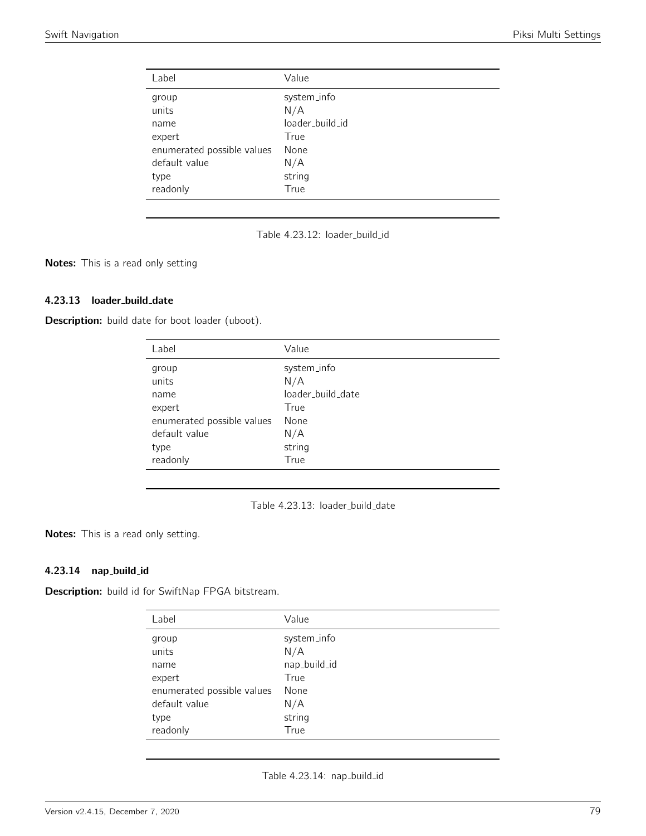| Value           |
|-----------------|
| system_info     |
| N/A             |
| loader build id |
| True            |
| None            |
| N/A             |
| string          |
| True            |
|                 |

Table 4.23.12: loader\_build\_id

Notes: This is a read only setting

## 4.23.13 loader\_build\_date

Description: build date for boot loader (uboot).

| Label                      | Value             |
|----------------------------|-------------------|
| group                      | system_info       |
| units                      | N/A               |
| name                       | loader build date |
| expert                     | True              |
| enumerated possible values | None              |
| default value              | N/A               |
| type                       | string            |
| readonly                   | True              |

Table 4.23.13: loader\_build\_date

Notes: This is a read only setting.

# 4.23.14 nap build id

Description: build id for SwiftNap FPGA bitstream.

| Label                      | Value        |
|----------------------------|--------------|
| group                      | system_info  |
| units                      | N/A          |
| name                       | nap_build_id |
| expert                     | True         |
| enumerated possible values | None         |
| default value              | N/A          |
| type                       | string       |
| readonly                   | True         |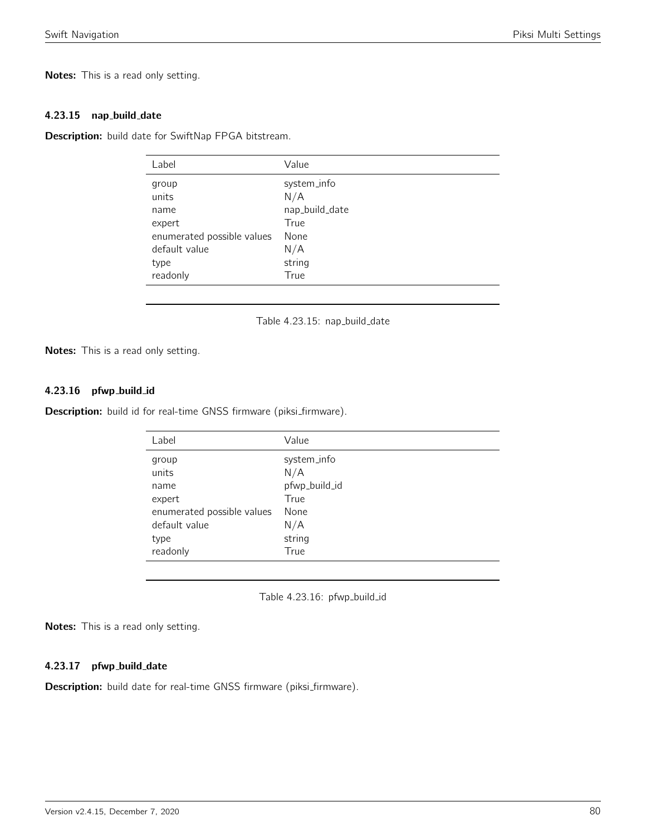Notes: This is a read only setting.

#### 4.23.15 nap build date

Description: build date for SwiftNap FPGA bitstream.

| Label                      | Value          |
|----------------------------|----------------|
| group                      | system_info    |
| units                      | N/A            |
| name                       | nap_build_date |
| expert                     | True           |
| enumerated possible values | None           |
| default value              | N/A            |
| type                       | string         |
| readonly                   | True           |
|                            |                |

Table 4.23.15: nap\_build\_date

Notes: This is a read only setting.

#### 4.23.16 pfwp build id

Description: build id for real-time GNSS firmware (piksi\_firmware).

| Label                      | Value         |
|----------------------------|---------------|
| group                      | system_info   |
| units                      | N/A           |
| name                       | pfwp_build_id |
| expert                     | True          |
| enumerated possible values | None          |
| default value              | N/A           |
| type                       | string        |
| readonly                   | True          |
|                            |               |

Table 4.23.16: pfwp\_build\_id

Notes: This is a read only setting.

#### 4.23.17 pfwp\_build\_date

Description: build date for real-time GNSS firmware (piksi\_firmware).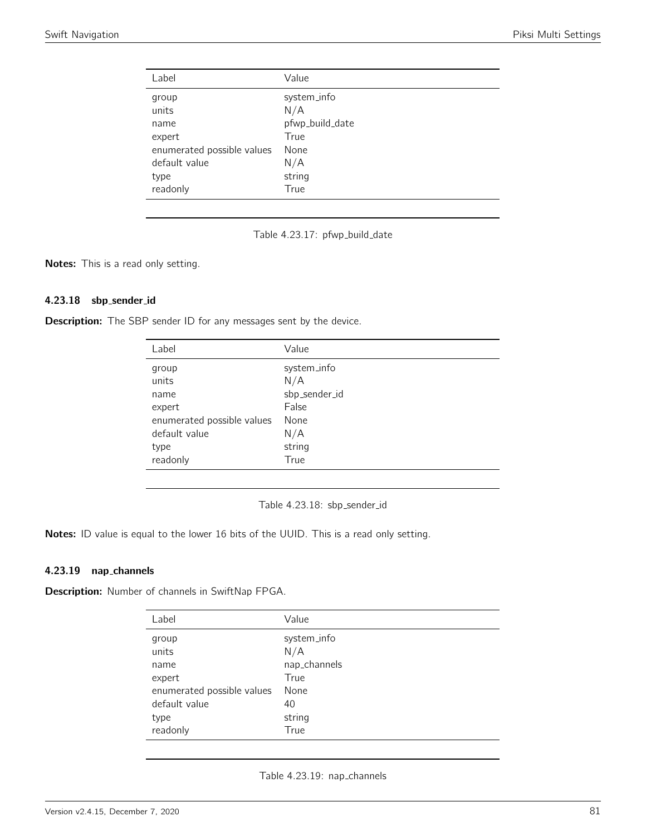| Label                      | Value           |
|----------------------------|-----------------|
| group                      | system_info     |
| units                      | N/A             |
| name                       | pfwp_build_date |
| expert                     | True            |
| enumerated possible values | None            |
| default value              | N/A             |
| type                       | string          |
| readonly                   | True            |

Table 4.23.17: pfwp\_build\_date

Notes: This is a read only setting.

## 4.23.18 sbp sender id

**Description:** The SBP sender ID for any messages sent by the device.

| Label                      | Value         |
|----------------------------|---------------|
| group                      | system_info   |
| units                      | N/A           |
| name                       | sbp_sender_id |
| expert                     | False         |
| enumerated possible values | None          |
| default value              | N/A           |
| type                       | string        |
| readonly                   | True          |
|                            |               |

Table 4.23.18: sbp\_sender\_id

Notes: ID value is equal to the lower 16 bits of the UUID. This is a read only setting.

#### 4.23.19 nap channels

Description: Number of channels in SwiftNap FPGA.

| Label                      | Value        |
|----------------------------|--------------|
| group                      | system_info  |
| units                      | N/A          |
| name                       | nap_channels |
| expert                     | True         |
| enumerated possible values | None         |
| default value              | 40           |
| type                       | string       |
| readonly                   | True         |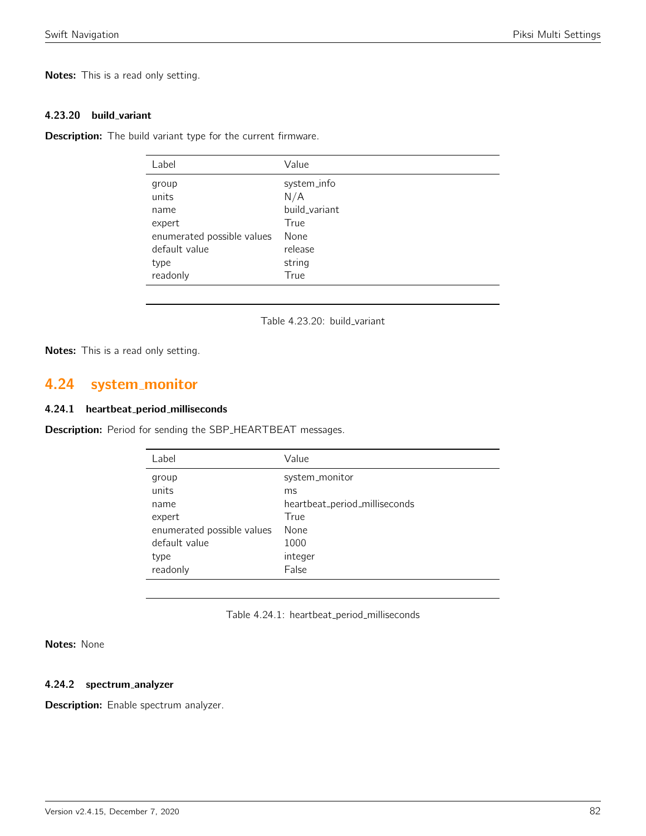Notes: This is a read only setting.

#### 4.23.20 build variant

Description: The build variant type for the current firmware.

| Label                      | Value         |
|----------------------------|---------------|
| group                      | system_info   |
| units                      | N/A           |
| name                       | build_variant |
| expert                     | True          |
| enumerated possible values | None          |
| default value              | release       |
| type                       | string        |
| readonly                   | True          |
|                            |               |

Table 4.23.20: build variant

Notes: This is a read only setting.

# 4.24 system monitor

#### 4.24.1 heartbeat period milliseconds

Description: Period for sending the SBP\_HEARTBEAT messages.

| Label                      | Value                         |
|----------------------------|-------------------------------|
| group                      | system_monitor                |
| units                      | ms                            |
| name                       | heartbeat_period_milliseconds |
| expert                     | True                          |
| enumerated possible values | None                          |
| default value              | 1000                          |
| type                       | integer                       |
| readonly                   | False                         |
|                            |                               |

Table 4.24.1: heartbeat\_period\_milliseconds

Notes: None

#### 4.24.2 spectrum analyzer

Description: Enable spectrum analyzer.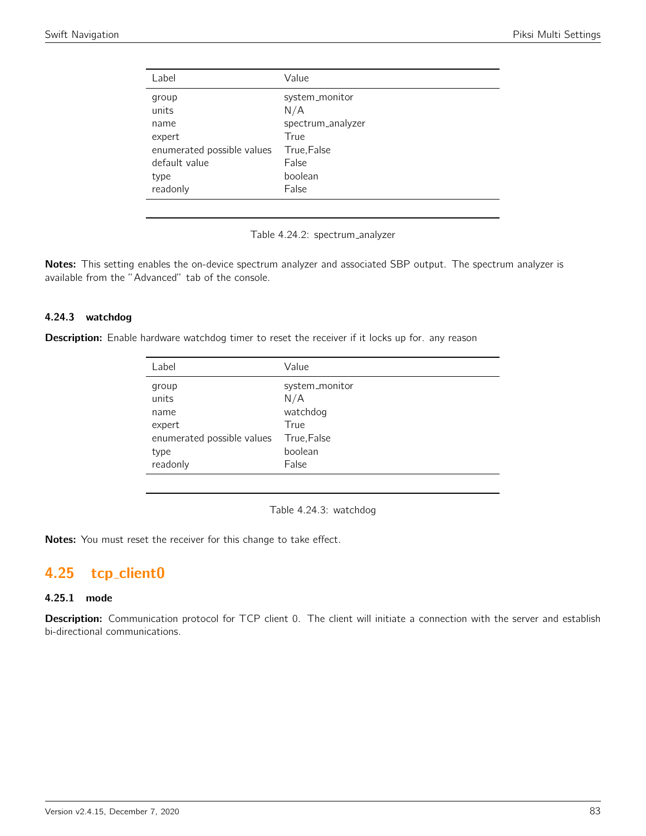| Label                      | Value             |
|----------------------------|-------------------|
| group                      | system_monitor    |
| units                      | N/A               |
| name                       | spectrum_analyzer |
| expert                     | True              |
| enumerated possible values | True, False       |
| default value              | False             |
| type                       | boolean           |
| readonly                   | False             |
|                            |                   |

Table 4.24.2: spectrum analyzer

Notes: This setting enables the on-device spectrum analyzer and associated SBP output. The spectrum analyzer is available from the "Advanced" tab of the console.

# 4.24.3 watchdog

**Description:** Enable hardware watchdog timer to reset the receiver if it locks up for. any reason

| Label                      | Value          |
|----------------------------|----------------|
| group                      | system_monitor |
| units                      | N/A            |
| name                       | watchdog       |
| expert                     | True           |
| enumerated possible values | True, False    |
| type                       | boolean        |
| readonly                   | False          |
|                            |                |

Table 4.24.3: watchdog

Notes: You must reset the receiver for this change to take effect.

# 4.25 tcp client0

# 4.25.1 mode

Description: Communication protocol for TCP client 0. The client will initiate a connection with the server and establish bi-directional communications.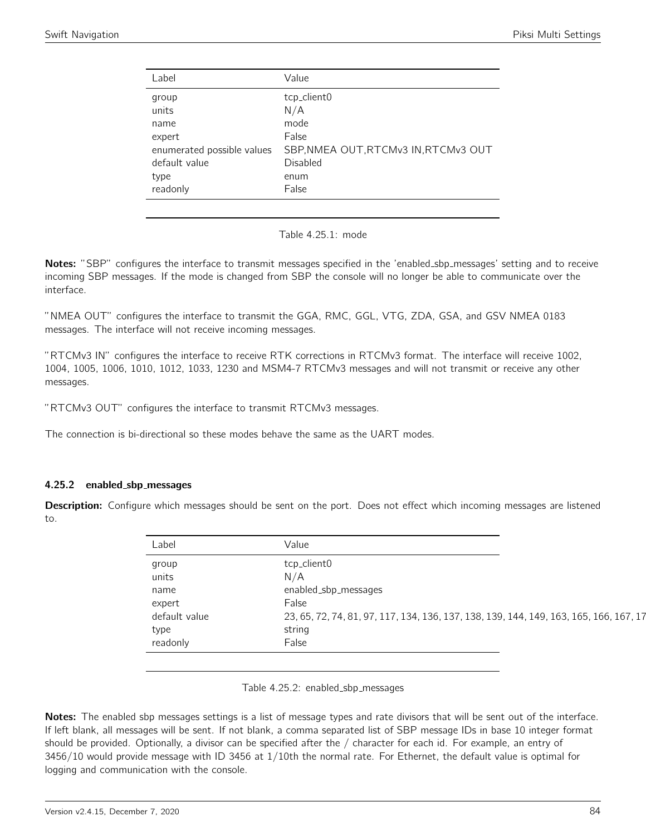| Label                                                                                   | Value                                                                                           |
|-----------------------------------------------------------------------------------------|-------------------------------------------------------------------------------------------------|
| group<br>units<br>name<br>expert<br>enumerated possible values<br>default value<br>type | tcp_client0<br>N/A<br>mode<br>False<br>SBP, NMEA OUT, RTCMv3 IN, RTCMv3 OUT<br>Disabled<br>enum |
| readonly                                                                                | False                                                                                           |
|                                                                                         |                                                                                                 |

Table 4.25.1: mode

Notes: "SBP" configures the interface to transmit messages specified in the 'enabled\_sbp\_messages' setting and to receive incoming SBP messages. If the mode is changed from SBP the console will no longer be able to communicate over the interface.

"NMEA OUT" configures the interface to transmit the GGA, RMC, GGL, VTG, ZDA, GSA, and GSV NMEA 0183 messages. The interface will not receive incoming messages.

"RTCMv3 IN" configures the interface to receive RTK corrections in RTCMv3 format. The interface will receive 1002, 1004, 1005, 1006, 1010, 1012, 1033, 1230 and MSM4-7 RTCMv3 messages and will not transmit or receive any other messages.

"RTCMv3 OUT" configures the interface to transmit RTCMv3 messages.

The connection is bi-directional so these modes behave the same as the UART modes.

#### 4.25.2 enabled sbp messages

Description: Configure which messages should be sent on the port. Does not effect which incoming messages are listened to.

| Label         | Value                                                                                  |
|---------------|----------------------------------------------------------------------------------------|
| group         | tcp_client0                                                                            |
| units         | N/A                                                                                    |
| name          | enabled_sbp_messages                                                                   |
| expert        | False                                                                                  |
| default value | 23, 65, 72, 74, 81, 97, 117, 134, 136, 137, 138, 139, 144, 149, 163, 165, 166, 167, 17 |
| type          | string                                                                                 |
| readonly      | False                                                                                  |

Table 4.25.2: enabled sbp messages

Notes: The enabled sbp messages settings is a list of message types and rate divisors that will be sent out of the interface. If left blank, all messages will be sent. If not blank, a comma separated list of SBP message IDs in base 10 integer format should be provided. Optionally, a divisor can be specified after the / character for each id. For example, an entry of 3456/10 would provide message with ID 3456 at 1/10th the normal rate. For Ethernet, the default value is optimal for logging and communication with the console.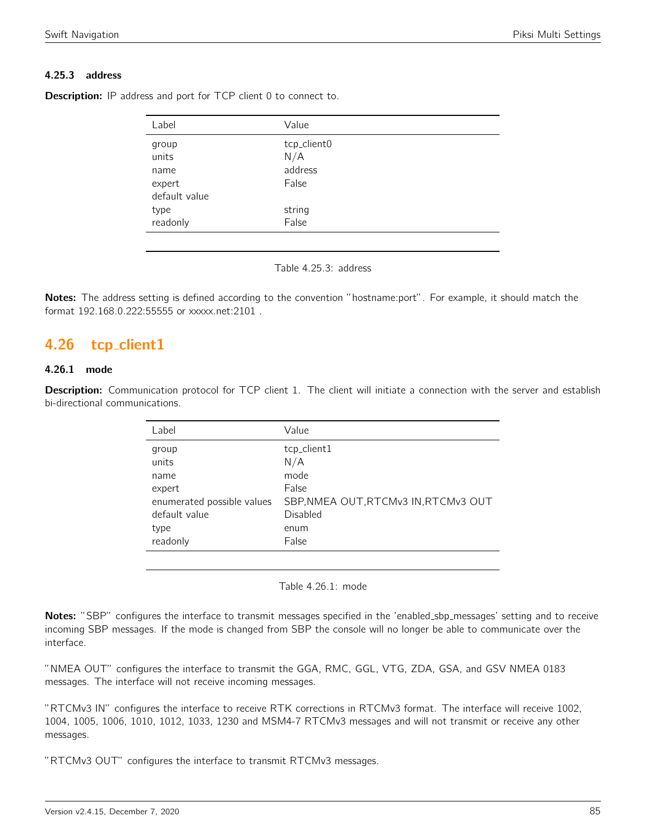# 4.25.3 address

| Label         | Value       |  |
|---------------|-------------|--|
| group         | tcp_client0 |  |
| units         | N/A         |  |
| name          | address     |  |
| expert        | False       |  |
| default value |             |  |
| type          | string      |  |
| readonly      | False       |  |

**Description:** IP address and port for TCP client 0 to connect to.



Notes: The address setting is defined according to the convention "hostname:port". For example, it should match the format 192.168.0.222:55555 or xxxxx.net:2101 .

# 4.26 tcp client1

#### 4.26.1 mode

Description: Communication protocol for TCP client 1. The client will initiate a connection with the server and establish bi-directional communications.

| Label                                                                                               | Value                                                                                                           |
|-----------------------------------------------------------------------------------------------------|-----------------------------------------------------------------------------------------------------------------|
| group<br>units<br>name<br>expert<br>enumerated possible values<br>default value<br>type<br>readonly | tcp_client1<br>N/A<br>mode<br>False<br>SBP, NMEA OUT, RTCMv3 IN, RTCMv3 OUT<br><b>Disabled</b><br>enum<br>False |
|                                                                                                     |                                                                                                                 |

Table 4.26.1: mode

Notes: "SBP" configures the interface to transmit messages specified in the 'enabled\_sbp\_messages' setting and to receive incoming SBP messages. If the mode is changed from SBP the console will no longer be able to communicate over the interface.

"NMEA OUT" configures the interface to transmit the GGA, RMC, GGL, VTG, ZDA, GSA, and GSV NMEA 0183 messages. The interface will not receive incoming messages.

"RTCMv3 IN" configures the interface to receive RTK corrections in RTCMv3 format. The interface will receive 1002, 1004, 1005, 1006, 1010, 1012, 1033, 1230 and MSM4-7 RTCMv3 messages and will not transmit or receive any other messages.

"RTCMv3 OUT" configures the interface to transmit RTCMv3 messages.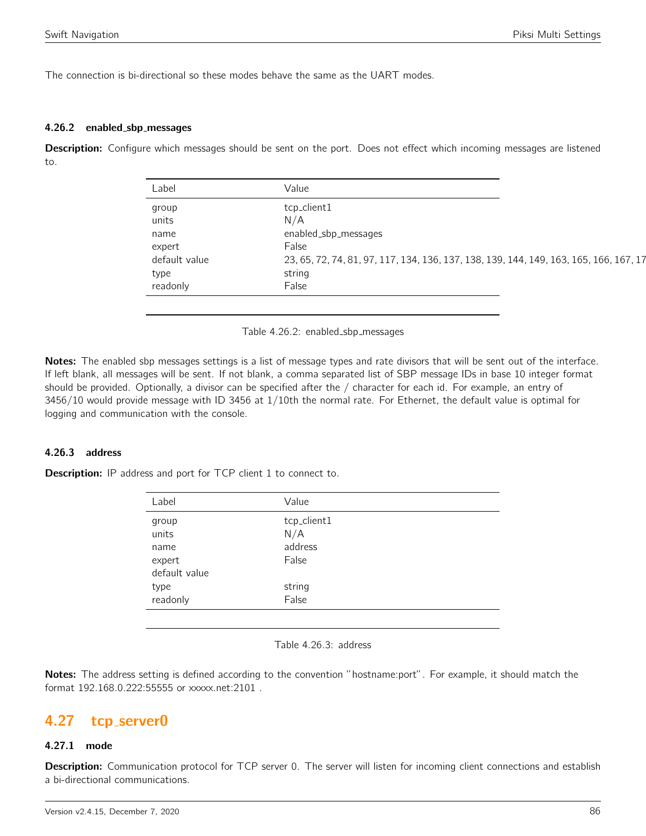The connection is bi-directional so these modes behave the same as the UART modes.

#### 4.26.2 enabled sbp messages

Description: Configure which messages should be sent on the port. Does not effect which incoming messages are listened to.

| Label         | Value                                                                                  |
|---------------|----------------------------------------------------------------------------------------|
| group         | tcp_client1                                                                            |
| units         | N/A                                                                                    |
| name          | enabled_sbp_messages                                                                   |
| expert        | False                                                                                  |
| default value | 23, 65, 72, 74, 81, 97, 117, 134, 136, 137, 138, 139, 144, 149, 163, 165, 166, 167, 17 |
| type          | string                                                                                 |
| readonly      | False                                                                                  |

Table 4.26.2: enabled\_sbp\_messages

Notes: The enabled sbp messages settings is a list of message types and rate divisors that will be sent out of the interface. If left blank, all messages will be sent. If not blank, a comma separated list of SBP message IDs in base 10 integer format should be provided. Optionally, a divisor can be specified after the / character for each id. For example, an entry of 3456/10 would provide message with ID 3456 at 1/10th the normal rate. For Ethernet, the default value is optimal for logging and communication with the console.

## 4.26.3 address

**Description:** IP address and port for TCP client 1 to connect to.

| Label                             | Value                                  |  |
|-----------------------------------|----------------------------------------|--|
| group<br>units<br>name<br>expert  | tcp_client1<br>N/A<br>address<br>False |  |
| default value<br>type<br>readonly | string<br>False                        |  |
|                                   |                                        |  |

Table 4.26.3: address

Notes: The address setting is defined according to the convention "hostname:port". For example, it should match the format 192.168.0.222:55555 or xxxxx.net:2101 .

# 4.27 tcp\_server0

#### 4.27.1 mode

Description: Communication protocol for TCP server 0. The server will listen for incoming client connections and establish a bi-directional communications.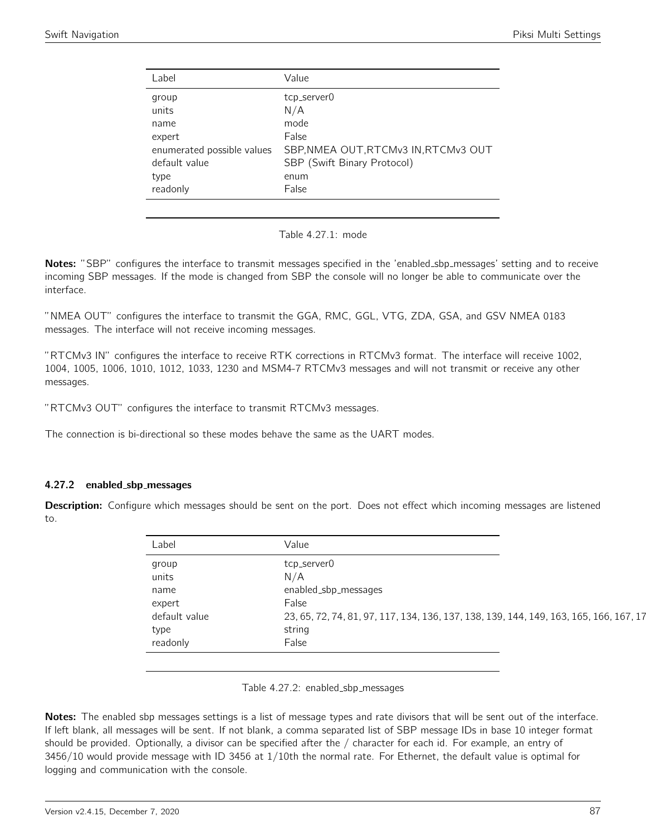| Label                                                                                               | Value                                                                                                                       |
|-----------------------------------------------------------------------------------------------------|-----------------------------------------------------------------------------------------------------------------------------|
| group<br>units<br>name<br>expert<br>enumerated possible values<br>default value<br>type<br>readonly | tcp_server0<br>N/A<br>mode<br>False<br>SBP, NMEA OUT, RTCMv3 IN, RTCMv3 OUT<br>SBP (Swift Binary Protocol)<br>enum<br>False |
|                                                                                                     |                                                                                                                             |

Table 4.27.1: mode

Notes: "SBP" configures the interface to transmit messages specified in the 'enabled\_sbp\_messages' setting and to receive incoming SBP messages. If the mode is changed from SBP the console will no longer be able to communicate over the interface.

"NMEA OUT" configures the interface to transmit the GGA, RMC, GGL, VTG, ZDA, GSA, and GSV NMEA 0183 messages. The interface will not receive incoming messages.

"RTCMv3 IN" configures the interface to receive RTK corrections in RTCMv3 format. The interface will receive 1002, 1004, 1005, 1006, 1010, 1012, 1033, 1230 and MSM4-7 RTCMv3 messages and will not transmit or receive any other messages.

"RTCMv3 OUT" configures the interface to transmit RTCMv3 messages.

The connection is bi-directional so these modes behave the same as the UART modes.

#### 4.27.2 enabled sbp messages

Description: Configure which messages should be sent on the port. Does not effect which incoming messages are listened to.

| Label         | Value                                                                                  |
|---------------|----------------------------------------------------------------------------------------|
| group         | tcp_server0                                                                            |
| units         | N/A                                                                                    |
| name          | enabled_sbp_messages                                                                   |
| expert        | False                                                                                  |
| default value | 23, 65, 72, 74, 81, 97, 117, 134, 136, 137, 138, 139, 144, 149, 163, 165, 166, 167, 17 |
| type          | string                                                                                 |
| readonly      | False                                                                                  |

Table 4.27.2: enabled sbp messages

Notes: The enabled sbp messages settings is a list of message types and rate divisors that will be sent out of the interface. If left blank, all messages will be sent. If not blank, a comma separated list of SBP message IDs in base 10 integer format should be provided. Optionally, a divisor can be specified after the / character for each id. For example, an entry of 3456/10 would provide message with ID 3456 at 1/10th the normal rate. For Ethernet, the default value is optimal for logging and communication with the console.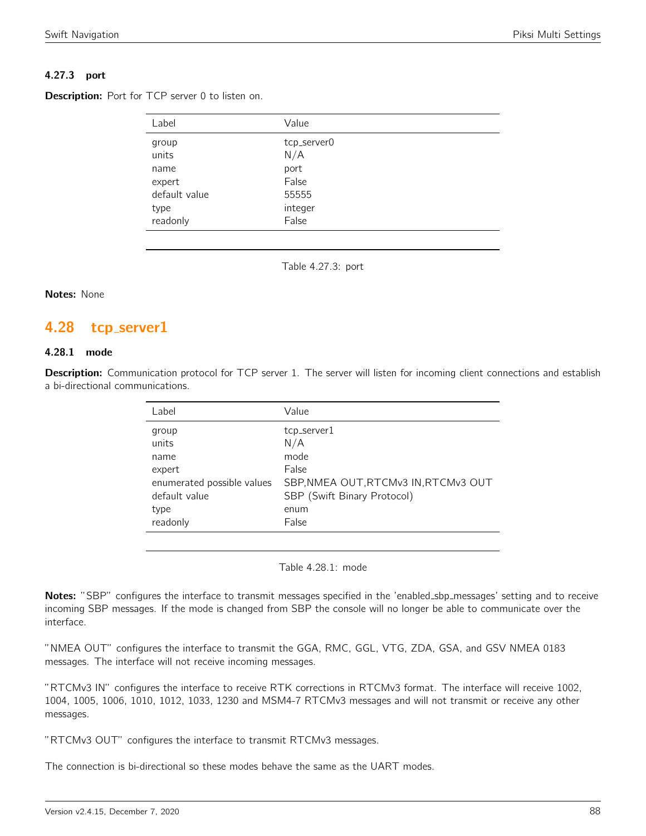# 4.27.3 port

**Description:** Port for TCP server 0 to listen on.

| Label         | Value       |
|---------------|-------------|
| group         | tcp_server0 |
| units         | N/A         |
| name          | port        |
| expert        | False       |
| default value | 55555       |
| type          | integer     |
| readonly      | False       |

Table 4.27.3: port

#### Notes: None

# 4.28 tcp server1

# 4.28.1 mode

Description: Communication protocol for TCP server 1. The server will listen for incoming client connections and establish a bi-directional communications.

| Label                                                                                               | Value                                                                                                                       |
|-----------------------------------------------------------------------------------------------------|-----------------------------------------------------------------------------------------------------------------------------|
| group<br>units<br>name<br>expert<br>enumerated possible values<br>default value<br>type<br>readonly | tcp_server1<br>N/A<br>mode<br>False<br>SBP, NMEA OUT, RTCMv3 IN, RTCMv3 OUT<br>SBP (Swift Binary Protocol)<br>enum<br>False |
|                                                                                                     |                                                                                                                             |

Table 4.28.1: mode

Notes: "SBP" configures the interface to transmit messages specified in the 'enabled\_sbp\_messages' setting and to receive incoming SBP messages. If the mode is changed from SBP the console will no longer be able to communicate over the interface.

"NMEA OUT" configures the interface to transmit the GGA, RMC, GGL, VTG, ZDA, GSA, and GSV NMEA 0183 messages. The interface will not receive incoming messages.

"RTCMv3 IN" configures the interface to receive RTK corrections in RTCMv3 format. The interface will receive 1002, 1004, 1005, 1006, 1010, 1012, 1033, 1230 and MSM4-7 RTCMv3 messages and will not transmit or receive any other messages.

"RTCMv3 OUT" configures the interface to transmit RTCMv3 messages.

The connection is bi-directional so these modes behave the same as the UART modes.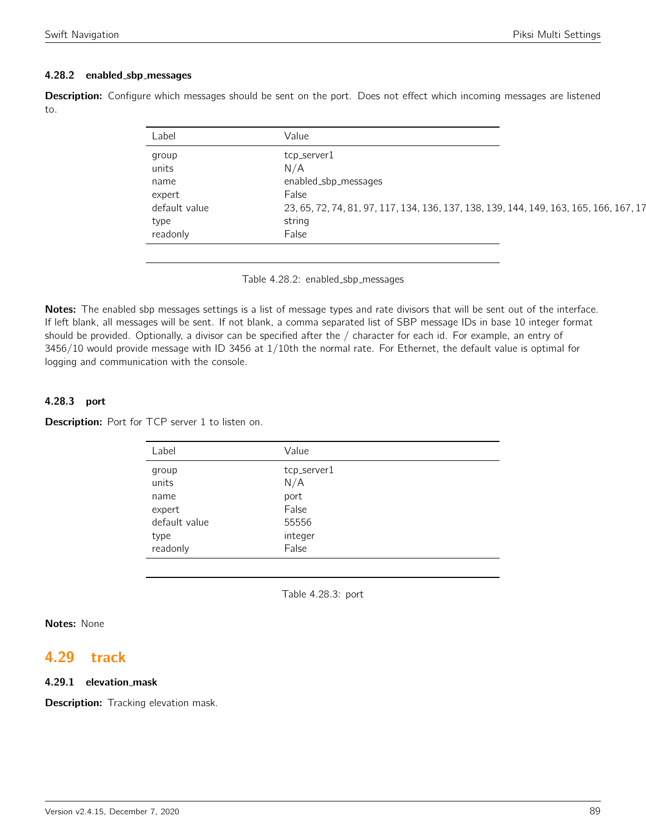### 4.28.2 enabled sbp messages

Description: Configure which messages should be sent on the port. Does not effect which incoming messages are listened to.

| Label         | Value                                                                                  |
|---------------|----------------------------------------------------------------------------------------|
| group         | tcp_server1                                                                            |
| units         | N/A                                                                                    |
| name          | enabled_sbp_messages                                                                   |
| expert        | False                                                                                  |
| default value | 23, 65, 72, 74, 81, 97, 117, 134, 136, 137, 138, 139, 144, 149, 163, 165, 166, 167, 17 |
| type          | string                                                                                 |
| readonly      | False                                                                                  |

Table 4.28.2: enabled\_sbp\_messages

Notes: The enabled sbp messages settings is a list of message types and rate divisors that will be sent out of the interface. If left blank, all messages will be sent. If not blank, a comma separated list of SBP message IDs in base 10 integer format should be provided. Optionally, a divisor can be specified after the / character for each id. For example, an entry of 3456/10 would provide message with ID 3456 at 1/10th the normal rate. For Ethernet, the default value is optimal for logging and communication with the console.

#### 4.28.3 port

Description: Port for TCP server 1 to listen on.

| Label                                                                 | Value                                                            |
|-----------------------------------------------------------------------|------------------------------------------------------------------|
| group<br>units<br>name<br>expert<br>default value<br>type<br>readonly | tcp_server1<br>N/A<br>port<br>False<br>55556<br>integer<br>False |
|                                                                       |                                                                  |

Table 4.28.3: port

# Notes: None

# 4.29 track

### 4.29.1 elevation\_mask

**Description:** Tracking elevation mask.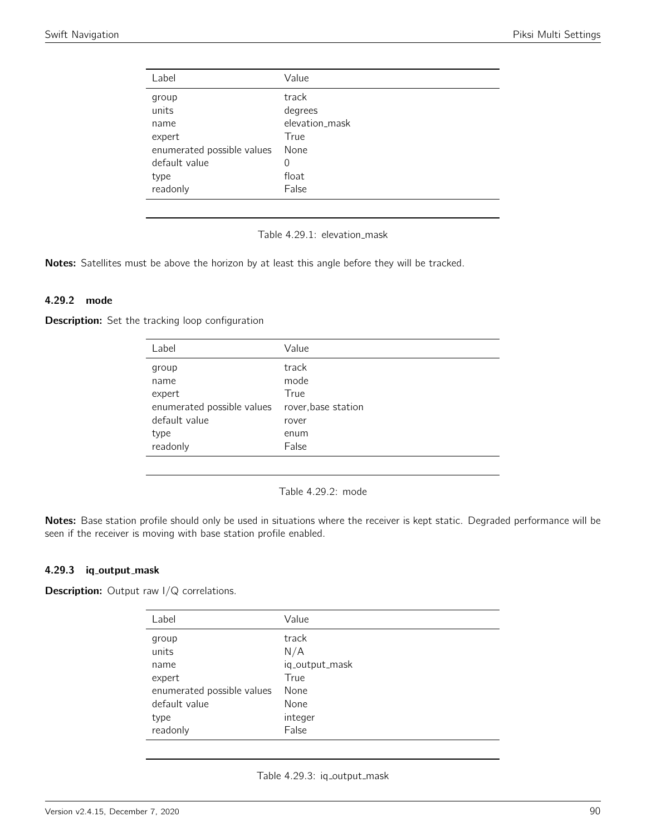| Label                      | Value          |
|----------------------------|----------------|
| group                      | track          |
| units                      | degrees        |
| name                       | elevation_mask |
| expert                     | True           |
| enumerated possible values | None           |
| default value              | 0              |
| type                       | float          |
| readonly                   | False          |
|                            |                |

Table 4.29.1: elevation\_mask

Notes: Satellites must be above the horizon by at least this angle before they will be tracked.

#### 4.29.2 mode

Description: Set the tracking loop configuration

| Label                      | Value               |
|----------------------------|---------------------|
| group                      | track               |
| name                       | mode                |
| expert                     | True                |
| enumerated possible values | rover, base station |
| default value              | rover               |
| type                       | enum                |
| readonly                   | False               |
|                            |                     |

Table 4.29.2: mode

Notes: Base station profile should only be used in situations where the receiver is kept static. Degraded performance will be seen if the receiver is moving with base station profile enabled.

#### 4.29.3 iq\_output\_mask

**Description:** Output raw I/Q correlations.

| Label                      | Value          |
|----------------------------|----------------|
| group                      | track          |
| units                      | N/A            |
| name                       | iq_output_mask |
| expert                     | True           |
| enumerated possible values | None           |
| default value              | None           |
| type                       | integer        |
| readonly                   | False          |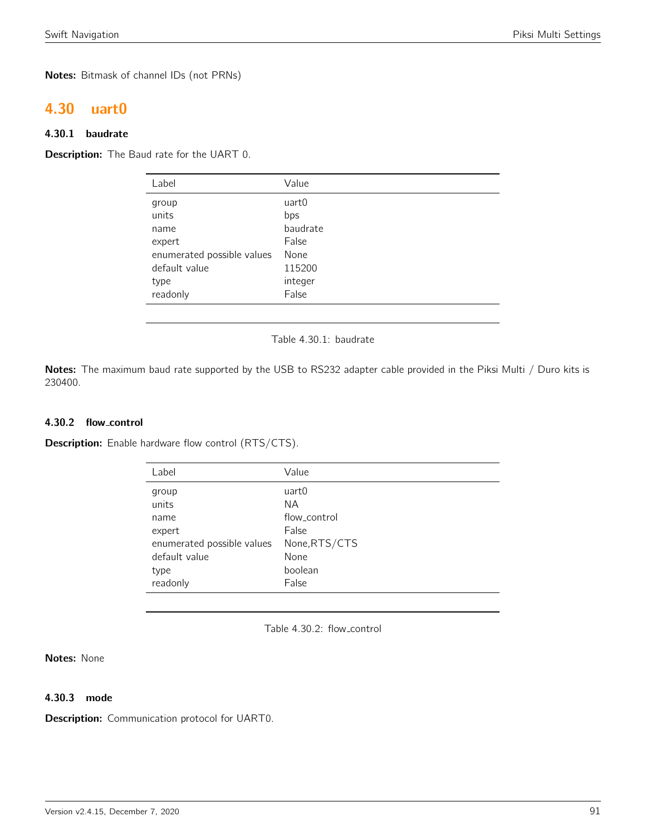Notes: Bitmask of channel IDs (not PRNs)

# 4.30 uart0

# 4.30.1 baudrate

Description: The Baud rate for the UART 0.

| Label                      | Value    |
|----------------------------|----------|
| group                      | uart0    |
| units                      | bps      |
| name                       | baudrate |
| expert                     | False    |
| enumerated possible values | None     |
| default value              | 115200   |
| type                       | integer  |
| readonly                   | False    |
|                            |          |

Table 4.30.1: baudrate

Notes: The maximum baud rate supported by the USB to RS232 adapter cable provided in the Piksi Multi / Duro kits is 230400.

#### 4.30.2 flow control

**Description:** Enable hardware flow control (RTS/CTS).

| Label                      | Value         |
|----------------------------|---------------|
| group                      | uart0         |
| units                      | NA.           |
| name                       | flow control  |
| expert                     | False         |
| enumerated possible values | None, RTS/CTS |
| default value              | None          |
| type                       | boolean       |
| readonly                   | False         |
|                            |               |

Table 4.30.2: flow control

Notes: None

#### 4.30.3 mode

Description: Communication protocol for UART0.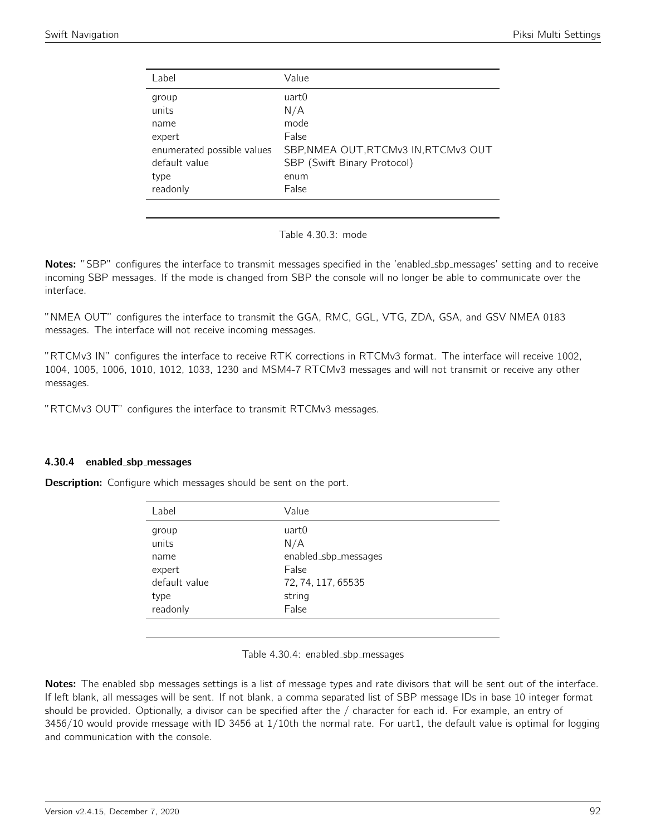| Label                                                                           | Value                                                                                                |
|---------------------------------------------------------------------------------|------------------------------------------------------------------------------------------------------|
| group<br>units<br>name<br>expert<br>enumerated possible values<br>default value | uart0<br>N/A<br>mode<br>False<br>SBP, NMEA OUT, RTCMv3 IN, RTCMv3 OUT<br>SBP (Swift Binary Protocol) |
| type                                                                            | enum                                                                                                 |
|                                                                                 |                                                                                                      |
| readonly                                                                        | False                                                                                                |
|                                                                                 |                                                                                                      |

Table 4.30.3: mode

Notes: "SBP" configures the interface to transmit messages specified in the 'enabled\_sbp\_messages' setting and to receive incoming SBP messages. If the mode is changed from SBP the console will no longer be able to communicate over the interface.

"NMEA OUT" configures the interface to transmit the GGA, RMC, GGL, VTG, ZDA, GSA, and GSV NMEA 0183 messages. The interface will not receive incoming messages.

"RTCMv3 IN" configures the interface to receive RTK corrections in RTCMv3 format. The interface will receive 1002, 1004, 1005, 1006, 1010, 1012, 1033, 1230 and MSM4-7 RTCMv3 messages and will not transmit or receive any other messages.

"RTCMv3 OUT" configures the interface to transmit RTCMv3 messages.

#### 4.30.4 enabled sbp messages

**Description:** Configure which messages should be sent on the port.

| Label         | Value                |
|---------------|----------------------|
| group         | uart0                |
| units         | N/A                  |
| name          | enabled_sbp_messages |
| expert        | False                |
| default value | 72, 74, 117, 65535   |
| type          | string               |
| readonly      | False                |
|               |                      |

Table 4.30.4: enabled\_sbp\_messages

Notes: The enabled sbp messages settings is a list of message types and rate divisors that will be sent out of the interface. If left blank, all messages will be sent. If not blank, a comma separated list of SBP message IDs in base 10 integer format should be provided. Optionally, a divisor can be specified after the / character for each id. For example, an entry of 3456/10 would provide message with ID 3456 at 1/10th the normal rate. For uart1, the default value is optimal for logging and communication with the console.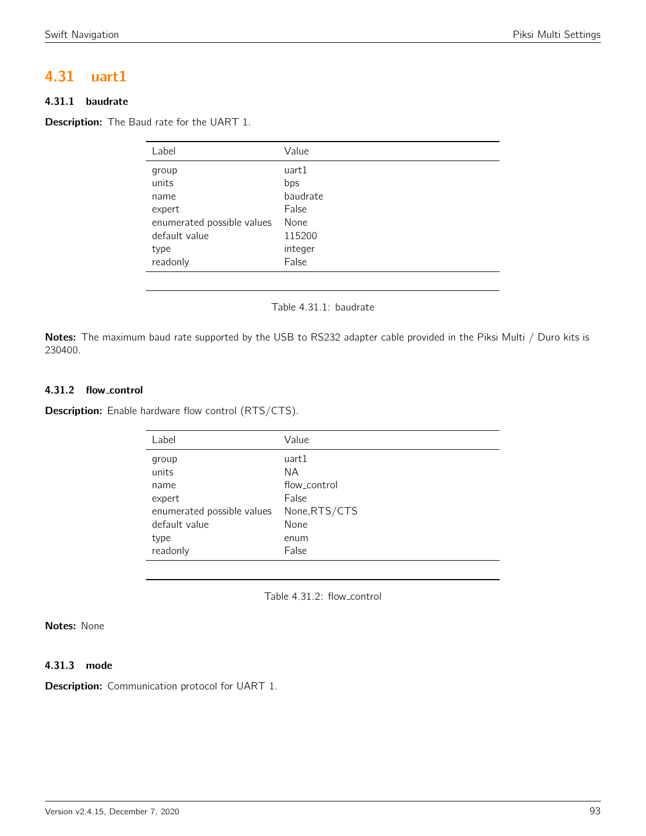# 4.31 uart1

# 4.31.1 baudrate

**Description:** The Baud rate for the UART 1.

| Label                      | Value    |
|----------------------------|----------|
| group                      | uart1    |
| units                      | bps      |
| name                       | baudrate |
| expert                     | False    |
| enumerated possible values | None     |
| default value              | 115200   |
| type                       | integer  |
| readonly                   | False    |
|                            |          |

Table 4.31.1: baudrate

Notes: The maximum baud rate supported by the USB to RS232 adapter cable provided in the Piksi Multi / Duro kits is 230400.

# 4.31.2 flow control

**Description:** Enable hardware flow control (RTS/CTS).

| Label                      | Value         |
|----------------------------|---------------|
| group                      | uart1         |
| units                      | ΝA            |
| name                       | flow_control  |
| expert                     | False         |
| enumerated possible values | None, RTS/CTS |
| default value              | None          |
| type                       | enum          |
| readonly                   | False         |
|                            |               |

Table 4.31.2: flow\_control

Notes: None

#### 4.31.3 mode

Description: Communication protocol for UART 1.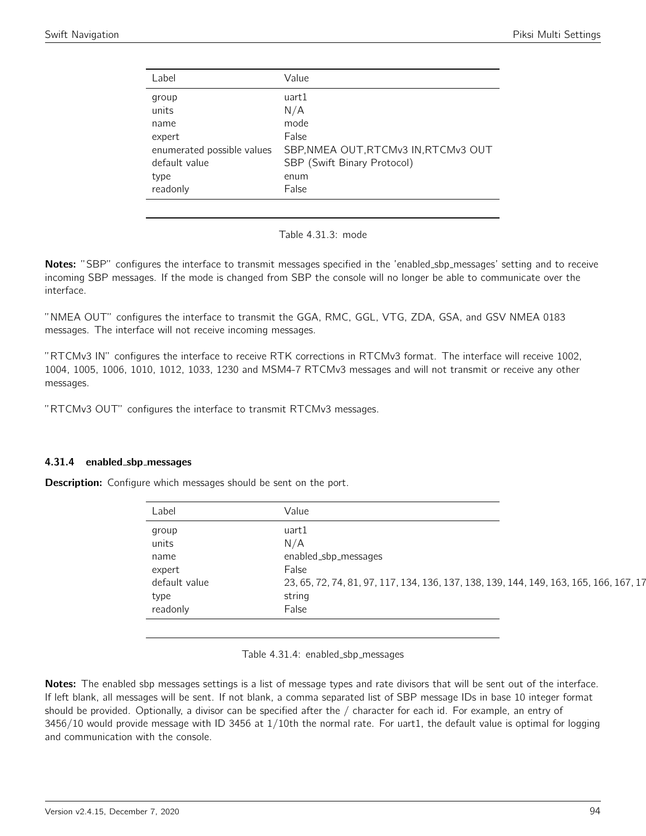| Label                                                                                               | Value                                                                                                                 |
|-----------------------------------------------------------------------------------------------------|-----------------------------------------------------------------------------------------------------------------------|
| group<br>units<br>name<br>expert<br>enumerated possible values<br>default value<br>type<br>readonly | uart1<br>N/A<br>mode<br>False<br>SBP, NMEA OUT, RTCMv3 IN, RTCMv3 OUT<br>SBP (Swift Binary Protocol)<br>enum<br>False |
|                                                                                                     |                                                                                                                       |

Table 4.31.3: mode

Notes: "SBP" configures the interface to transmit messages specified in the 'enabled\_sbp\_messages' setting and to receive incoming SBP messages. If the mode is changed from SBP the console will no longer be able to communicate over the interface.

"NMEA OUT" configures the interface to transmit the GGA, RMC, GGL, VTG, ZDA, GSA, and GSV NMEA 0183 messages. The interface will not receive incoming messages.

"RTCMv3 IN" configures the interface to receive RTK corrections in RTCMv3 format. The interface will receive 1002, 1004, 1005, 1006, 1010, 1012, 1033, 1230 and MSM4-7 RTCMv3 messages and will not transmit or receive any other messages.

"RTCMv3 OUT" configures the interface to transmit RTCMv3 messages.

#### 4.31.4 enabled sbp messages

**Description:** Configure which messages should be sent on the port.

| Label         | Value                                                                                  |
|---------------|----------------------------------------------------------------------------------------|
| group         | uart1                                                                                  |
| units         | N/A                                                                                    |
| name          | enabled_sbp_messages                                                                   |
| expert        | False                                                                                  |
| default value | 23, 65, 72, 74, 81, 97, 117, 134, 136, 137, 138, 139, 144, 149, 163, 165, 166, 167, 17 |
| type          | string                                                                                 |
| readonly      | False                                                                                  |

Table 4.31.4: enabled\_sbp\_messages

Notes: The enabled sbp messages settings is a list of message types and rate divisors that will be sent out of the interface. If left blank, all messages will be sent. If not blank, a comma separated list of SBP message IDs in base 10 integer format should be provided. Optionally, a divisor can be specified after the / character for each id. For example, an entry of 3456/10 would provide message with ID 3456 at 1/10th the normal rate. For uart1, the default value is optimal for logging and communication with the console.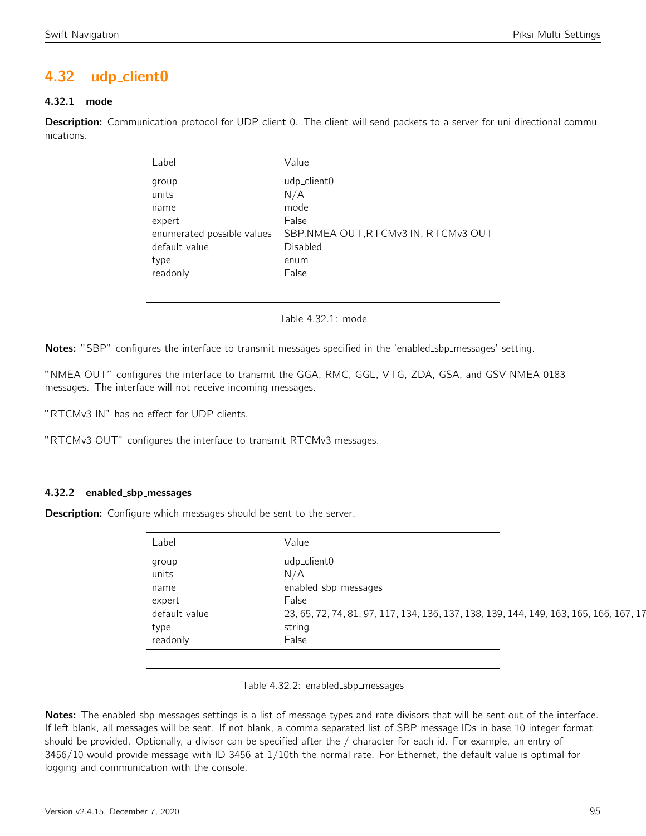# 4.32 udp\_client0

## 4.32.1 mode

Description: Communication protocol for UDP client 0. The client will send packets to a server for uni-directional communications.

| Label                                                                           | Value                                                                                   |
|---------------------------------------------------------------------------------|-----------------------------------------------------------------------------------------|
| group<br>units<br>name<br>expert<br>enumerated possible values<br>default value | udp_client0<br>N/A<br>mode<br>False<br>SBP, NMEA OUT, RTCMv3 IN, RTCMv3 OUT<br>Disabled |
| type<br>readonly                                                                | enum<br>False                                                                           |
|                                                                                 |                                                                                         |

Table 4.32.1: mode

Notes: "SBP" configures the interface to transmit messages specified in the 'enabled\_sbp\_messages' setting.

"NMEA OUT" configures the interface to transmit the GGA, RMC, GGL, VTG, ZDA, GSA, and GSV NMEA 0183 messages. The interface will not receive incoming messages.

"RTCMv3 IN" has no effect for UDP clients.

"RTCMv3 OUT" configures the interface to transmit RTCMv3 messages.

#### 4.32.2 enabled sbp messages

**Description:** Configure which messages should be sent to the server.

| Label         | Value                                                                                  |
|---------------|----------------------------------------------------------------------------------------|
| group         | udp_client0                                                                            |
| units         | N/A                                                                                    |
| name          | enabled_sbp_messages                                                                   |
| expert        | False                                                                                  |
| default value | 23, 65, 72, 74, 81, 97, 117, 134, 136, 137, 138, 139, 144, 149, 163, 165, 166, 167, 17 |
| type          | string                                                                                 |
| readonly      | False                                                                                  |

Table 4.32.2: enabled sbp messages

Notes: The enabled sbp messages settings is a list of message types and rate divisors that will be sent out of the interface. If left blank, all messages will be sent. If not blank, a comma separated list of SBP message IDs in base 10 integer format should be provided. Optionally, a divisor can be specified after the / character for each id. For example, an entry of 3456/10 would provide message with ID 3456 at 1/10th the normal rate. For Ethernet, the default value is optimal for logging and communication with the console.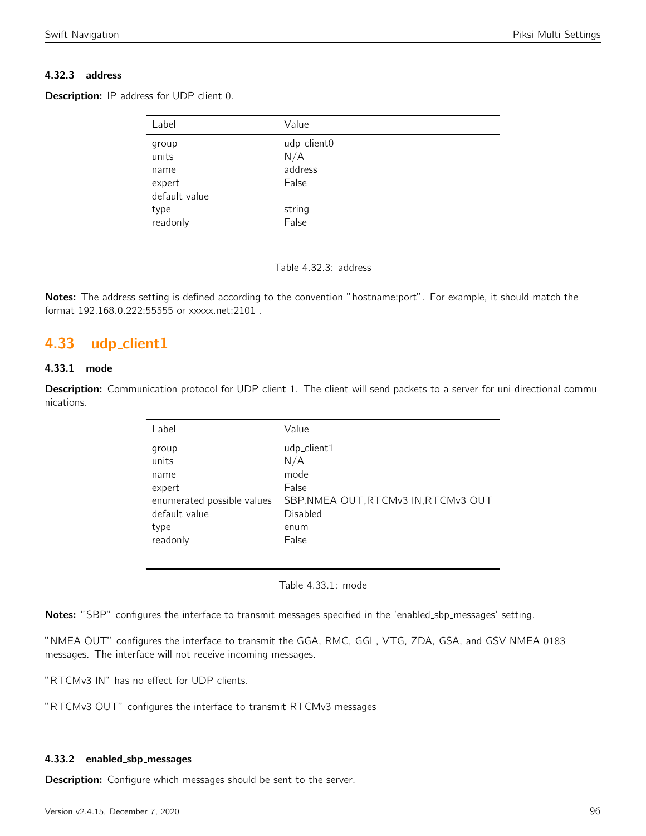## 4.32.3 address

| <b>Description:</b> IP address for UDP client 0. |
|--------------------------------------------------|
|--------------------------------------------------|

| Label                   | Value       |
|-------------------------|-------------|
| group                   | udp_client0 |
| units                   | N/A         |
| name                    | address     |
| expert<br>default value | False       |
| type                    | string      |
| readonly                | False       |



Notes: The address setting is defined according to the convention "hostname:port". For example, it should match the format 192.168.0.222:55555 or xxxxx.net:2101 .

# 4.33 udp\_client1

#### 4.33.1 mode

Description: Communication protocol for UDP client 1. The client will send packets to a server for uni-directional communications.

| Label                                                                                               | Value                                                                                                    |
|-----------------------------------------------------------------------------------------------------|----------------------------------------------------------------------------------------------------------|
| group<br>units<br>name<br>expert<br>enumerated possible values<br>default value<br>type<br>readonly | udp_client1<br>N/A<br>mode<br>False<br>SBP, NMEA OUT, RTCMv3 IN, RTCMv3 OUT<br>Disabled<br>enum<br>False |
|                                                                                                     |                                                                                                          |

Table 4.33.1: mode

Notes: "SBP" configures the interface to transmit messages specified in the 'enabled\_sbp\_messages' setting.

"NMEA OUT" configures the interface to transmit the GGA, RMC, GGL, VTG, ZDA, GSA, and GSV NMEA 0183 messages. The interface will not receive incoming messages.

"RTCMv3 IN" has no effect for UDP clients.

"RTCMv3 OUT" configures the interface to transmit RTCMv3 messages

### 4.33.2 enabled sbp messages

**Description:** Configure which messages should be sent to the server.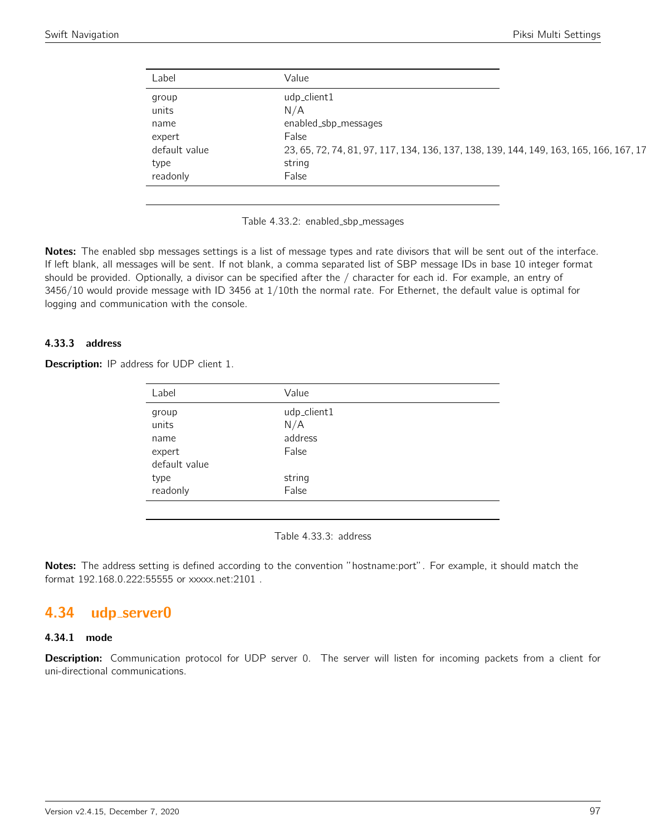| Label         | Value                                                                                  |
|---------------|----------------------------------------------------------------------------------------|
| group         | udp_client1                                                                            |
| units         | N/A                                                                                    |
| name          | enabled_sbp_messages                                                                   |
| expert        | False                                                                                  |
| default value | 23, 65, 72, 74, 81, 97, 117, 134, 136, 137, 138, 139, 144, 149, 163, 165, 166, 167, 17 |
| type          | string                                                                                 |
| readonly      | False                                                                                  |

Table 4.33.2: enabled\_sbp\_messages

Notes: The enabled sbp messages settings is a list of message types and rate divisors that will be sent out of the interface. If left blank, all messages will be sent. If not blank, a comma separated list of SBP message IDs in base 10 integer format should be provided. Optionally, a divisor can be specified after the / character for each id. For example, an entry of 3456/10 would provide message with ID 3456 at 1/10th the normal rate. For Ethernet, the default value is optimal for logging and communication with the console.

#### 4.33.3 address

Description: IP address for UDP client 1.

| Label         | Value       |
|---------------|-------------|
|               |             |
| group         | udp_client1 |
| units         | N/A         |
| name          | address     |
| expert        | False       |
| default value |             |
| type          | string      |
| readonly      | False       |
|               |             |

Table 4.33.3: address

Notes: The address setting is defined according to the convention "hostname:port". For example, it should match the format 192.168.0.222:55555 or xxxxx.net:2101 .

# 4.34 udp\_server0

#### 4.34.1 mode

Description: Communication protocol for UDP server 0. The server will listen for incoming packets from a client for uni-directional communications.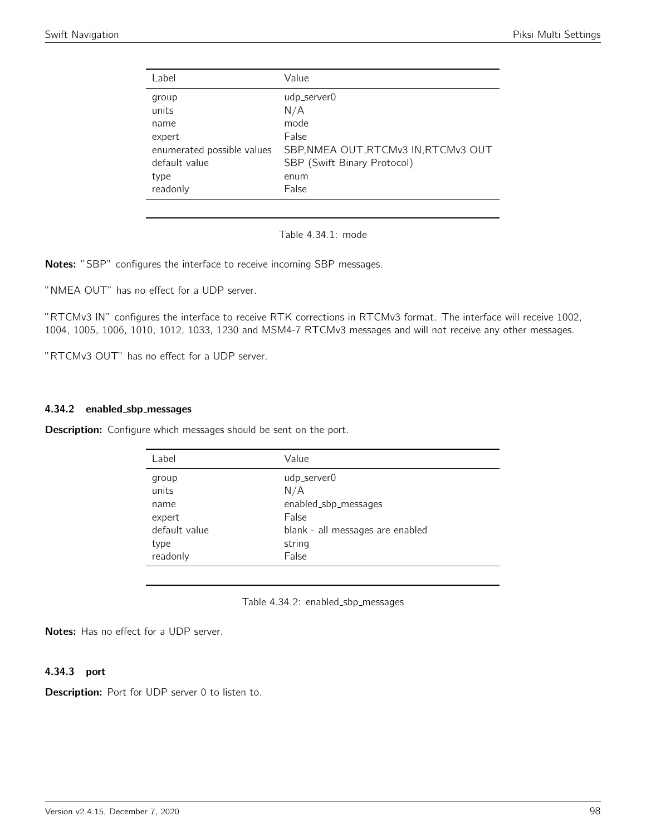| Label                                                                                               | Value                                                                                                                       |
|-----------------------------------------------------------------------------------------------------|-----------------------------------------------------------------------------------------------------------------------------|
| group<br>units<br>name<br>expert<br>enumerated possible values<br>default value<br>type<br>readonly | udp_server0<br>N/A<br>mode<br>False<br>SBP, NMEA OUT, RTCMv3 IN, RTCMv3 OUT<br>SBP (Swift Binary Protocol)<br>enum<br>False |
|                                                                                                     |                                                                                                                             |

Table 4.34.1: mode

Notes: "SBP" configures the interface to receive incoming SBP messages.

"NMEA OUT" has no effect for a UDP server.

"RTCMv3 IN" configures the interface to receive RTK corrections in RTCMv3 format. The interface will receive 1002, 1004, 1005, 1006, 1010, 1012, 1033, 1230 and MSM4-7 RTCMv3 messages and will not receive any other messages.

"RTCMv3 OUT" has no effect for a UDP server.

#### 4.34.2 enabled sbp messages

Description: Configure which messages should be sent on the port.

| Label         | Value                            |
|---------------|----------------------------------|
| group         | udp_server0                      |
| units         | N/A                              |
| name          | enabled_sbp_messages             |
| expert        | False                            |
| default value | blank - all messages are enabled |
| type          | string                           |
| readonly      | False                            |

Table 4.34.2: enabled\_sbp\_messages

Notes: Has no effect for a UDP server.

#### 4.34.3 port

Description: Port for UDP server 0 to listen to.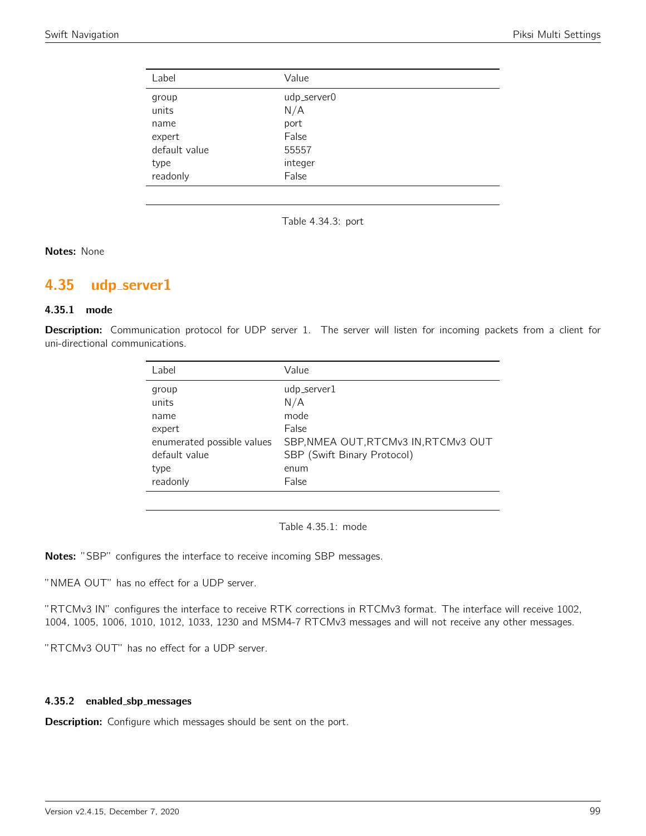| Label         | Value       |  |
|---------------|-------------|--|
| group         | udp_server0 |  |
| units         | N/A         |  |
| name          | port        |  |
| expert        | False       |  |
| default value | 55557       |  |
| type          | integer     |  |
| readonly      | False       |  |
|               |             |  |

Table 4.34.3: port

Notes: None

# 4.35 udp server1

#### 4.35.1 mode

Description: Communication protocol for UDP server 1. The server will listen for incoming packets from a client for uni-directional communications.

| Label                                                                                               | Value                                                                                                                       |
|-----------------------------------------------------------------------------------------------------|-----------------------------------------------------------------------------------------------------------------------------|
| group<br>units<br>name<br>expert<br>enumerated possible values<br>default value<br>type<br>readonly | udp_server1<br>N/A<br>mode<br>False<br>SBP, NMEA OUT, RTCMv3 IN, RTCMv3 OUT<br>SBP (Swift Binary Protocol)<br>enum<br>False |
|                                                                                                     |                                                                                                                             |

Table 4.35.1: mode

Notes: "SBP" configures the interface to receive incoming SBP messages.

"NMEA OUT" has no effect for a UDP server.

"RTCMv3 IN" configures the interface to receive RTK corrections in RTCMv3 format. The interface will receive 1002, 1004, 1005, 1006, 1010, 1012, 1033, 1230 and MSM4-7 RTCMv3 messages and will not receive any other messages.

"RTCMv3 OUT" has no effect for a UDP server.

#### 4.35.2 enabled sbp messages

Description: Configure which messages should be sent on the port.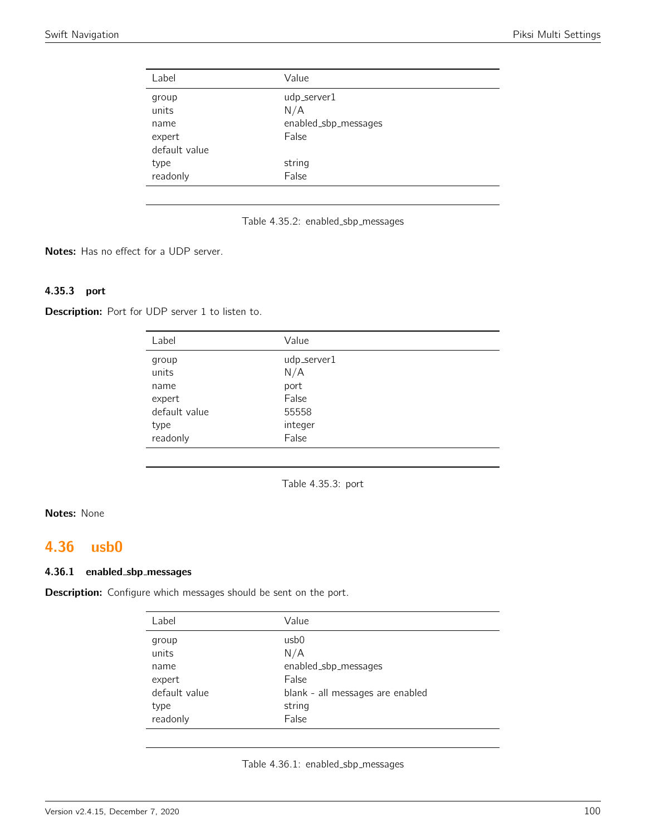| group<br>units<br>name<br>expert  | udp_server1<br>N/A<br>enabled_sbp_messages<br>False |
|-----------------------------------|-----------------------------------------------------|
| default value<br>type<br>readonly | string<br>False                                     |

Table 4.35.2: enabled\_sbp\_messages

Notes: Has no effect for a UDP server.

## 4.35.3 port

Description: Port for UDP server 1 to listen to.

| Label          | Value              |
|----------------|--------------------|
| group<br>units | udp_server1<br>N/A |
| name           | port               |
| expert         | False              |
| default value  | 55558              |
| type           | integer            |
| readonly       | False              |

Table 4.35.3: port

# Notes: None

# 4.36 usb0

#### 4.36.1 enabled sbp messages

Description: Configure which messages should be sent on the port.

| Label         | Value                            |  |
|---------------|----------------------------------|--|
| group         | usb0                             |  |
| units         | N/A                              |  |
| name          | enabled_sbp_messages             |  |
| expert        | False                            |  |
| default value | blank - all messages are enabled |  |
| type          | string                           |  |
| readonly      | False                            |  |

Table 4.36.1: enabled\_sbp\_messages